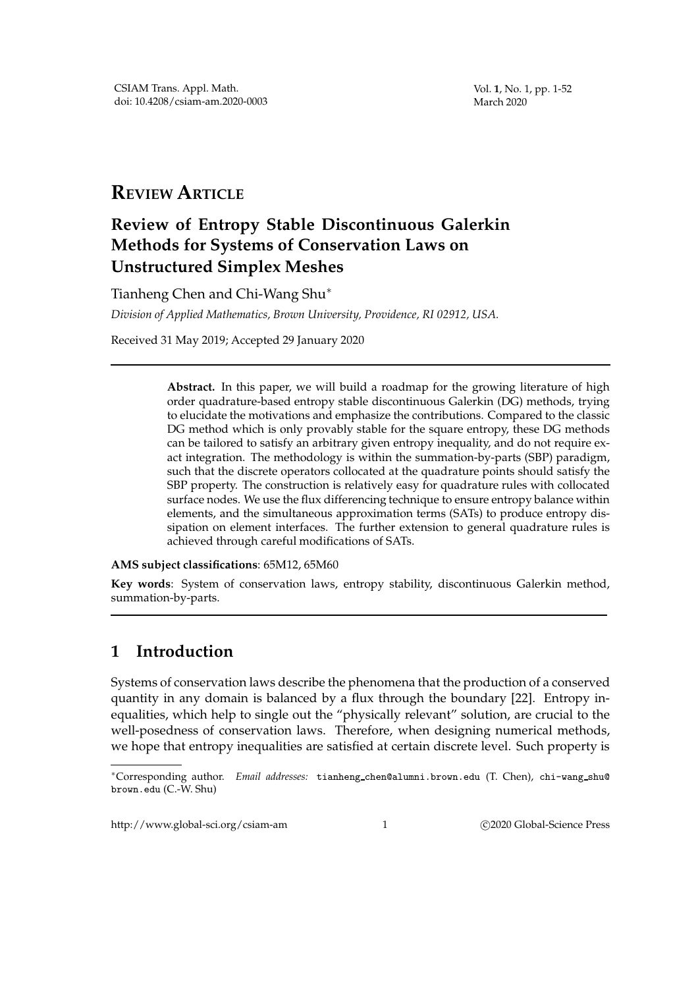Vol. **1**, No. 1, pp. 1-52 March 2020

# **REVIEW ARTICLE**

# **Review of Entropy Stable Discontinuous Galerkin Methods for Systems of Conservation Laws on Unstructured Simplex Meshes**

Tianheng Chen and Chi-Wang Shu<sup>∗</sup>

*Division of Applied Mathematics, Brown University, Providence, RI 02912, USA.*

Received 31 May 2019; Accepted 29 January 2020

**Abstract.** In this paper, we will build a roadmap for the growing literature of high order quadrature-based entropy stable discontinuous Galerkin (DG) methods, trying to elucidate the motivations and emphasize the contributions. Compared to the classic DG method which is only provably stable for the square entropy, these DG methods can be tailored to satisfy an arbitrary given entropy inequality, and do not require exact integration. The methodology is within the summation-by-parts (SBP) paradigm, such that the discrete operators collocated at the quadrature points should satisfy the SBP property. The construction is relatively easy for quadrature rules with collocated surface nodes. We use the flux differencing technique to ensure entropy balance within elements, and the simultaneous approximation terms (SATs) to produce entropy dissipation on element interfaces. The further extension to general quadrature rules is achieved through careful modifications of SATs.

**AMS subject classifications**: 65M12, 65M60

**Key words**: System of conservation laws, entropy stability, discontinuous Galerkin method, summation-by-parts.

# **1 Introduction**

Systems of conservation laws describe the phenomena that the production of a conserved quantity in any domain is balanced by a flux through the boundary [22]. Entropy inequalities, which help to single out the "physically relevant" solution, are crucial to the well-posedness of conservation laws. Therefore, when designing numerical methods, we hope that entropy inequalities are satisfied at certain discrete level. Such property is

http://www.global-sci.org/csiam-am 1 C2020 Global-Science Press

<sup>∗</sup>Corresponding author. *Email addresses:* tianheng chen@alumni.brown.edu (T. Chen), chi-wang shu@ brown.edu (C.-W. Shu)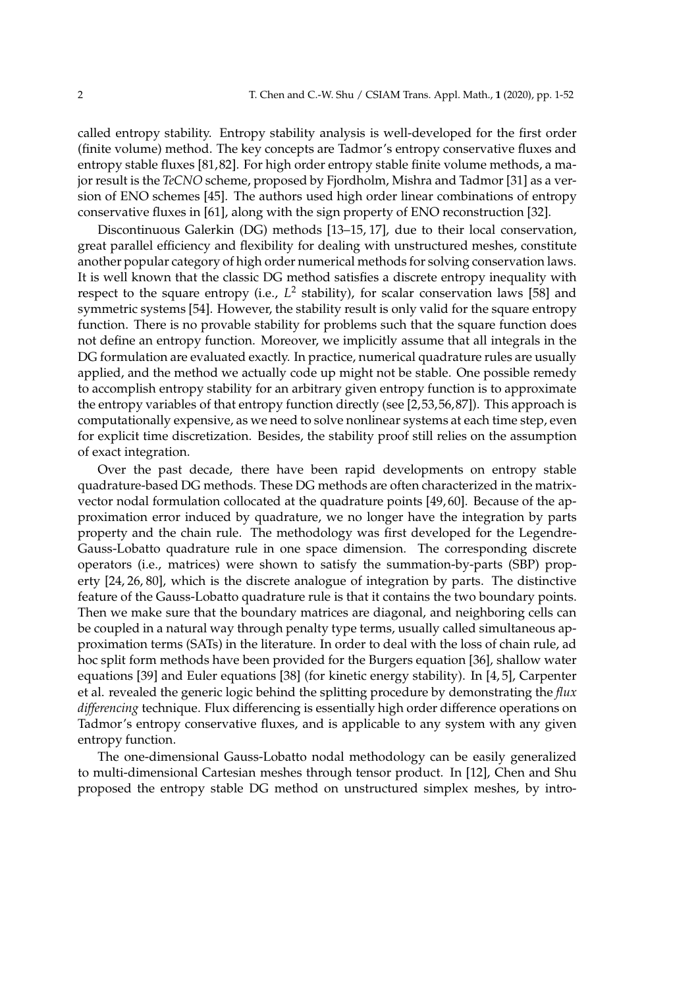called entropy stability. Entropy stability analysis is well-developed for the first order (finite volume) method. The key concepts are Tadmor's entropy conservative fluxes and entropy stable fluxes [81, 82]. For high order entropy stable finite volume methods, a major result is the *TeCNO* scheme, proposed by Fjordholm, Mishra and Tadmor [31] as a version of ENO schemes [45]. The authors used high order linear combinations of entropy conservative fluxes in [61], along with the sign property of ENO reconstruction [32].

Discontinuous Galerkin (DG) methods [13–15, 17], due to their local conservation, great parallel efficiency and flexibility for dealing with unstructured meshes, constitute another popular category of high order numerical methods for solving conservation laws. It is well known that the classic DG method satisfies a discrete entropy inequality with respect to the square entropy (i.e.,  $L^2$  stability), for scalar conservation laws [58] and symmetric systems [54]. However, the stability result is only valid for the square entropy function. There is no provable stability for problems such that the square function does not define an entropy function. Moreover, we implicitly assume that all integrals in the DG formulation are evaluated exactly. In practice, numerical quadrature rules are usually applied, and the method we actually code up might not be stable. One possible remedy to accomplish entropy stability for an arbitrary given entropy function is to approximate the entropy variables of that entropy function directly (see [2,53,56,87]). This approach is computationally expensive, as we need to solve nonlinear systems at each time step, even for explicit time discretization. Besides, the stability proof still relies on the assumption of exact integration.

Over the past decade, there have been rapid developments on entropy stable quadrature-based DG methods. These DG methods are often characterized in the matrixvector nodal formulation collocated at the quadrature points [49, 60]. Because of the approximation error induced by quadrature, we no longer have the integration by parts property and the chain rule. The methodology was first developed for the Legendre-Gauss-Lobatto quadrature rule in one space dimension. The corresponding discrete operators (i.e., matrices) were shown to satisfy the summation-by-parts (SBP) property [24, 26, 80], which is the discrete analogue of integration by parts. The distinctive feature of the Gauss-Lobatto quadrature rule is that it contains the two boundary points. Then we make sure that the boundary matrices are diagonal, and neighboring cells can be coupled in a natural way through penalty type terms, usually called simultaneous approximation terms (SATs) in the literature. In order to deal with the loss of chain rule, ad hoc split form methods have been provided for the Burgers equation [36], shallow water equations [39] and Euler equations [38] (for kinetic energy stability). In [4, 5], Carpenter et al. revealed the generic logic behind the splitting procedure by demonstrating the *flux differencing* technique. Flux differencing is essentially high order difference operations on Tadmor's entropy conservative fluxes, and is applicable to any system with any given entropy function.

The one-dimensional Gauss-Lobatto nodal methodology can be easily generalized to multi-dimensional Cartesian meshes through tensor product. In [12], Chen and Shu proposed the entropy stable DG method on unstructured simplex meshes, by intro-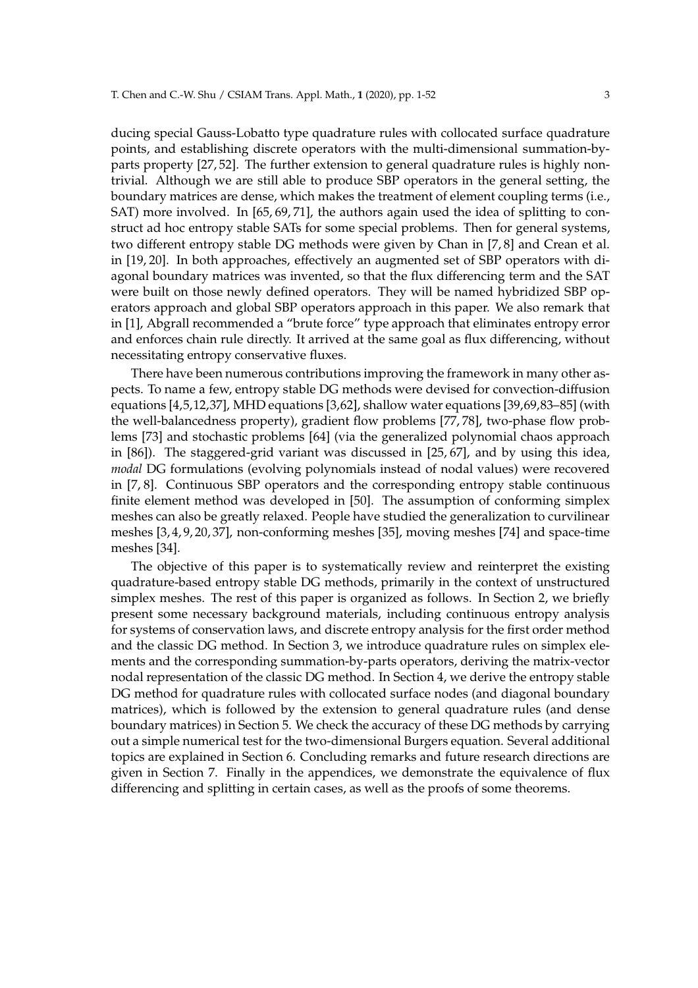ducing special Gauss-Lobatto type quadrature rules with collocated surface quadrature points, and establishing discrete operators with the multi-dimensional summation-byparts property [27, 52]. The further extension to general quadrature rules is highly nontrivial. Although we are still able to produce SBP operators in the general setting, the boundary matrices are dense, which makes the treatment of element coupling terms (i.e., SAT) more involved. In [65, 69, 71], the authors again used the idea of splitting to construct ad hoc entropy stable SATs for some special problems. Then for general systems, two different entropy stable DG methods were given by Chan in [7, 8] and Crean et al. in [19, 20]. In both approaches, effectively an augmented set of SBP operators with diagonal boundary matrices was invented, so that the flux differencing term and the SAT were built on those newly defined operators. They will be named hybridized SBP operators approach and global SBP operators approach in this paper. We also remark that in [1], Abgrall recommended a "brute force" type approach that eliminates entropy error and enforces chain rule directly. It arrived at the same goal as flux differencing, without necessitating entropy conservative fluxes.

There have been numerous contributions improving the framework in many other aspects. To name a few, entropy stable DG methods were devised for convection-diffusion equations [4,5,12,37], MHD equations [3,62], shallow water equations [39,69,83–85] (with the well-balancedness property), gradient flow problems [77, 78], two-phase flow problems [73] and stochastic problems [64] (via the generalized polynomial chaos approach in [86]). The staggered-grid variant was discussed in [25, 67], and by using this idea, *modal* DG formulations (evolving polynomials instead of nodal values) were recovered in [7, 8]. Continuous SBP operators and the corresponding entropy stable continuous finite element method was developed in [50]. The assumption of conforming simplex meshes can also be greatly relaxed. People have studied the generalization to curvilinear meshes [3, 4, 9, 20, 37], non-conforming meshes [35], moving meshes [74] and space-time meshes [34].

The objective of this paper is to systematically review and reinterpret the existing quadrature-based entropy stable DG methods, primarily in the context of unstructured simplex meshes. The rest of this paper is organized as follows. In Section 2, we briefly present some necessary background materials, including continuous entropy analysis for systems of conservation laws, and discrete entropy analysis for the first order method and the classic DG method. In Section 3, we introduce quadrature rules on simplex elements and the corresponding summation-by-parts operators, deriving the matrix-vector nodal representation of the classic DG method. In Section 4, we derive the entropy stable DG method for quadrature rules with collocated surface nodes (and diagonal boundary matrices), which is followed by the extension to general quadrature rules (and dense boundary matrices) in Section 5. We check the accuracy of these DG methods by carrying out a simple numerical test for the two-dimensional Burgers equation. Several additional topics are explained in Section 6. Concluding remarks and future research directions are given in Section 7. Finally in the appendices, we demonstrate the equivalence of flux differencing and splitting in certain cases, as well as the proofs of some theorems.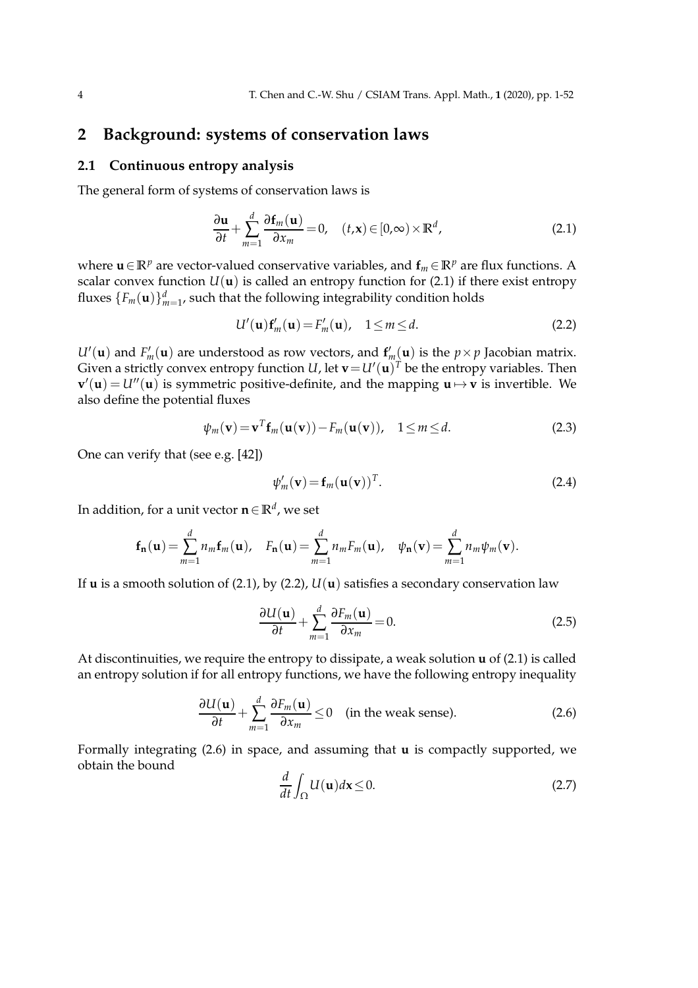# **2 Background: systems of conservation laws**

### **2.1 Continuous entropy analysis**

The general form of systems of conservation laws is

$$
\frac{\partial \mathbf{u}}{\partial t} + \sum_{m=1}^{d} \frac{\partial \mathbf{f}_m(\mathbf{u})}{\partial x_m} = 0, \quad (t, \mathbf{x}) \in [0, \infty) \times \mathbb{R}^d,
$$
\n(2.1)

where **u**∈**R**<sup>*p*</sup> are vector-valued conservative variables, and  $f<sub>m</sub> ∈ **R**<sup>p</sup>$  are flux functions. A scalar convex function  $U(\mathbf{u})$  is called an entropy function for (2.1) if there exist entropy fluxes  $\{F_m(\mathbf{u})\}_{m=1}^d$ , such that the following integrability condition holds

$$
U'(\mathbf{u})\mathbf{f}'_m(\mathbf{u}) = F'_m(\mathbf{u}), \quad 1 \le m \le d. \tag{2.2}
$$

 $U'(\mathbf{u})$  and  $F'_m(\mathbf{u})$  are understood as row vectors, and  $\mathbf{f}'_m(\mathbf{u})$  is the  $p \times p$  Jacobian matrix. Given a strictly convex entropy function  $U$ , let  $\mathbf{v} = U'(\mathbf{u})^T$  be the entropy variables. Then  $\mathbf{v}'(\mathbf{u}) = U''(\mathbf{u})$  is symmetric positive-definite, and the mapping  $\mathbf{u} \mapsto \mathbf{v}$  is invertible. We also define the potential fluxes

$$
\psi_m(\mathbf{v}) = \mathbf{v}^T \mathbf{f}_m(\mathbf{u}(\mathbf{v})) - F_m(\mathbf{u}(\mathbf{v})), \quad 1 \le m \le d. \tag{2.3}
$$

One can verify that (see e.g. [42])

$$
\psi'_m(\mathbf{v}) = \mathbf{f}_m(\mathbf{u}(\mathbf{v}))^T.
$$
\n(2.4)

In addition, for a unit vector **n**∈**R***<sup>d</sup>* , we set

$$
\mathbf{f}_{\mathbf{n}}(\mathbf{u}) = \sum_{m=1}^{d} n_m \mathbf{f}_m(\mathbf{u}), \quad F_{\mathbf{n}}(\mathbf{u}) = \sum_{m=1}^{d} n_m F_m(\mathbf{u}), \quad \psi_{\mathbf{n}}(\mathbf{v}) = \sum_{m=1}^{d} n_m \psi_m(\mathbf{v}).
$$

If **u** is a smooth solution of (2.1), by (2.2), *U*(**u**) satisfies a secondary conservation law

$$
\frac{\partial U(\mathbf{u})}{\partial t} + \sum_{m=1}^{d} \frac{\partial F_m(\mathbf{u})}{\partial x_m} = 0.
$$
 (2.5)

At discontinuities, we require the entropy to dissipate, a weak solution **u** of (2.1) is called an entropy solution if for all entropy functions, we have the following entropy inequality

$$
\frac{\partial U(\mathbf{u})}{\partial t} + \sum_{m=1}^{d} \frac{\partial F_m(\mathbf{u})}{\partial x_m} \le 0 \quad \text{(in the weak sense)}.
$$
 (2.6)

Formally integrating (2.6) in space, and assuming that **u** is compactly supported, we obtain the bound

$$
\frac{d}{dt} \int_{\Omega} U(\mathbf{u}) d\mathbf{x} \le 0.
$$
 (2.7)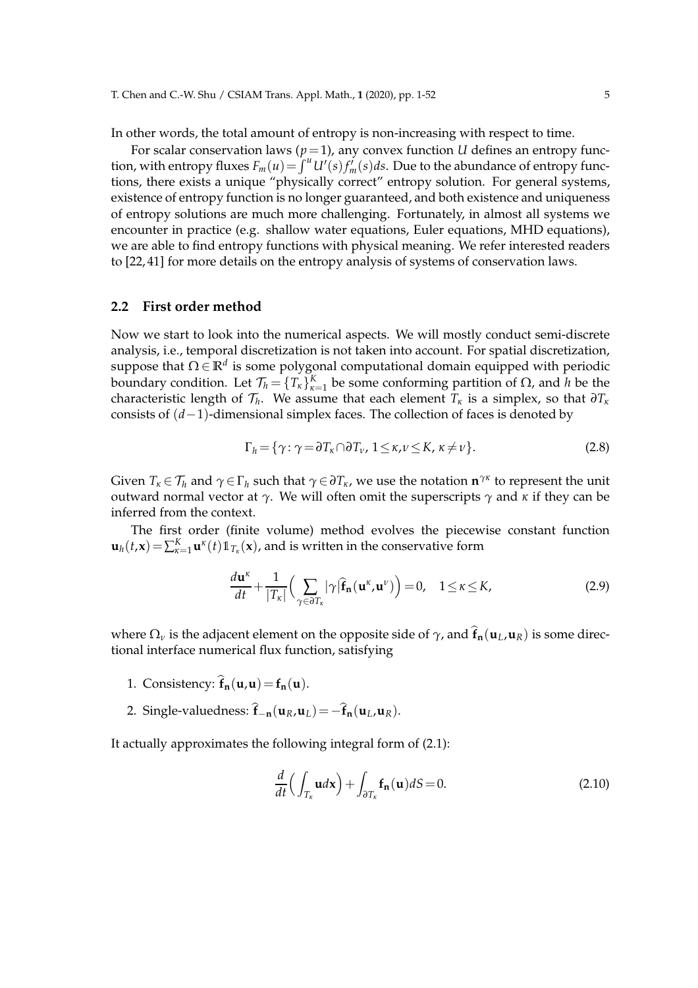T. Chen and C.-W. Shu / CSIAM Trans. Appl. Math., **1** (2020), pp. 1-52 5

In other words, the total amount of entropy is non-increasing with respect to time.

For scalar conservation laws  $(p=1)$ , any convex function *U* defines an entropy function, with entropy fluxes  $F_m(u) = \int^u U'(s) f'_m(s) ds$ . Due to the abundance of entropy functions, there exists a unique "physically correct" entropy solution. For general systems, existence of entropy function is no longer guaranteed, and both existence and uniqueness of entropy solutions are much more challenging. Fortunately, in almost all systems we encounter in practice (e.g. shallow water equations, Euler equations, MHD equations), we are able to find entropy functions with physical meaning. We refer interested readers to [22, 41] for more details on the entropy analysis of systems of conservation laws.

### **2.2 First order method**

Now we start to look into the numerical aspects. We will mostly conduct semi-discrete analysis, i.e., temporal discretization is not taken into account. For spatial discretization, suppose that Ω ∈ **R***<sup>d</sup>* is some polygonal computational domain equipped with periodic boundary condition. Let  $\mathcal{T}_h = \{T_k\}_{k=1}^K$  be some conforming partition of  $\Omega$ , and  $h$  be the characteristic length of  $\mathcal{T}_h$ . We assume that each element  $T_\kappa$  is a simplex, so that  $\partial T_\kappa$ consists of (*d*−1)-dimensional simplex faces. The collection of faces is denoted by

$$
\Gamma_h = \{ \gamma : \gamma = \partial T_{\kappa} \cap \partial T_{\nu}, \ 1 \leq \kappa, \nu \leq K, \ \kappa \neq \nu \}. \tag{2.8}
$$

Given  $T_k \in \mathcal{T}_h$  and  $\gamma \in \Gamma_h$  such that  $\gamma \in \partial T_k$ , we use the notation  $\mathbf{n}^{\gamma_K}$  to represent the unit outward normal vector at *γ*. We will often omit the superscripts *γ* and *κ* if they can be inferred from the context.

The first order (finite volume) method evolves the piecewise constant function  $\mathbf{u}_h(t,\mathbf{x}) = \sum_{\kappa=1}^K \mathbf{u}^{\kappa}(t) \mathbb{1}_{T_{\kappa}}(\mathbf{x})$ , and is written in the conservative form

$$
\frac{d\mathbf{u}^{\kappa}}{dt} + \frac{1}{|T_{\kappa}|} \Big( \sum_{\gamma \in \partial T_{\kappa}} |\gamma| \widehat{\mathbf{f}}_{\mathbf{n}}(\mathbf{u}^{\kappa}, \mathbf{u}^{\nu}) \Big) = 0, \quad 1 \leq \kappa \leq K,
$$
\n(2.9)

where  $\Omega_{\nu}$  is the adjacent element on the opposite side of  $\gamma$ , and  $\hat{\mathbf{f}}_{n}(\mathbf{u}_{L}, \mathbf{u}_{R})$  is some directional interface numerical flux function, satisfying

- 1. Consistency:  $\hat{\mathbf{f}}_{n}(\mathbf{u}, \mathbf{u}) = \mathbf{f}_{n}(\mathbf{u}).$
- 2. Single-valuedness:  $\hat{\mathbf{f}}_{-\mathbf{n}}(\mathbf{u}_R, \mathbf{u}_L) = -\hat{\mathbf{f}}_{\mathbf{n}}(\mathbf{u}_L, \mathbf{u}_R)$ .

It actually approximates the following integral form of (2.1):

$$
\frac{d}{dt}\left(\int_{T_{\kappa}}\mathbf{u}d\mathbf{x}\right) + \int_{\partial T_{\kappa}}\mathbf{f}_{\mathbf{n}}(\mathbf{u})dS = 0.
$$
\n(2.10)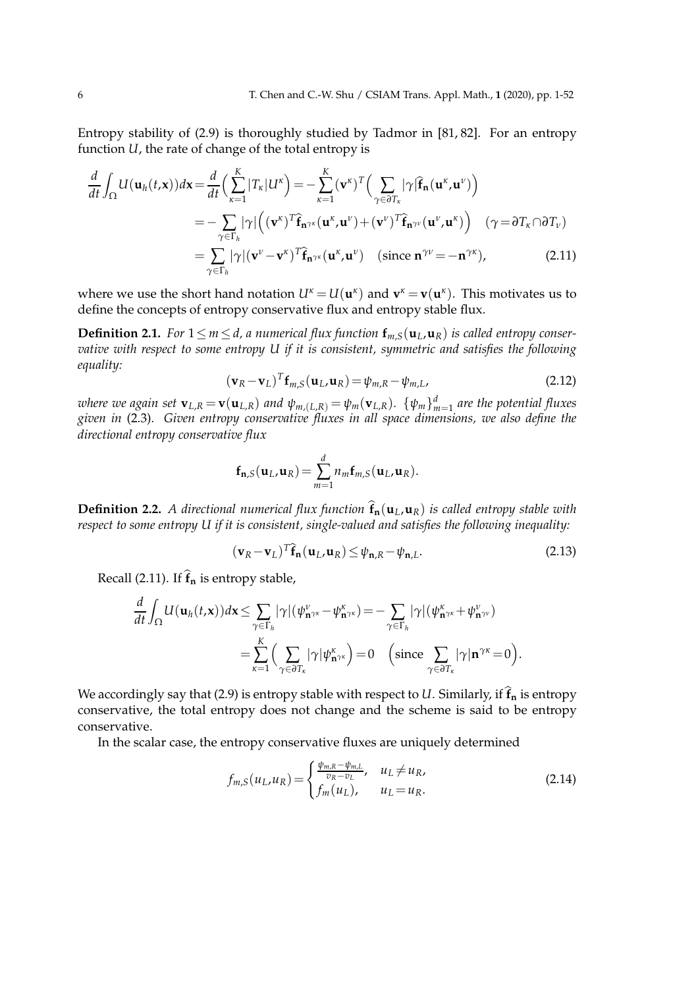Entropy stability of (2.9) is thoroughly studied by Tadmor in [81, 82]. For an entropy function *U*, the rate of change of the total entropy is

$$
\frac{d}{dt} \int_{\Omega} U(\mathbf{u}_{h}(t,\mathbf{x})) d\mathbf{x} = \frac{d}{dt} \Big(\sum_{\kappa=1}^{K} |T_{\kappa}| U^{\kappa}\Big) = -\sum_{\kappa=1}^{K} (\mathbf{v}^{\kappa})^{T} \Big(\sum_{\gamma \in \partial T_{\kappa}} |\gamma| \widehat{\mathbf{f}}_{\mathbf{n}}(\mathbf{u}^{\kappa}, \mathbf{u}^{\nu})\Big)
$$
\n
$$
= -\sum_{\gamma \in \Gamma_{h}} |\gamma| \Big((\mathbf{v}^{\kappa})^{T} \widehat{\mathbf{f}}_{\mathbf{n}} \gamma_{\kappa}(\mathbf{u}^{\kappa}, \mathbf{u}^{\nu}) + (\mathbf{v}^{\nu})^{T} \widehat{\mathbf{f}}_{\mathbf{n}} \gamma_{\nu}(\mathbf{u}^{\nu}, \mathbf{u}^{\kappa})\Big) \quad (\gamma = \partial T_{\kappa} \cap \partial T_{\nu})
$$
\n
$$
= \sum_{\gamma \in \Gamma_{h}} |\gamma| (\mathbf{v}^{\nu} - \mathbf{v}^{\kappa})^{T} \widehat{\mathbf{f}}_{\mathbf{n}} \gamma_{\kappa}(\mathbf{u}^{\kappa}, \mathbf{u}^{\nu}) \quad (\text{since } \mathbf{n}^{\gamma \nu} = -\mathbf{n}^{\gamma \kappa}), \tag{2.11}
$$

where we use the short hand notation  $U^k = U(\mathbf{u}^k)$  and  $\mathbf{v}^k = \mathbf{v}(\mathbf{u}^k)$ . This motivates us to define the concepts of entropy conservative flux and entropy stable flux.

**Definition 2.1.** *For*  $1 \le m \le d$ , *a* numerical flux function  $f_{m,S}(\mathbf{u}_L, \mathbf{u}_R)$  is called entropy conser*vative with respect to some entropy U if it is consistent, symmetric and satisfies the following equality:*

$$
(\mathbf{v}_R - \mathbf{v}_L)^T \mathbf{f}_{m,S}(\mathbf{u}_L, \mathbf{u}_R) = \psi_{m,R} - \psi_{m,L},
$$
\n(2.12)

where we again set  ${\bf v}_{L,R} \!=\! {\bf v}({\bf u}_{L,R})$  and  $\psi_{m,(L,R)} \!=\! \psi_m({\bf v}_{L,R}).\,$   $\{\psi_m\}_{m=1}^d$  are the potential fluxes *given in* (2.3)*. Given entropy conservative fluxes in all space dimensions, we also define the directional entropy conservative flux*

$$
\mathbf{f}_{\mathbf{n},S}(\mathbf{u}_L,\mathbf{u}_R)=\sum_{m=1}^d n_m \mathbf{f}_{m,S}(\mathbf{u}_L,\mathbf{u}_R).
$$

**Definition 2.2.** A directional numerical flux function  $\hat{\mathbf{f}}_{n}(\mathbf{u}_L,\mathbf{u}_R)$  is called entropy stable with *respect to some entropy U if it is consistent, single-valued and satisfies the following inequality:*

$$
(\mathbf{v}_R - \mathbf{v}_L)^T \mathbf{\hat{f}}_{\mathbf{n}} (\mathbf{u}_L, \mathbf{u}_R) \le \psi_{\mathbf{n},R} - \psi_{\mathbf{n},L}.
$$
 (2.13)

Recall (2.11). If  $\hat{\mathbf{f}}_n$  is entropy stable,

$$
\frac{d}{dt} \int_{\Omega} U(\mathbf{u}_{h}(t,\mathbf{x})) d\mathbf{x} \leq \sum_{\gamma \in \Gamma_{h}} |\gamma| (\psi_{\mathbf{n}^{\gamma\kappa}}^{\nu} - \psi_{\mathbf{n}^{\gamma\kappa}}^{\kappa}) = - \sum_{\gamma \in \Gamma_{h}} |\gamma| (\psi_{\mathbf{n}^{\gamma\kappa}}^{\kappa} + \psi_{\mathbf{n}^{\gamma\nu}}^{\nu})
$$

$$
= \sum_{\kappa=1}^{K} \Big( \sum_{\gamma \in \partial T_{\kappa}} |\gamma| \psi_{\mathbf{n}^{\gamma\kappa}}^{\kappa} \Big) = 0 \quad \left(\text{since } \sum_{\gamma \in \partial T_{\kappa}} |\gamma| \mathbf{n}^{\gamma\kappa} = 0\right).
$$

We accordingly say that (2.9) is entropy stable with respect to *U*. Similarly, if  $\hat{\mathbf{f}}_n$  is entropy conservative, the total entropy does not change and the scheme is said to be entropy conservative.

In the scalar case, the entropy conservative fluxes are uniquely determined

$$
f_{m,S}(u_L, u_R) = \begin{cases} \frac{\psi_{m,R} - \psi_{m,L}}{v_R - v_L}, & u_L \neq u_R, \\ f_m(u_L), & u_L = u_R. \end{cases}
$$
 (2.14)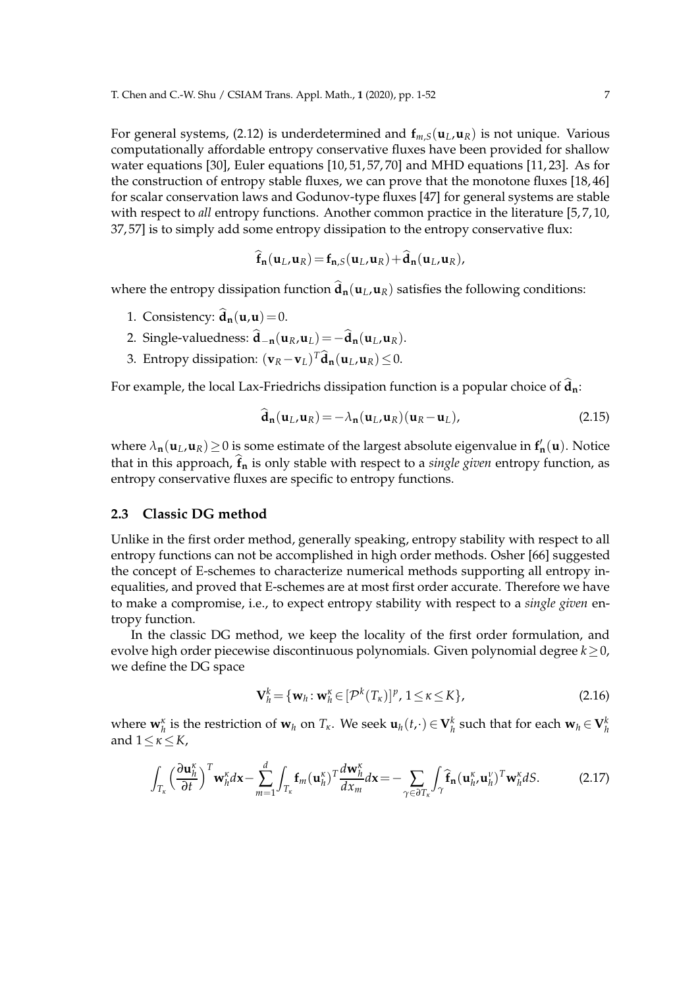For general systems, (2.12) is underdetermined and  $f_{m,S}(u_L, u_R)$  is not unique. Various computationally affordable entropy conservative fluxes have been provided for shallow water equations [30], Euler equations [10, 51, 57, 70] and MHD equations [11, 23]. As for the construction of entropy stable fluxes, we can prove that the monotone fluxes [18, 46] for scalar conservation laws and Godunov-type fluxes [47] for general systems are stable with respect to *all* entropy functions. Another common practice in the literature [5,7,10, 37, 57] is to simply add some entropy dissipation to the entropy conservative flux:

$$
\mathbf{f}_{n}(\mathbf{u}_{L},\mathbf{u}_{R})=\mathbf{f}_{n,S}(\mathbf{u}_{L},\mathbf{u}_{R})+\mathbf{d}_{n}(\mathbf{u}_{L},\mathbf{u}_{R}),
$$

where the entropy dissipation function  $\hat{\mathbf{d}}_n(\mathbf{u}_L,\mathbf{u}_R)$  satisfies the following conditions:

- 1. Consistency:  $\hat{\mathbf{d}}_{\mathbf{n}}(\mathbf{u}, \mathbf{u}) = 0$ .
- 2. Single-valuedness:  $\hat{\mathbf{d}}_{-\mathbf{n}}(\mathbf{u}_R, \mathbf{u}_L) = -\hat{\mathbf{d}}_{\mathbf{n}}(\mathbf{u}_L, \mathbf{u}_R)$ .
- 3. Entropy dissipation:  $(\mathbf{v}_R \mathbf{v}_L)^T \mathbf{\hat{d}}_{\mathbf{n}}(\mathbf{u}_L, \mathbf{u}_R) \leq 0$ .

For example, the local Lax-Friedrichs dissipation function is a popular choice of  $\hat{d}_n$ :

$$
\mathbf{d}_{\mathbf{n}}(\mathbf{u}_L, \mathbf{u}_R) = -\lambda_{\mathbf{n}}(\mathbf{u}_L, \mathbf{u}_R)(\mathbf{u}_R - \mathbf{u}_L),
$$
\n(2.15)

where  $\lambda_{\bf n}(\mathbf{u}_L, \mathbf{u}_R) \ge 0$  is some estimate of the largest absolute eigenvalue in  $f'_{\bf n}(\mathbf{u})$ . Notice that in this approach,  $\hat{f}_n$  is only stable with respect to a *single given* entropy function, as entropy conservative fluxes are specific to entropy functions.

### **2.3 Classic DG method**

Unlike in the first order method, generally speaking, entropy stability with respect to all entropy functions can not be accomplished in high order methods. Osher [66] suggested the concept of E-schemes to characterize numerical methods supporting all entropy inequalities, and proved that E-schemes are at most first order accurate. Therefore we have to make a compromise, i.e., to expect entropy stability with respect to a *single given* entropy function.

In the classic DG method, we keep the locality of the first order formulation, and evolve high order piecewise discontinuous polynomials. Given polynomial degree *k*≥0, we define the DG space

$$
\mathbf{V}_h^k = \{ \mathbf{w}_h : \mathbf{w}_h^k \in [\mathcal{P}^k(T_{\kappa})]^p, 1 \leq \kappa \leq K \},\tag{2.16}
$$

where  $\mathbf{w}_h^{\kappa}$  is the restriction of  $\mathbf{w}_h$  on  $T_{\kappa}$ . We seek  $\mathbf{u}_h(t,\cdot) \in \mathbf{V}_h^k$  such that for each  $\mathbf{w}_h \in \mathbf{V}_h^k$ and 1≤*κ*≤*K*,

$$
\int_{T_{\kappa}} \left(\frac{\partial \mathbf{u}_h^{\kappa}}{\partial t}\right)^T \mathbf{w}_h^{\kappa} d\mathbf{x} - \sum_{m=1}^d \int_{T_{\kappa}} \mathbf{f}_m(\mathbf{u}_h^{\kappa})^T \frac{d \mathbf{w}_h^{\kappa}}{dx_m} d\mathbf{x} = - \sum_{\gamma \in \partial T_{\kappa}} \int_{\gamma} \widehat{\mathbf{f}}_n(\mathbf{u}_h^{\kappa}, \mathbf{u}_h^{\nu})^T \mathbf{w}_h^{\kappa} dS. \tag{2.17}
$$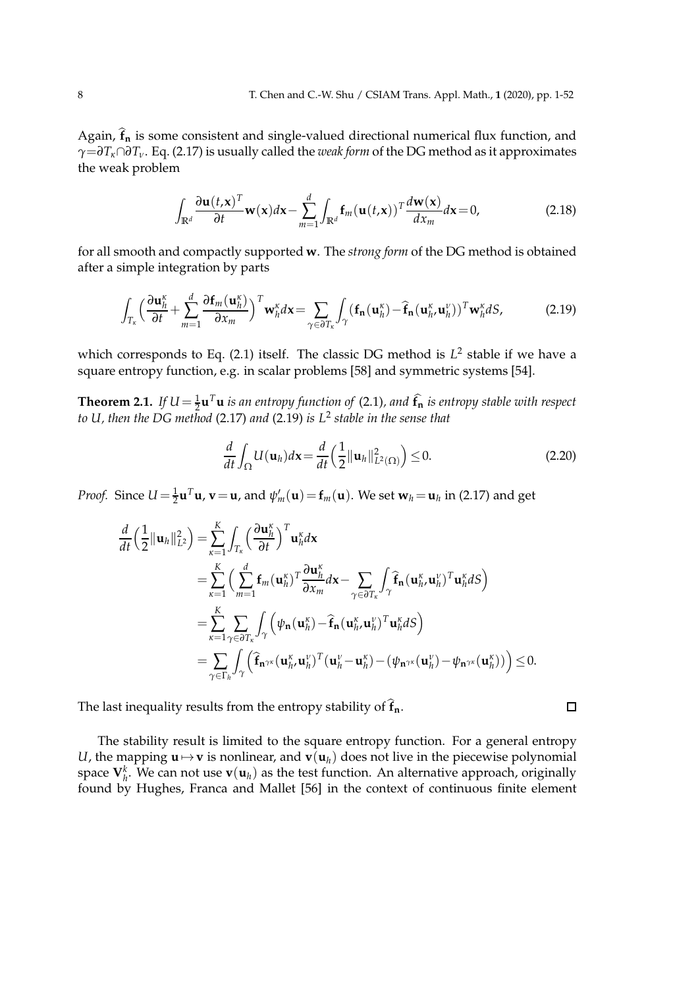Again,  $\hat{f}_n$  is some consistent and single-valued directional numerical flux function, and *γ*=*∂Tκ*∩*∂Tν*. Eq. (2.17) is usually called the *weak form* of the DG method as it approximates the weak problem

$$
\int_{\mathbb{R}^d} \frac{\partial \mathbf{u}(t, \mathbf{x})^T}{\partial t} \mathbf{w}(\mathbf{x}) d\mathbf{x} - \sum_{m=1}^d \int_{\mathbb{R}^d} \mathbf{f}_m(\mathbf{u}(t, \mathbf{x}))^T \frac{d \mathbf{w}(\mathbf{x})}{d x_m} d\mathbf{x} = 0,
$$
\n(2.18)

for all smooth and compactly supported **w**. The *strong form* of the DG method is obtained after a simple integration by parts

$$
\int_{T_{\kappa}} \left( \frac{\partial \mathbf{u}_h^{\kappa}}{\partial t} + \sum_{m=1}^d \frac{\partial \mathbf{f}_m(\mathbf{u}_h^{\kappa})}{\partial x_m} \right)^T \mathbf{w}_h^{\kappa} d\mathbf{x} = \sum_{\gamma \in \partial T_{\kappa}} \int_{\gamma} (\mathbf{f}_n(\mathbf{u}_h^{\kappa}) - \mathbf{\hat{f}}_n(\mathbf{u}_h^{\kappa}, \mathbf{u}_h^{\nu}))^T \mathbf{w}_h^{\kappa} dS, \tag{2.19}
$$

which corresponds to Eq. (2.1) itself. The classic DG method is  $L^2$  stable if we have a square entropy function, e.g. in scalar problems [58] and symmetric systems [54].

**Theorem 2.1.** If  $U = \frac{1}{2} \mathbf{u}^T \mathbf{u}$  is an entropy function of (2.1), and  $\hat{\mathbf{f}}_{\mathbf{n}}$  is entropy stable with respect *to U, then the DG method* (2.17) *and* (2.19) *is L*<sup>2</sup> *stable in the sense that*

$$
\frac{d}{dt}\int_{\Omega}U(\mathbf{u}_{h})d\mathbf{x}=\frac{d}{dt}\left(\frac{1}{2}\|\mathbf{u}_{h}\|_{L^{2}(\Omega)}^{2}\right)\leq0.
$$
\n(2.20)

 $\Box$ 

*Proof.* Since  $U = \frac{1}{2} \mathbf{u}^T \mathbf{u}$ ,  $\mathbf{v} = \mathbf{u}$ , and  $\psi'_m(\mathbf{u}) = \mathbf{f}_m(\mathbf{u})$ . We set  $\mathbf{w}_h = \mathbf{u}_h$  in (2.17) and get

$$
\frac{d}{dt} \left( \frac{1}{2} ||\mathbf{u}_{h}||_{L^{2}}^{2} \right) = \sum_{\kappa=1}^{K} \int_{T_{\kappa}} \left( \frac{\partial \mathbf{u}_{h}^{\kappa}}{\partial t} \right)^{T} \mathbf{u}_{h}^{\kappa} d\mathbf{x} \n= \sum_{\kappa=1}^{K} \left( \sum_{m=1}^{d} \mathbf{f}_{m} (\mathbf{u}_{h}^{\kappa})^{T} \frac{\partial \mathbf{u}_{h}^{\kappa}}{\partial x_{m}} d\mathbf{x} - \sum_{\gamma \in \partial T_{\kappa}} \int_{\gamma} \hat{\mathbf{f}}_{n} (\mathbf{u}_{h}^{\kappa}, \mathbf{u}_{h}^{\nu})^{T} \mathbf{u}_{h}^{\kappa} dS \right) \n= \sum_{\kappa=1}^{K} \sum_{\gamma \in \partial T_{\kappa}} \int_{\gamma} \left( \psi_{n} (\mathbf{u}_{h}^{\kappa}) - \hat{\mathbf{f}}_{n} (\mathbf{u}_{h}^{\kappa}, \mathbf{u}_{h}^{\nu})^{T} \mathbf{u}_{h}^{\kappa} dS \right) \n= \sum_{\gamma \in \Gamma_{h}} \int_{\gamma} \left( \hat{\mathbf{f}}_{n^{\gamma\kappa}} (\mathbf{u}_{h}^{\kappa}, \mathbf{u}_{h}^{\nu})^{T} (\mathbf{u}_{h}^{\nu} - \mathbf{u}_{h}^{\kappa}) - (\psi_{n^{\gamma\kappa}} (\mathbf{u}_{h}^{\nu}) - \psi_{n^{\gamma\kappa}} (\mathbf{u}_{h}^{\kappa})) \right) \leq 0.
$$

The last inequality results from the entropy stability of  $\hat{\mathbf{f}}_{\mathbf{n}}$ .

The stability result is limited to the square entropy function. For a general entropy *U*, the mapping  $\mathbf{u} \mapsto \mathbf{v}$  is nonlinear, and  $\mathbf{v}(\mathbf{u}_h)$  does not live in the piecewise polynomial space  $\mathbf{V}_h^k$ . We can not use  $\mathbf{v}(\mathbf{u}_h)$  as the test function. An alternative approach, originally found by Hughes, Franca and Mallet [56] in the context of continuous finite element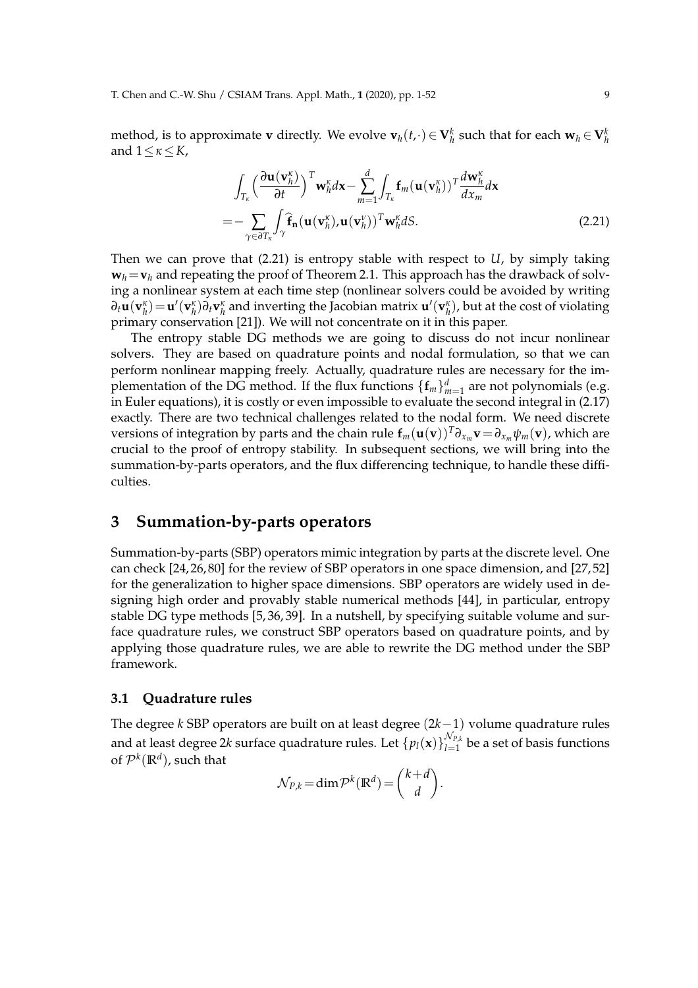method, is to approximate **v** directly. We evolve  $\mathbf{v}_h(t,\cdot) \in \mathbf{V}_h^k$  such that for each  $\mathbf{w}_h \in \mathbf{V}_h^k$ and 1≤*κ*≤*K*,

$$
\int_{T_{\kappa}} \left( \frac{\partial \mathbf{u}(\mathbf{v}_{h}^{\kappa})}{\partial t} \right)^{T} \mathbf{w}_{h}^{\kappa} d\mathbf{x} - \sum_{m=1}^{d} \int_{T_{\kappa}} \mathbf{f}_{m}(\mathbf{u}(\mathbf{v}_{h}^{\kappa}))^{T} \frac{d \mathbf{w}_{h}^{\kappa}}{dx_{m}} d\mathbf{x}
$$
\n
$$
= - \sum_{\gamma \in \partial T_{\kappa}} \int_{\gamma} \hat{\mathbf{f}}_{\mathbf{n}}(\mathbf{u}(\mathbf{v}_{h}^{\kappa}), \mathbf{u}(\mathbf{v}_{h}^{\nu}))^{T} \mathbf{w}_{h}^{\kappa} dS. \tag{2.21}
$$

Then we can prove that (2.21) is entropy stable with respect to *U*, by simply taking  $w_h = v_h$  and repeating the proof of Theorem 2.1. This approach has the drawback of solving a nonlinear system at each time step (nonlinear solvers could be avoided by writing  $\partial_t\mathbf{u}(\mathbf{v}_h^{\kappa})\!=\!\mathbf{u}'(\mathbf{v}_h^{\kappa})\partial_t\mathbf{v}_h^{\kappa}$  and inverting the Jacobian matrix  $\mathbf{u}'(\mathbf{v}_h^{\kappa})$ , but at the cost of violating primary conservation [21]). We will not concentrate on it in this paper.

The entropy stable DG methods we are going to discuss do not incur nonlinear solvers. They are based on quadrature points and nodal formulation, so that we can perform nonlinear mapping freely. Actually, quadrature rules are necessary for the implementation of the DG method. If the flux functions  $\{\mathbf{f}_m\}_{m=1}^d$  are not polynomials (e.g. in Euler equations), it is costly or even impossible to evaluate the second integral in (2.17) exactly. There are two technical challenges related to the nodal form. We need discrete versions of integration by parts and the chain rule  $f_m(\mathbf{u}(\mathbf{v}))^T \partial_{x_m} \mathbf{v} = \partial_{x_m} \psi_m(\mathbf{v})$ , which are crucial to the proof of entropy stability. In subsequent sections, we will bring into the summation-by-parts operators, and the flux differencing technique, to handle these difficulties.

# **3 Summation-by-parts operators**

Summation-by-parts (SBP) operators mimic integration by parts at the discrete level. One can check [24, 26, 80] for the review of SBP operators in one space dimension, and [27, 52] for the generalization to higher space dimensions. SBP operators are widely used in designing high order and provably stable numerical methods [44], in particular, entropy stable DG type methods [5, 36, 39]. In a nutshell, by specifying suitable volume and surface quadrature rules, we construct SBP operators based on quadrature points, and by applying those quadrature rules, we are able to rewrite the DG method under the SBP framework.

### **3.1 Quadrature rules**

The degree *k* SBP operators are built on at least degree (2*k*−1) volume quadrature rules and at least degree 2 $k$  surface quadrature rules. Let  $\{p_l(\mathbf{x})\}_{l=1}^{\mathcal{N}_{P,k}}$  $\sum_{l=1}^{N_{P,k}}$  be a set of basis functions of  $\mathcal{P}^k(\mathbb{R}^d)$ , such that

$$
\mathcal{N}_{P,k} = \dim \mathcal{P}^k(\mathbb{R}^d) = \binom{k+d}{d}.
$$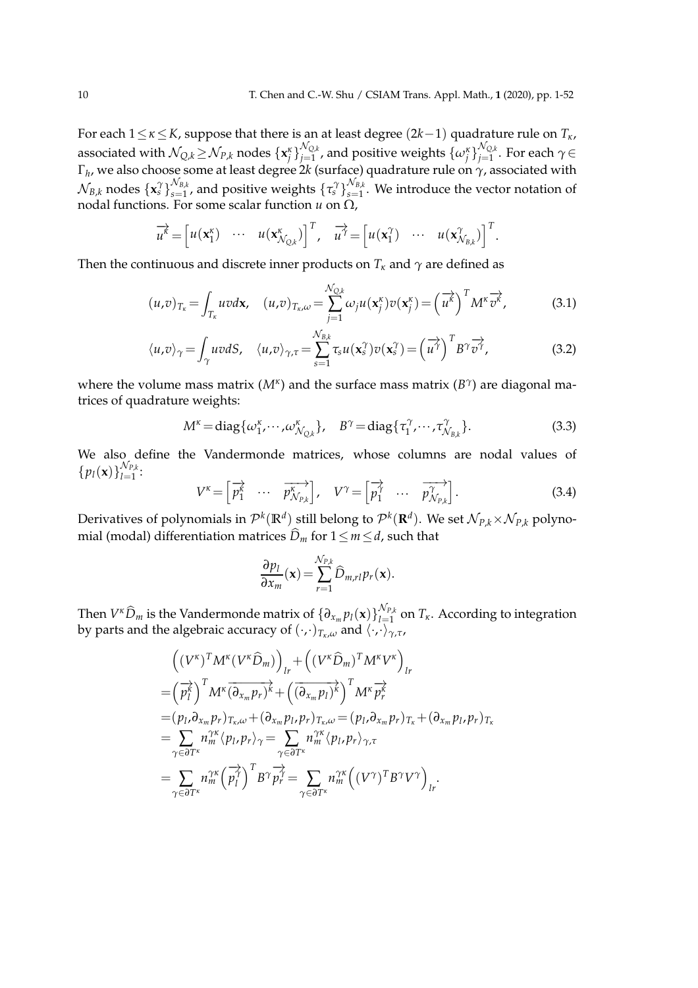For each 1≤*κ*≤*K*, suppose that there is an at least degree (2*k*−1) quadrature rule on *Tκ*, associated with  $\mathcal{N}_{Q,k} \!\geq\! \mathcal{N}_{P,k}$  nodes  $\{\mathbf{x}_j^\kappa\}_{j=1}^{\mathcal{N}_{Q,k}}$  $_{j=1}^{\mathcal{N}_{\mathcal{Q},k}}$  , and positive weights  $\{\omega_j^\kappa\}_{j=1}^{\mathcal{N}_{\mathcal{Q},k}}$ *j*=1 . For each *γ*∈ Γ*h* , we also choose some at least degree 2*k* (surface) quadrature rule on *γ*, associated with  $\mathcal{N}_{B,k}$  nodes  $\{\mathbf{x}_s^{\gamma}\}_{s=1}^{\mathcal{N}_{B,k}}$  $\frac{\mathcal{N}_{B,k}}{S=1}$ , and positive weights  $\{\tau_s^{\gamma}\}_{s=1}^{\mathcal{N}_{B,k}}$  $S_{s=1}^{N_{B,k}}$ . We introduce the vector notation of nodal functions. For some scalar function *u* on Ω,

$$
\overrightarrow{u^k} = \begin{bmatrix} u(\mathbf{x}_1^k) & \cdots & u(\mathbf{x}_{N_{Q,k}}^k) \end{bmatrix}^T, \quad \overrightarrow{u^{\gamma}} = \begin{bmatrix} u(\mathbf{x}_1^{\gamma}) & \cdots & u(\mathbf{x}_{N_{B,k}}^{\gamma}) \end{bmatrix}^T.
$$

Then the continuous and discrete inner products on  $T_k$  and  $\gamma$  are defined as

$$
(u,v)_{T_{\kappa}} = \int_{T_{\kappa}} u v d\mathbf{x}, \quad (u,v)_{T_{\kappa},\omega} = \sum_{j=1}^{\mathcal{N}_{Q,k}} \omega_j u(\mathbf{x}_j^{\kappa}) v(\mathbf{x}_j^{\kappa}) = \left(\overrightarrow{u^{\kappa}}\right)^T M^{\kappa} \overrightarrow{v^{\kappa}}, \tag{3.1}
$$

$$
\langle u,v \rangle_{\gamma} = \int_{\gamma} uv dS, \quad \langle u,v \rangle_{\gamma,\tau} = \sum_{s=1}^{\mathcal{N}_{B,k}} \tau_s u(\mathbf{x}_s^{\gamma}) v(\mathbf{x}_s^{\gamma}) = \left(\overrightarrow{u^{\gamma}}\right)^T B^{\gamma} \overrightarrow{v^{\gamma}}, \tag{3.2}
$$

where the volume mass matrix ( $M^{\kappa}$ ) and the surface mass matrix ( $B^{\gamma}$ ) are diagonal matrices of quadrature weights:

$$
M^{\kappa} = \text{diag}\{\omega_1^{\kappa}, \cdots, \omega_{\mathcal{N}_{Q,k}}^{\kappa}\}, \quad B^{\gamma} = \text{diag}\{\tau_1^{\gamma}, \cdots, \tau_{\mathcal{N}_{B,k}}^{\gamma}\}.
$$
 (3.3)

We also define the Vandermonde matrices, whose columns are nodal values of  $\{p_l(\mathbf{x})\}_{l=1}^{\mathcal{N}_{P,k}}$  $\prod_{l=1}^{N_{P,k}}$ 

$$
V^{\kappa} = \begin{bmatrix} \overrightarrow{p_1^k} & \cdots & \overrightarrow{p_{N_{P,k}}^k} \end{bmatrix}, \quad V^{\gamma} = \begin{bmatrix} \overrightarrow{p_1^{\gamma}} & \cdots & \overrightarrow{p_{N_{P,k}}^{\gamma}} \end{bmatrix}.
$$
 (3.4)

Derivatives of polynomials in  $\mathcal{P}^k(\mathbb{R}^d)$  still belong to  $\mathcal{P}^k(\mathbb{R}^d)$ . We set  $\mathcal{N}_{P,k}\times \mathcal{N}_{P,k}$  polynomial (modal) differentiation matrices  $\widehat{D}_m$  for  $1 \le m \le d$ , such that

$$
\frac{\partial p_l}{\partial x_m}(\mathbf{x}) = \sum_{r=1}^{\mathcal{N}_{P,k}} \widehat{D}_{m,rl} p_r(\mathbf{x}).
$$

Then  $V^{\kappa} \widehat{D}_m$  is the Vandermonde matrix of  $\{\partial_{x_m} p_l(\mathbf{x})\}_{l=1}^{N_{P,k}}$  $\frac{d}{dt}$  on  $T_k$ . According to integration by parts and the algebraic accuracy of (·,·)*Tκ*,*<sup>ω</sup>* and h·,·i*γ*,*τ*,

$$
\begin{split}\n&\left((V^{\kappa})^{T} M^{\kappa} (V^{\kappa} \widehat{D}_{m})\right)_{lr} + \left((V^{\kappa} \widehat{D}_{m})^{T} M^{\kappa} V^{\kappa}\right)_{lr} \\
&= \left(\overrightarrow{p_{l}^{\kappa}}\right)^{T} M^{\kappa} \overrightarrow{(\partial_{x_{m}} p_{r})^{\kappa}} + \left(\overrightarrow{(\partial_{x_{m}} p_{l})^{\kappa}}\right)^{T} M^{\kappa} \overrightarrow{p_{r}^{\kappa}} \\
&= (p_{l}, \partial_{x_{m}} p_{r})_{T_{\kappa}, \omega} + (\partial_{x_{m}} p_{l}, p_{r})_{T_{\kappa}, \omega} = (p_{l}, \partial_{x_{m}} p_{r})_{T_{\kappa}} + (\partial_{x_{m}} p_{l}, p_{r})_{T_{\kappa}} \\
&= \sum_{\gamma \in \partial T^{\kappa}} n_{m}^{\gamma \kappa} \left(p_{l}, p_{r}\right)_{\gamma} = \sum_{\gamma \in \partial T^{\kappa}} n_{m}^{\gamma \kappa} \left(p_{l}, p_{r}\right)_{\gamma, \tau} \\
&= \sum_{\gamma \in \partial T^{\kappa}} n_{m}^{\gamma \kappa} \left(\overrightarrow{p_{l}^{\gamma}}\right)^{T} B^{\gamma} \overrightarrow{p_{r}^{\gamma}} = \sum_{\gamma \in \partial T^{\kappa}} n_{m}^{\gamma \kappa} \left((V^{\gamma})^{T} B^{\gamma} V^{\gamma}\right)_{lr}.\n\end{split}
$$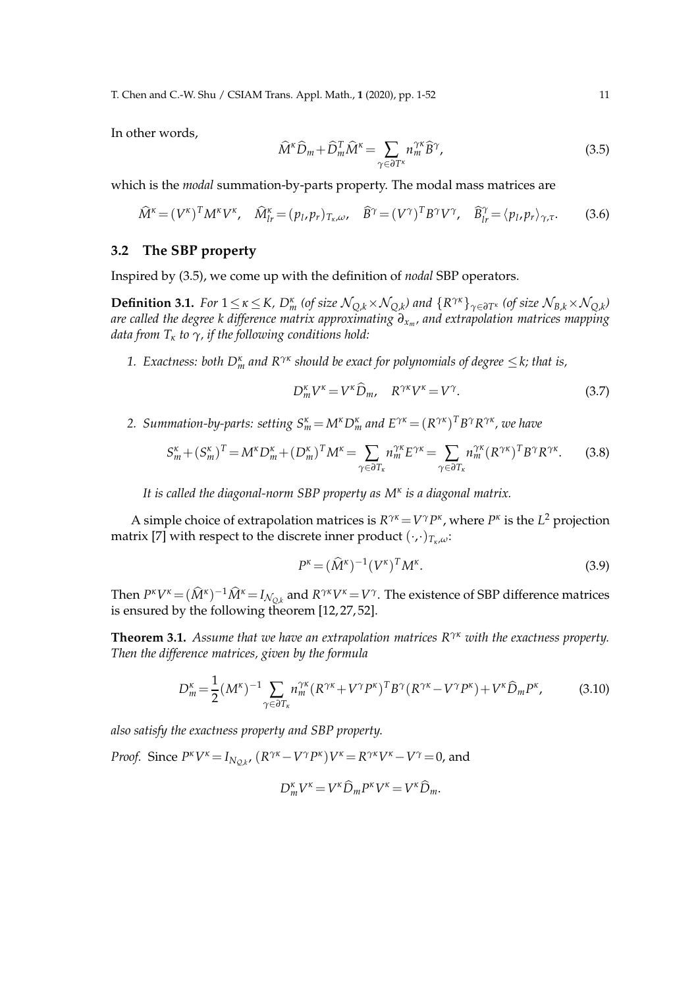T. Chen and C.-W. Shu / CSIAM Trans. Appl. Math., **1** (2020), pp. 1-52 11

In other words,

$$
\widehat{M}^{\kappa}\widehat{D}_{m} + \widehat{D}_{m}^{T}\widehat{M}^{\kappa} = \sum_{\gamma \in \partial T^{\kappa}} n_{m}^{\gamma\kappa}\widehat{B}^{\gamma},\tag{3.5}
$$

which is the *modal* summation-by-parts property. The modal mass matrices are

$$
\widehat{M}^{\kappa} = (V^{\kappa})^T M^{\kappa} V^{\kappa}, \quad \widehat{M}_{lr}^{\kappa} = (p_l, p_r)_{T_{\kappa}, \omega}, \quad \widehat{B}^{\gamma} = (V^{\gamma})^T B^{\gamma} V^{\gamma}, \quad \widehat{B}_{lr}^{\gamma} = \langle p_l, p_r \rangle_{\gamma, \tau}.
$$
 (3.6)

### **3.2 The SBP property**

Inspired by (3.5), we come up with the definition of *nodal* SBP operators.

**Definition 3.1.** For  $1 \leq \kappa \leq K$ ,  $D_m^{\kappa}$  (of size  $\mathcal{N}_{Q,k} \times \mathcal{N}_{Q,k}$ ) and  $\{R^{\gamma\kappa}\}_{\gamma \in \partial T^{\kappa}}$  (of size  $\mathcal{N}_{B,k} \times \mathcal{N}_{Q,k}$ ) *are called the degree k difference matrix approximating ∂x<sup>m</sup> , and extrapolation matrices mapping data from T<sup>κ</sup> to γ, if the following conditions hold:*

*1. Exactness: both D<sup>κ</sup> <sup>m</sup> and Rγκ should be exact for polynomials of degree* ≤*k; that is,*

$$
D_m^{\kappa} V^{\kappa} = V^{\kappa} \widehat{D}_m, \quad R^{\gamma \kappa} V^{\kappa} = V^{\gamma}.
$$
 (3.7)

2. Summation-by-parts: setting  $S_m^{\kappa} = M^{\kappa} D_m^{\kappa}$  and  $E^{\gamma \kappa} = (R^{\gamma \kappa})^T B^{\gamma} R^{\gamma \kappa}$ , we have

$$
S_m^{\kappa} + (S_m^{\kappa})^T = M^{\kappa} D_m^{\kappa} + (D_m^{\kappa})^T M^{\kappa} = \sum_{\gamma \in \partial T_{\kappa}} n_m^{\gamma \kappa} E^{\gamma \kappa} = \sum_{\gamma \in \partial T_{\kappa}} n_m^{\gamma \kappa} (R^{\gamma \kappa})^T B^{\gamma} R^{\gamma \kappa}.
$$
 (3.8)

*It is called the diagonal-norm SBP property as M<sup>κ</sup> is a diagonal matrix.*

A simple choice of extrapolation matrices is  $R^{\gamma\kappa} = V^{\gamma}P^{\kappa}$ , where  $P^{\kappa}$  is the  $L^2$  projection matrix [7] with respect to the discrete inner product (·,·)*Tκ*,*ω*:

$$
P^{\kappa} = (\widehat{M}^{\kappa})^{-1} (V^{\kappa})^T M^{\kappa}.
$$
\n(3.9)

Then  $P^k V^k = (\widehat{M}^k)^{-1} \widehat{M}^k = I_{\mathcal{N}_{Q,k}}$  and  $R^{\gamma k} V^k = V^{\gamma}$ . The existence of SBP difference matrices is ensured by the following theorem [12, 27, 52].

**Theorem 3.1.** *Assume that we have an extrapolation matrices Rγκ with the exactness property. Then the difference matrices, given by the formula*

$$
D_m^{\kappa} = \frac{1}{2} (M^{\kappa})^{-1} \sum_{\gamma \in \partial T_{\kappa}} n_m^{\gamma \kappa} (R^{\gamma \kappa} + V^{\gamma} P^{\kappa})^T B^{\gamma} (R^{\gamma \kappa} - V^{\gamma} P^{\kappa}) + V^{\kappa} \widehat{D}_m P^{\kappa}, \tag{3.10}
$$

*also satisfy the exactness property and SBP property.*

*Proof.* Since  $P^k V^k = I_{N_{Q,k}}$ ,  $(R^{\gamma k} - V^{\gamma} P^k) V^k = R^{\gamma k} V^k - V^{\gamma} = 0$ , and

$$
D_m^{\kappa} V^{\kappa} = V^{\kappa} \widehat{D}_m P^{\kappa} V^{\kappa} = V^{\kappa} \widehat{D}_m.
$$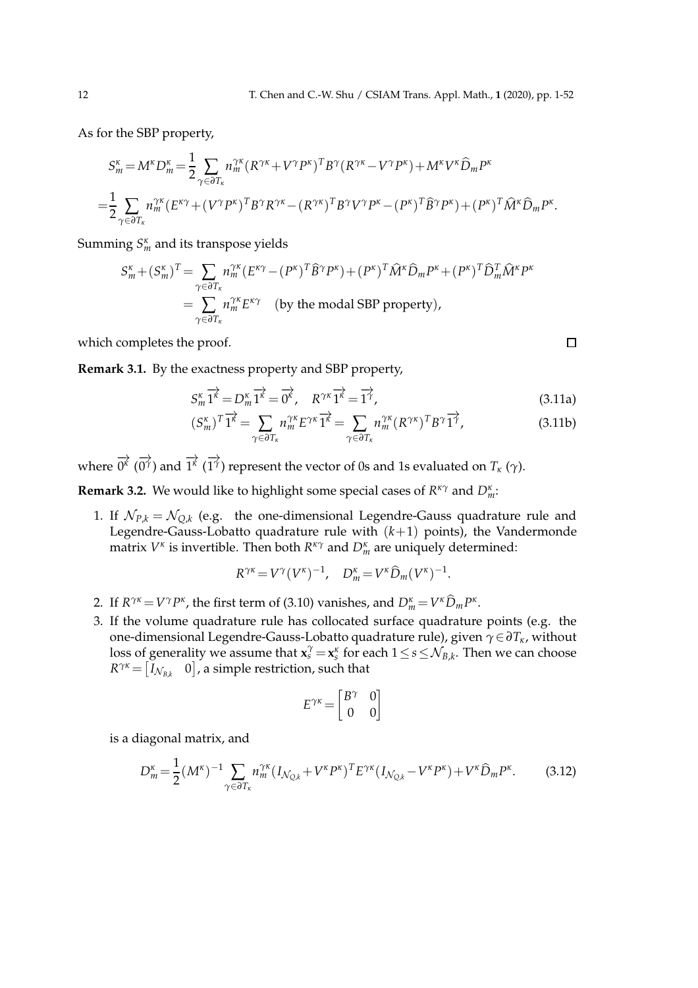As for the SBP property,

$$
S_m^{\kappa} = M^{\kappa} D_m^{\kappa} = \frac{1}{2} \sum_{\gamma \in \partial T_{\kappa}} n_m^{\gamma \kappa} (R^{\gamma \kappa} + V^{\gamma} P^{\kappa})^T B^{\gamma} (R^{\gamma \kappa} - V^{\gamma} P^{\kappa}) + M^{\kappa} V^{\kappa} \widehat{D}_m P^{\kappa}
$$
  
= 
$$
\frac{1}{2} \sum_{\gamma \in \partial T_{\kappa}} n_m^{\gamma \kappa} (E^{\kappa \gamma} + (V^{\gamma} P^{\kappa})^T B^{\gamma} R^{\gamma \kappa} - (R^{\gamma \kappa})^T B^{\gamma} V^{\gamma} P^{\kappa} - (P^{\kappa})^T \widehat{B}^{\gamma} P^{\kappa}) + (P^{\kappa})^T \widehat{M}^{\kappa} \widehat{D}_m P^{\kappa}.
$$

Summing  $S_m^k$  and its transpose yields

$$
S_m^{\kappa} + (S_m^{\kappa})^T = \sum_{\gamma \in \partial T_{\kappa}} n_m^{\gamma \kappa} (E^{\kappa \gamma} - (P^{\kappa})^T \widehat{B}^{\gamma} P^{\kappa}) + (P^{\kappa})^T \widehat{M}^{\kappa} \widehat{D}_m P^{\kappa} + (P^{\kappa})^T \widehat{D}_m^T \widehat{M}^{\kappa} P^{\kappa}
$$
  
= 
$$
\sum_{\gamma \in \partial T_{\kappa}} n_m^{\gamma \kappa} E^{\kappa \gamma} \quad \text{(by the modal SBP property)},
$$

which completes the proof.

**Remark 3.1.** By the exactness property and SBP property,

$$
S_m^{\kappa} \overrightarrow{1^{\kappa}} = D_m^{\kappa} \overrightarrow{1^{\kappa}} = \overrightarrow{0^{\kappa}}, \quad R^{\gamma \kappa} \overrightarrow{1^{\kappa}} = \overrightarrow{1^{\gamma}}, \tag{3.11a}
$$

$$
(S_m^{\kappa})^T \overrightarrow{1^{\kappa}} = \sum_{\gamma \in \partial T_{\kappa}} n_m^{\gamma \kappa} E^{\gamma \kappa} \overrightarrow{1^{\kappa}} = \sum_{\gamma \in \partial T_{\kappa}} n_m^{\gamma \kappa} (R^{\gamma \kappa})^T B^{\gamma} \overrightarrow{1^{\gamma}}, \tag{3.11b}
$$

where  $\overrightarrow{0^k}$  (  $\Rightarrow$  $\overrightarrow{0^{\gamma}}$ ) and  $\overrightarrow{1^{\kappa}}$  ( −→ 1 *γ* ) represent the vector of 0s and 1s evaluated on *T<sup>κ</sup>* (*γ*).

**Remark 3.2.** We would like to highlight some special cases of *R κγ* and *D<sup>κ</sup> m*:

1. If  $\mathcal{N}_{P,k} = \mathcal{N}_{Q,k}$  (e.g. the one-dimensional Legendre-Gauss quadrature rule and Legendre-Gauss-Lobatto quadrature rule with  $(k+1)$  points), the Vandermonde matrix *V κ* is invertible. Then both *R κγ* and *D<sup>κ</sup> <sup>m</sup>* are uniquely determined:

$$
R^{\gamma\kappa} = V^{\gamma} (V^{\kappa})^{-1}, \quad D_m^{\kappa} = V^{\kappa} \widehat{D}_m (V^{\kappa})^{-1}.
$$

- 2. If  $R^{\gamma\kappa} = V^{\gamma}P^{\kappa}$ , the first term of (3.10) vanishes, and  $D_m^{\kappa} = V^{\kappa}\widehat{D}_m P^{\kappa}$ .
- 3. If the volume quadrature rule has collocated surface quadrature points (e.g. the one-dimensional Legendre-Gauss-Lobatto quadrature rule), given *γ*∈*∂Tκ*, without loss of generality we assume that  $\mathbf{x}_s^{\gamma} = \mathbf{x}_s^{\kappa}$  for each  $1 \le s \le \mathcal{N}_{B,k}$ . Then we can choose  $R^{\gamma\kappa} = \begin{bmatrix} I_{\mathcal{N}_{B,k}} & 0 \end{bmatrix}$ , a simple restriction, such that

$$
E^{\gamma\kappa} = \begin{bmatrix} B^{\gamma} & 0 \\ 0 & 0 \end{bmatrix}
$$

is a diagonal matrix, and

$$
D_m^{\kappa} = \frac{1}{2} (M^{\kappa})^{-1} \sum_{\gamma \in \partial T_{\kappa}} n_m^{\gamma \kappa} (I_{\mathcal{N}_{Q,k}} + V^{\kappa} P^{\kappa})^T E^{\gamma \kappa} (I_{\mathcal{N}_{Q,k}} - V^{\kappa} P^{\kappa}) + V^{\kappa} \widehat{D}_m P^{\kappa}.
$$
 (3.12)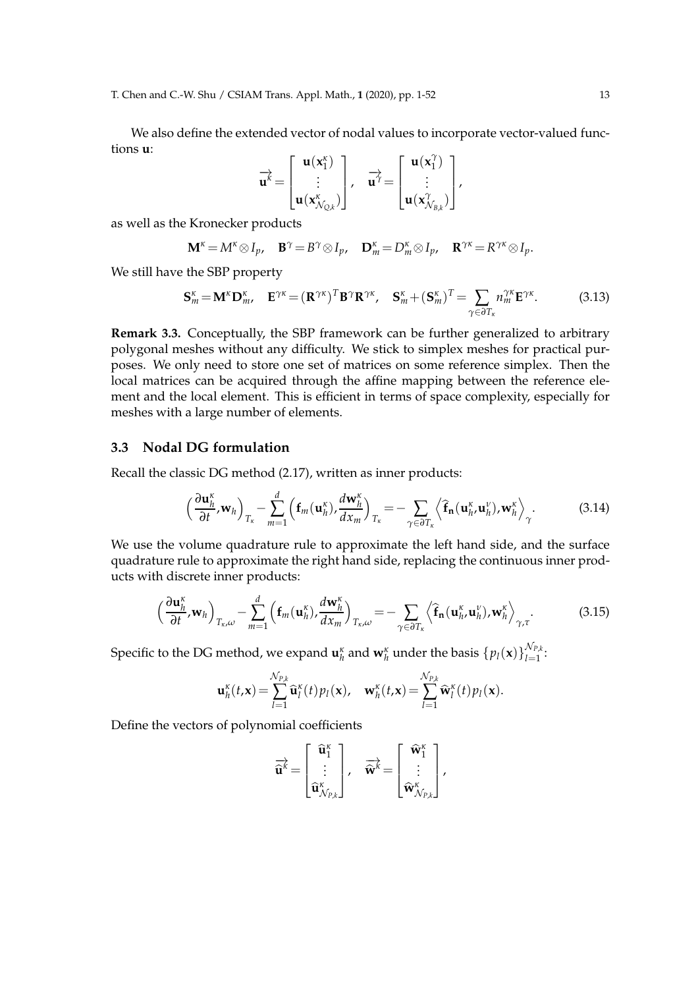We also define the extended vector of nodal values to incorporate vector-valued functions **u**:

$$
\overrightarrow{u^k} = \begin{bmatrix} u(x_1^{\kappa}) \\ \vdots \\ u(x_{N_{Q,k}}^{\kappa}) \end{bmatrix}, \quad \overrightarrow{u^{\gamma}} = \begin{bmatrix} u(x_1^{\gamma}) \\ \vdots \\ u(x_{N_{B,k}}^{\gamma}) \end{bmatrix},
$$

as well as the Kronecker products

$$
\mathbf{M}^{\kappa} = M^{\kappa} \otimes I_p, \quad \mathbf{B}^{\gamma} = B^{\gamma} \otimes I_p, \quad \mathbf{D}_m^{\kappa} = D_m^{\kappa} \otimes I_p, \quad \mathbf{R}^{\gamma \kappa} = R^{\gamma \kappa} \otimes I_p.
$$

We still have the SBP property

$$
\mathbf{S}_{m}^{\kappa} = \mathbf{M}^{\kappa} \mathbf{D}_{m}^{\kappa}, \quad \mathbf{E}^{\gamma \kappa} = (\mathbf{R}^{\gamma \kappa})^T \mathbf{B}^{\gamma} \mathbf{R}^{\gamma \kappa}, \quad \mathbf{S}_{m}^{\kappa} + (\mathbf{S}_{m}^{\kappa})^T = \sum_{\gamma \in \partial T_{\kappa}} n_{m}^{\gamma \kappa} \mathbf{E}^{\gamma \kappa}.
$$
 (3.13)

**Remark 3.3.** Conceptually, the SBP framework can be further generalized to arbitrary polygonal meshes without any difficulty. We stick to simplex meshes for practical purposes. We only need to store one set of matrices on some reference simplex. Then the local matrices can be acquired through the affine mapping between the reference element and the local element. This is efficient in terms of space complexity, especially for meshes with a large number of elements.

### **3.3 Nodal DG formulation**

Recall the classic DG method (2.17), written as inner products:

$$
\left(\frac{\partial \mathbf{u}_h^{\kappa}}{\partial t}, \mathbf{w}_h\right)_{T_{\kappa}} - \sum_{m=1}^d \left(\mathbf{f}_m(\mathbf{u}_h^{\kappa}), \frac{d \mathbf{w}_h^{\kappa}}{d x_m}\right)_{T_{\kappa}} = - \sum_{\gamma \in \partial T_{\kappa}} \left\langle \widehat{\mathbf{f}}_{\mathbf{n}}(\mathbf{u}_h^{\kappa}, \mathbf{u}_h^{\nu}), \mathbf{w}_h^{\kappa} \right\rangle_{\gamma}.
$$
 (3.14)

We use the volume quadrature rule to approximate the left hand side, and the surface quadrature rule to approximate the right hand side, replacing the continuous inner products with discrete inner products:

$$
\left(\frac{\partial \mathbf{u}_h^{\kappa}}{\partial t}, \mathbf{w}_h\right)_{T_{\kappa}, \omega} - \sum_{m=1}^d \left(\mathbf{f}_m(\mathbf{u}_h^{\kappa}), \frac{d \mathbf{w}_h^{\kappa}}{d x_m}\right)_{T_{\kappa}, \omega} = - \sum_{\gamma \in \partial T_{\kappa}} \left\langle \widehat{\mathbf{f}}_{\mathbf{n}}(\mathbf{u}_h^{\kappa}, \mathbf{u}_h^{\nu}), \mathbf{w}_h^{\kappa} \right\rangle_{\gamma, \tau}.
$$
 (3.15)

Specific to the DG method, we expand  $\mathbf{u}_h^{\kappa}$  and  $\mathbf{w}_h^{\kappa}$  under the basis  $\{p_l(\mathbf{x})\}_{l=1}^{\mathcal{N}_{P,k}}$  $\prod_{l=1}^{N}$ 

$$
\mathbf{u}_h^{\kappa}(t,\mathbf{x}) = \sum_{l=1}^{\mathcal{N}_{P,k}} \widehat{\mathbf{u}}_l^{\kappa}(t) p_l(\mathbf{x}), \quad \mathbf{w}_h^{\kappa}(t,\mathbf{x}) = \sum_{l=1}^{\mathcal{N}_{P,k}} \widehat{\mathbf{w}}_l^{\kappa}(t) p_l(\mathbf{x}).
$$

Define the vectors of polynomial coefficients

$$
\overrightarrow{\mathbf{\widehat{u}}^k} = \begin{bmatrix} \mathbf{\widehat{u}}_1^{\kappa} \\ \vdots \\ \mathbf{\widehat{u}}_{N_{P,k}}^{\kappa} \end{bmatrix}, \quad \overrightarrow{\mathbf{\widehat{w}}^k} = \begin{bmatrix} \mathbf{\widehat{w}}_1^{\kappa} \\ \vdots \\ \mathbf{\widehat{w}}_{N_{P,k}}^{\kappa} \end{bmatrix},
$$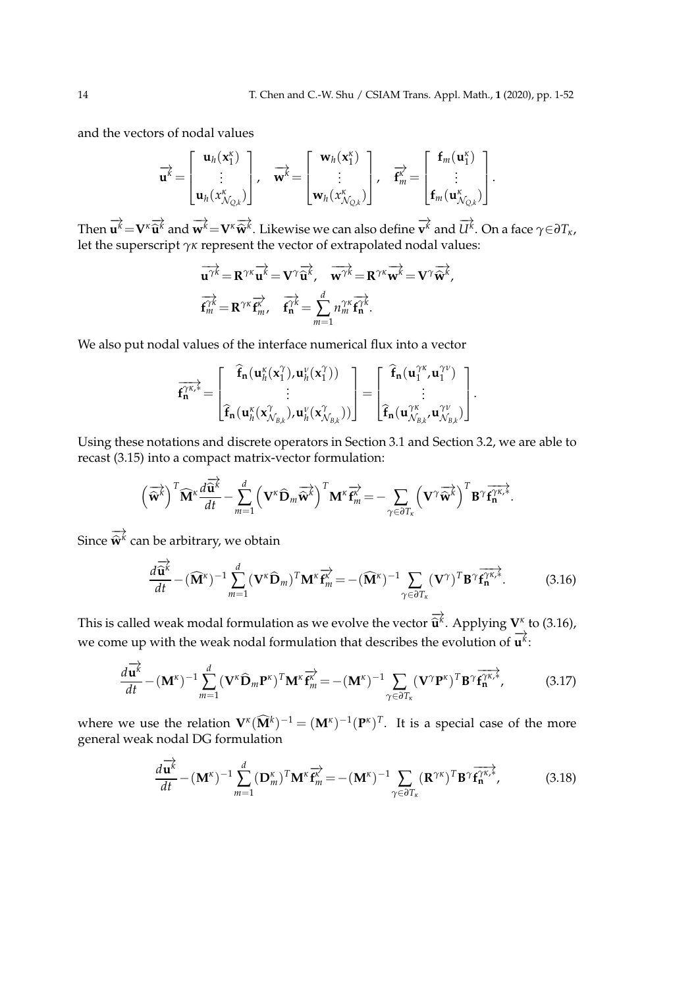and the vectors of nodal values

$$
\overrightarrow{\mathbf{u}^k} = \begin{bmatrix} \mathbf{u}_h(\mathbf{x}_1^k) \\ \vdots \\ \mathbf{u}_h(\mathbf{x}_{N_{Q,k}}^k) \end{bmatrix}, \quad \overrightarrow{\mathbf{w}^k} = \begin{bmatrix} \mathbf{w}_h(\mathbf{x}_1^k) \\ \vdots \\ \mathbf{w}_h(\mathbf{x}_{N_{Q,k}}^k) \end{bmatrix}, \quad \overrightarrow{\mathbf{f}^k_m} = \begin{bmatrix} \mathbf{f}_m(\mathbf{u}_1^k) \\ \vdots \\ \mathbf{f}_m(\mathbf{u}_{N_{Q,k}}^k) \end{bmatrix}.
$$

Then  $\overrightarrow{\mathbf{u}^k} = \mathbf{V}^k \overrightarrow{\mathbf{u}^k}$  and  $\overrightarrow{\mathbf{w}^k} = \mathbf{V}^k \overrightarrow{\mathbf{w}^k}$ . Likewise we can also define  $\overrightarrow{\mathbf{v}^k}$  and  $\overrightarrow{U^k}$ . On a face  $\gamma \in \partial T_{\kappa}$ , let the superscript *γκ* represent the vector of extrapolated nodal values:

$$
\overrightarrow{\mathbf{u}^{\gamma k}} = \mathbf{R}^{\gamma \kappa} \overrightarrow{\mathbf{u}^k} = \mathbf{V}^{\gamma} \overrightarrow{\mathbf{u}^k}, \quad \overrightarrow{\mathbf{w}^{\gamma k}} = \mathbf{R}^{\gamma \kappa} \overrightarrow{\mathbf{w}^k} = \mathbf{V}^{\gamma} \overrightarrow{\mathbf{w}^k},
$$

$$
\overrightarrow{\mathbf{f}^{\gamma k}} = \mathbf{R}^{\gamma \kappa} \overrightarrow{\mathbf{f}^k_{m}}, \quad \overrightarrow{\mathbf{f}^{\gamma k}} = \sum_{m=1}^{d} n_m^{\gamma \kappa} \overrightarrow{\mathbf{f}^{\gamma k}}.
$$

We also put nodal values of the interface numerical flux into a vector

$$
\overrightarrow{f_n^{\gamma\kappa,*}}=\begin{bmatrix} \widehat{f}_n(u_h^\kappa(x_1^\gamma),u_h^\nu(x_1^\gamma)) \\ \vdots \\ \widehat{f}_n(u_h^\kappa(x_{\mathcal{N}_{B,k}}^\gamma),u_h^\nu(x_{\mathcal{N}_{B,k}}^\gamma)) \end{bmatrix}=\begin{bmatrix} \widehat{f}_n(u_1^{\gamma\kappa},u_1^{\gamma\nu}) \\ \vdots \\ \widehat{f}_n(u_{\mathcal{N}_{B,k}}^{\gamma\kappa},u_{\mathcal{N}_{B,k}}^{\gamma\nu}) \end{bmatrix}.
$$

Using these notations and discrete operators in Section 3.1 and Section 3.2, we are able to recast (3.15) into a compact matrix-vector formulation:

$$
\left(\overrightarrow{\hat{\mathbf{w}}^{k}}\right)^{T} \widehat{\mathbf{M}}^{k} \frac{d\overrightarrow{\hat{\mathbf{u}}^{k}}}{dt} - \sum_{m=1}^{d} \left(\mathbf{V}^{k} \widehat{\mathbf{D}}_{m} \overrightarrow{\hat{\mathbf{w}}^{k}}\right)^{T} \mathbf{M}^{k} \overrightarrow{\mathbf{f}_{m}^{k}} = - \sum_{\gamma \in \partial T_{k}} \left(\mathbf{V}^{\gamma} \overrightarrow{\hat{\mathbf{w}}^{k}}\right)^{T} \mathbf{B}^{\gamma} \overrightarrow{\mathbf{f}_{n}^{\gamma k,k}}.
$$

Since  $\Rightarrow$  $\widehat{\mathbf{w}}^k$  can be arbitrary, we obtain

−→

$$
\frac{d\overrightarrow{\mathbf{u}}^k}{dt} - (\widehat{\mathbf{M}}^{\kappa})^{-1} \sum_{m=1}^d (\mathbf{V}^{\kappa} \widehat{\mathbf{D}}_m)^T \mathbf{M}^{\kappa} \overrightarrow{\mathbf{f}_m^{\kappa}} = -(\widehat{\mathbf{M}}^{\kappa})^{-1} \sum_{\gamma \in \partial T_{\kappa}} (\mathbf{V}^{\gamma})^T \mathbf{B}^{\gamma} \overrightarrow{\mathbf{f}_n^{\gamma \kappa,*}}.
$$
(3.16)

This is called weak modal formulation as we evolve the vector  $\overrightarrow{\mathbf{u}}^k$ . Applying  $\mathbf{V}^k$  to (3.16), we come up with the weak nodal formulation that describes the evolution of **u**<sup>*k*</sup>:

$$
\frac{d\overrightarrow{\mathbf{u}^{k}}}{dt} - (\mathbf{M}^{\kappa})^{-1} \sum_{m=1}^{d} (\mathbf{V}^{\kappa} \widehat{\mathbf{D}}_{m} \mathbf{P}^{\kappa})^{T} \mathbf{M}^{\kappa} \overrightarrow{\mathbf{f}^{k}} = -(\mathbf{M}^{\kappa})^{-1} \sum_{\gamma \in \partial T_{\kappa}} (\mathbf{V}^{\gamma} \mathbf{P}^{\kappa})^{T} \mathbf{B}^{\gamma} \overrightarrow{\mathbf{f}^{\gamma \kappa, k}_{n}},
$$
(3.17)

where we use the relation  $\mathbf{V}^k(\widehat{\mathbf{M}}^k)^{-1} = (\mathbf{M}^k)^{-1}(\mathbf{P}^k)^T$ . It is a special case of the more general weak nodal DG formulation

$$
\frac{d\overrightarrow{\mathbf{u}^{k}}}{dt} - (\mathbf{M}^{\kappa})^{-1} \sum_{m=1}^{d} (\mathbf{D}_{m}^{\kappa})^{T} \mathbf{M}^{\kappa} \overrightarrow{\mathbf{f}^{k}} = -(\mathbf{M}^{\kappa})^{-1} \sum_{\gamma \in \partial T_{\kappa}} (\mathbf{R}^{\gamma \kappa})^{T} \mathbf{B}^{\gamma} \overrightarrow{\mathbf{f}^{\gamma \kappa,*}_{\mathbf{n}}},
$$
(3.18)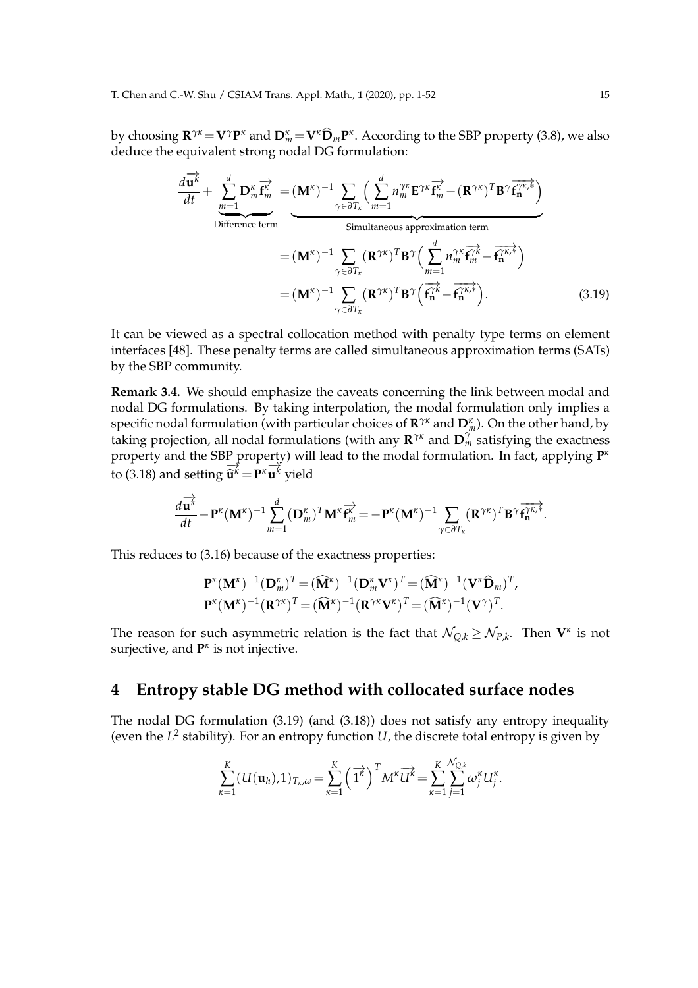by choosing  $\mathbf{R}^{\gamma\kappa} = \mathbf{V}^{\gamma} \mathbf{P}^{\kappa}$  and  $\mathbf{D}_{m}^{\kappa} = \mathbf{V}^{\kappa} \widehat{\mathbf{D}}_{m} \mathbf{P}^{\kappa}$ . According to the SBP property (3.8), we also deduce the equivalent strong nodal DG formulation:

$$
\frac{d\vec{u}^k}{dt} + \sum_{m=1}^d \mathbf{D}_m^{\kappa} \vec{f}_m^{\kappa} = (\mathbf{M}^{\kappa})^{-1} \sum_{\gamma \in \partial T_{\kappa}} \left( \sum_{m=1}^d n_m^{\gamma \kappa} \mathbf{E}^{\gamma \kappa} \vec{f}_m^{\kappa} - (\mathbf{R}^{\gamma \kappa})^T \mathbf{B}^{\gamma} \vec{f}_n^{\gamma \kappa,*} \right)
$$
  
\nDifferent term  
\n
$$
= (\mathbf{M}^{\kappa})^{-1} \sum_{\gamma \in \partial T_{\kappa}} (\mathbf{R}^{\gamma \kappa})^T \mathbf{B}^{\gamma} \left( \sum_{m=1}^d n_m^{\gamma \kappa} \vec{f}_m^{\gamma \kappa} - \vec{f}_n^{\gamma \kappa,*} \right)
$$
  
\n
$$
= (\mathbf{M}^{\kappa})^{-1} \sum_{\gamma \in \partial T_{\kappa}} (\mathbf{R}^{\gamma \kappa})^T \mathbf{B}^{\gamma} \left( \vec{f}_n^{\gamma \kappa} - \vec{f}_n^{\gamma \kappa,*} \right).
$$
 (3.19)

It can be viewed as a spectral collocation method with penalty type terms on element interfaces [48]. These penalty terms are called simultaneous approximation terms (SATs) by the SBP community.

**Remark 3.4.** We should emphasize the caveats concerning the link between modal and nodal DG formulations. By taking interpolation, the modal formulation only implies a specific nodal formulation (with particular choices of **R** *γκ* and **D***<sup>κ</sup> <sup>m</sup>*). On the other hand, by taking projection, all nodal formulations (with any **R** *γκ* and **D** *γ <sup>m</sup>* satisfying the exactness property and the SBP property) will lead to the modal formulation. In fact, applying **P** *κ* to (3.18) and setting  $\overrightarrow{u}^k = P^k \overrightarrow{u}^k$  yield

$$
\frac{d\overrightarrow{\mathbf{u}^k}}{dt} - \mathbf{P}^\kappa(\mathbf{M}^\kappa)^{-1} \sum_{m=1}^d (\mathbf{D}^\kappa_m)^T \mathbf{M}^\kappa \overrightarrow{\mathbf{f}^\kappa_m} = - \mathbf{P}^\kappa(\mathbf{M}^\kappa)^{-1} \sum_{\gamma \in \partial T_\kappa} (\mathbf{R}^{\gamma \kappa})^T \mathbf{B}^\gamma \overrightarrow{\mathbf{f}^{\gamma \kappa,\ast}_\mathbf{n}}.
$$

This reduces to (3.16) because of the exactness properties:

$$
\mathbf{P}^{\kappa}(\mathbf{M}^{\kappa})^{-1}(\mathbf{D}^{\kappa}_{m})^{T} = (\widehat{\mathbf{M}}^{\kappa})^{-1}(\mathbf{D}^{\kappa}_{m}\mathbf{V}^{\kappa})^{T} = (\widehat{\mathbf{M}}^{\kappa})^{-1}(\mathbf{V}^{\kappa}\widehat{\mathbf{D}}_{m})^{T},
$$
  

$$
\mathbf{P}^{\kappa}(\mathbf{M}^{\kappa})^{-1}(\mathbf{R}^{\gamma\kappa})^{T} = (\widehat{\mathbf{M}}^{\kappa})^{-1}(\mathbf{R}^{\gamma\kappa}\mathbf{V}^{\kappa})^{T} = (\widehat{\mathbf{M}}^{\kappa})^{-1}(\mathbf{V}^{\gamma})^{T}.
$$

The reason for such asymmetric relation is the fact that  $\mathcal{N}_{Q,k} \geq \mathcal{N}_{P,k}.$  Then  $\mathbf{V}^{\kappa}$  is not surjective, and **P**<sup>*κ*</sup> is not injective.

# **4 Entropy stable DG method with collocated surface nodes**

The nodal DG formulation (3.19) (and (3.18)) does not satisfy any entropy inequality (even the *L* 2 stability). For an entropy function *U*, the discrete total entropy is given by

$$
\sum_{\kappa=1}^K (U(\mathbf{u}_h),1)_{T_\kappa,\omega} = \sum_{\kappa=1}^K \left(\overrightarrow{1^k}\right)^T M^\kappa \overrightarrow{U^k} = \sum_{\kappa=1}^K \sum_{j=1}^{N_{Q,k}} \omega_j^\kappa U_j^\kappa.
$$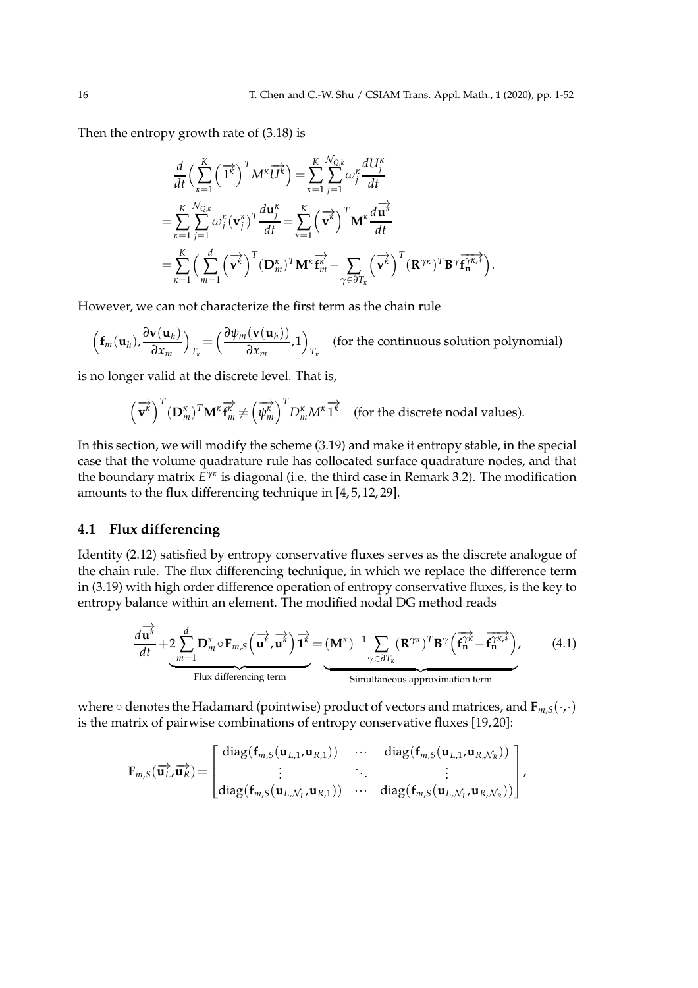Then the entropy growth rate of (3.18) is

$$
\frac{d}{dt} \Big(\sum_{\kappa=1}^{K} \left(\overrightarrow{1^{\kappa}}\right)^{T} M^{\kappa} \overrightarrow{U^{\kappa}}\Big) = \sum_{\kappa=1}^{K} \sum_{j=1}^{N_{Q,k}} \omega_{j}^{\kappa} \frac{dU_{j}^{\kappa}}{dt}
$$
\n
$$
= \sum_{\kappa=1}^{K} \sum_{j=1}^{N_{Q,k}} \omega_{j}^{\kappa} (\mathbf{v}_{j}^{\kappa})^{T} \frac{d\mathbf{u}_{j}^{\kappa}}{dt} = \sum_{\kappa=1}^{K} \left(\overrightarrow{\mathbf{v}^{\kappa}}\right)^{T} \mathbf{M}^{\kappa} \frac{d\overrightarrow{\mathbf{u}^{\kappa}}}{dt}
$$
\n
$$
= \sum_{\kappa=1}^{K} \left(\sum_{m=1}^{d} \left(\overrightarrow{\mathbf{v}^{\kappa}}\right)^{T} (\mathbf{D}_{m}^{\kappa})^{T} \mathbf{M}^{\kappa} \overrightarrow{\mathbf{f}^{\kappa}} - \sum_{\gamma \in \partial T_{\kappa}} \left(\overrightarrow{\mathbf{v}^{\kappa}}\right)^{T} (\mathbf{R}^{\gamma \kappa})^{T} \mathbf{B}^{\gamma} \overrightarrow{\mathbf{f}^{\gamma \kappa,\ast}_{\mathbf{n}}} \right).
$$

However, we can not characterize the first term as the chain rule

$$
\left(\mathbf{f}_m(\mathbf{u}_h), \frac{\partial \mathbf{v}(\mathbf{u}_h)}{\partial x_m}\right)_{T_{\kappa}} = \left(\frac{\partial \psi_m(\mathbf{v}(\mathbf{u}_h))}{\partial x_m}, 1\right)_{T_{\kappa}}
$$
 (for the continuous solution polynomial)

is no longer valid at the discrete level. That is,

$$
\left(\overrightarrow{\mathbf{v}^{k}}\right)^{T}(\mathbf{D}_{m}^{\kappa})^{T}\mathbf{M}^{\kappa}\overrightarrow{\mathbf{f}_{m}^{k}}\neq\left(\overrightarrow{\psi_{m}^{k}}\right)^{T}D_{m}^{\kappa}M^{\kappa}\overrightarrow{1^{\kappa}}
$$
 (for the discrete nodal values).

In this section, we will modify the scheme (3.19) and make it entropy stable, in the special case that the volume quadrature rule has collocated surface quadrature nodes, and that the boundary matrix *E γκ* is diagonal (i.e. the third case in Remark 3.2). The modification amounts to the flux differencing technique in [4, 5, 12, 29].

### **4.1 Flux differencing**

Identity (2.12) satisfied by entropy conservative fluxes serves as the discrete analogue of the chain rule. The flux differencing technique, in which we replace the difference term in (3.19) with high order difference operation of entropy conservative fluxes, is the key to entropy balance within an element. The modified nodal DG method reads

$$
\frac{d\overrightarrow{\mathbf{u}^{k}}}{dt} + 2 \sum_{m=1}^{d} \mathbf{D}_{m}^{\kappa} \circ \mathbf{F}_{m,S} \left( \overrightarrow{\mathbf{u}^{k}}, \overrightarrow{\mathbf{u}^{k}} \right) \overrightarrow{\mathbf{1}^{\kappa}} = (\mathbf{M}^{\kappa})^{-1} \sum_{\gamma \in \partial T_{\kappa}} (\mathbf{R}^{\gamma \kappa})^{T} \mathbf{B}^{\gamma} \left( \overrightarrow{\mathbf{f}^{\gamma \kappa}}_{n} - \overrightarrow{\mathbf{f}^{\gamma \kappa, *}_{n}} \right),
$$
 (4.1)

where ◦ denotes the Hadamard (pointwise) product of vectors and matrices, and **F***m*,*S*(·,·) is the matrix of pairwise combinations of entropy conservative fluxes [19, 20]:

$$
\mathbf{F}_{m,S}(\overrightarrow{\mathbf{u}_{L}},\overrightarrow{\mathbf{u}_{R}})=\begin{bmatrix} \text{diag}(\mathbf{f}_{m,S}(\mathbf{u}_{L,1},\mathbf{u}_{R,1})) & \cdots & \text{diag}(\mathbf{f}_{m,S}(\mathbf{u}_{L,1},\mathbf{u}_{R,N_{R}})) \\ \vdots & \ddots & \vdots \\ \text{diag}(\mathbf{f}_{m,S}(\mathbf{u}_{L,N_{L}},\mathbf{u}_{R,1})) & \cdots & \text{diag}(\mathbf{f}_{m,S}(\mathbf{u}_{L,N_{L}},\mathbf{u}_{R,N_{R}})) \end{bmatrix},
$$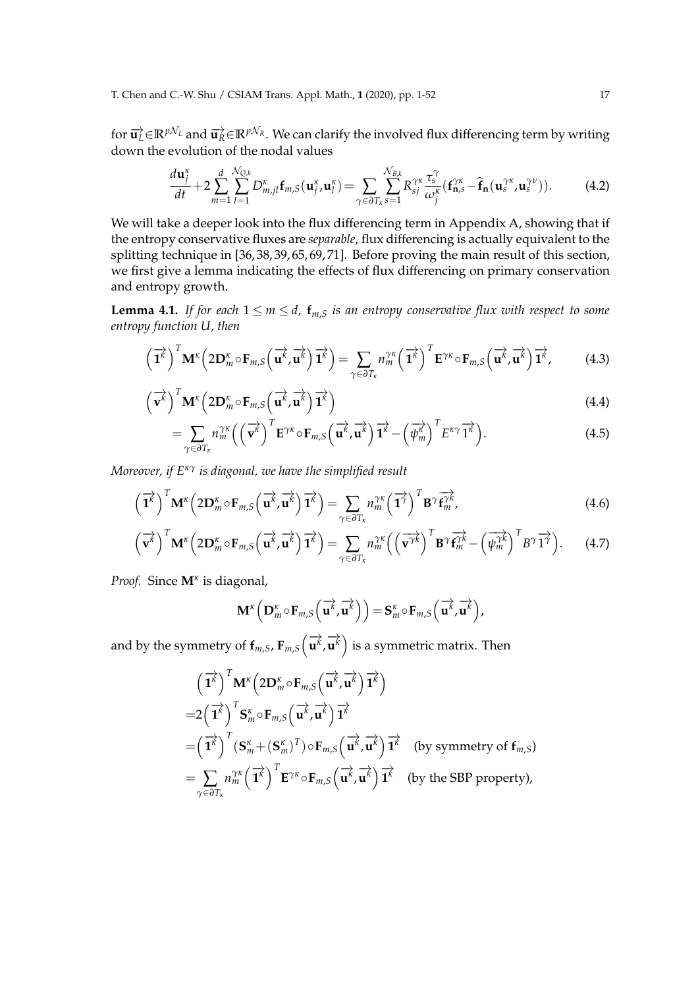for  $\vec{u}_L \in \mathbb{R}^{pN_L}$  and  $\vec{u}_R \in \mathbb{R}^{pN_R}$ . We can clarify the involved flux differencing term by writing down the evolution of the nodal values

$$
\frac{d\mathbf{u}_j^{\kappa}}{dt} + 2\sum_{m=1}^d \sum_{l=1}^{N_{Q,k}} D_{m,jl}^{\kappa} \mathbf{f}_{m,S}(\mathbf{u}_j^{\kappa}, \mathbf{u}_l^{\kappa}) = \sum_{\gamma \in \partial T_{\kappa}} \sum_{s=1}^{N_{B,k}} R_{sj}^{\gamma \kappa} \frac{\tau_s^{\gamma}}{\omega_j^{\kappa}} (\mathbf{f}_{\mathbf{n},s}^{\gamma \kappa} - \mathbf{\hat{f}}_{\mathbf{n}}(\mathbf{u}_s^{\gamma \kappa}, \mathbf{u}_s^{\gamma \nu})).
$$
 (4.2)

We will take a deeper look into the flux differencing term in Appendix A, showing that if the entropy conservative fluxes are *separable*, flux differencing is actually equivalent to the splitting technique in [36, 38, 39, 65, 69, 71]. Before proving the main result of this section, we first give a lemma indicating the effects of flux differencing on primary conservation and entropy growth.

**Lemma 4.1.** *If for each*  $1 \le m \le d$ ,  $f_{m,S}$  *is an entropy conservative flux with respect to some entropy function U, then*

$$
\left(\overrightarrow{\mathbf{1}}^{k}\right)^{T}\mathbf{M}^{k}\left(2\mathbf{D}_{m}^{k}\circ\mathbf{F}_{m,S}\left(\overrightarrow{\mathbf{u}}^{k},\overrightarrow{\mathbf{u}}^{k}\right)\overrightarrow{\mathbf{1}}^{k}\right)=\sum_{\gamma\in\partial T_{k}}n_{m}^{\gamma k}\left(\overrightarrow{\mathbf{1}}^{k}\right)^{T}\mathbf{E}^{\gamma k}\circ\mathbf{F}_{m,S}\left(\overrightarrow{\mathbf{u}}^{k},\overrightarrow{\mathbf{u}}^{k}\right)\overrightarrow{\mathbf{1}}^{k},\tag{4.3}
$$

$$
\left(\overrightarrow{\mathbf{v}^{k}}\right)^{T}\mathbf{M}^{k}\left(2\mathbf{D}_{m}^{k}\circ\mathbf{F}_{m,S}\left(\overrightarrow{\mathbf{u}^{k}},\overrightarrow{\mathbf{u}^{k}}\right)\overrightarrow{\mathbf{1}^{k}}\right)
$$
\n(4.4)

$$
= \sum_{\gamma \in \partial T_{\kappa}} n_m^{\gamma \kappa} \left( \left( \overrightarrow{\mathbf{v}^{\kappa}} \right)^T \mathbf{E}^{\gamma \kappa} \circ \mathbf{F}_{m,S} \left( \overrightarrow{\mathbf{u}^{\kappa}}, \overrightarrow{\mathbf{u}^{\kappa}} \right) \overrightarrow{\mathbf{1}^{\kappa}} - \left( \overrightarrow{\psi_m^{\kappa}} \right)^T E^{\kappa \gamma} \overrightarrow{\mathbf{1}^{\kappa}} \right). \tag{4.5}
$$

*Moreover, if Eκγ is diagonal, we have the simplified result*

$$
\left(\overrightarrow{\mathbf{1}}^{k}\right)^{T}\mathbf{M}^{k}\left(2\mathbf{D}_{m}^{k}\circ\mathbf{F}_{m,S}\left(\overrightarrow{\mathbf{u}}^{k},\overrightarrow{\mathbf{u}}^{k}\right)\overrightarrow{\mathbf{1}}^{k}\right)=\sum_{\gamma\in\partial T_{k}}n_{m}^{\gamma k}\left(\overrightarrow{\mathbf{1}}^{j}\right)^{T}\mathbf{B}^{\gamma}\overrightarrow{\mathbf{f}_{m}^{\gamma k}},\tag{4.6}
$$

$$
\left(\overrightarrow{\mathbf{v}^{k}}\right)^{T}\mathbf{M}^{k}\left(2\mathbf{D}_{m}^{k}\circ\mathbf{F}_{m,S}\left(\overrightarrow{\mathbf{u}^{k}},\overrightarrow{\mathbf{u}^{k}}\right)\overrightarrow{\mathbf{1}^{k}}\right)=\sum_{\gamma\in\partial T_{k}}n_{m}^{\gamma k}\left(\left(\overrightarrow{\mathbf{v}^{\gamma k}}\right)^{T}\mathbf{B}^{\gamma}\overrightarrow{\mathbf{f}^{\gamma k}}-\left(\overrightarrow{\psi_{m}^{\gamma k}}\right)^{T}B^{\gamma}\overrightarrow{\mathbf{1}^{\gamma}}\right).
$$
 (4.7)

*Proof.* Since **M***<sup>κ</sup>* is diagonal,

$$
\mathbf{M}^{\kappa}\left(\mathbf{D}_{m}^{\kappa}\circ\mathbf{F}_{m,S}\left(\overrightarrow{\mathbf{u}^{\kappa}},\overrightarrow{\mathbf{u}^{\kappa}}\right)\right)=\mathbf{S}_{m}^{\kappa}\circ\mathbf{F}_{m,S}\left(\overrightarrow{\mathbf{u}^{\kappa}},\overrightarrow{\mathbf{u}^{\kappa}}\right),
$$

and by the symmetry of  $\mathbf{f}_{m,S}$ ,  $\mathbf{F}_{m,S}\Big(\overrightarrow{\mathbf{u}^k},\overrightarrow{\mathbf{u}^k}\Big)$  $\overrightarrow{\mathbf{u}^k}$  is a symmetric matrix. Then

$$
\begin{split}\n&\left(\overrightarrow{\mathbf{1}}^{k}\right)^{T}\mathbf{M}^{k}\left(2\mathbf{D}_{m}^{k}\circ\mathbf{F}_{m,S}\left(\overrightarrow{\mathbf{u}}^{k},\overrightarrow{\mathbf{u}}^{k}\right)\overrightarrow{\mathbf{1}}^{k}\right) \\
&=2\left(\overrightarrow{\mathbf{1}}^{k}\right)^{T}\mathbf{S}_{m}^{k}\circ\mathbf{F}_{m,S}\left(\overrightarrow{\mathbf{u}}^{k},\overrightarrow{\mathbf{u}}^{k}\right)\overrightarrow{\mathbf{1}}^{k} \\
&=\left(\overrightarrow{\mathbf{1}}^{k}\right)^{T}\left(\mathbf{S}_{m}^{k}+\left(\mathbf{S}_{m}^{k}\right)^{T}\right)\circ\mathbf{F}_{m,S}\left(\overrightarrow{\mathbf{u}}^{k},\overrightarrow{\mathbf{u}}^{k}\right)\overrightarrow{\mathbf{1}}^{k}\quad\text{(by symmetry of } \mathbf{f}_{m,S}\right) \\
&=\sum_{\gamma\in\partial T_{k}}n_{m}^{\gamma\kappa}\left(\overrightarrow{\mathbf{1}}^{k}\right)^{T}\mathbf{E}^{\gamma\kappa}\circ\mathbf{F}_{m,S}\left(\overrightarrow{\mathbf{u}}^{k},\overrightarrow{\mathbf{u}}^{k}\right)\overrightarrow{\mathbf{1}}^{k}\quad\text{(by the SBP property)},\n\end{split}
$$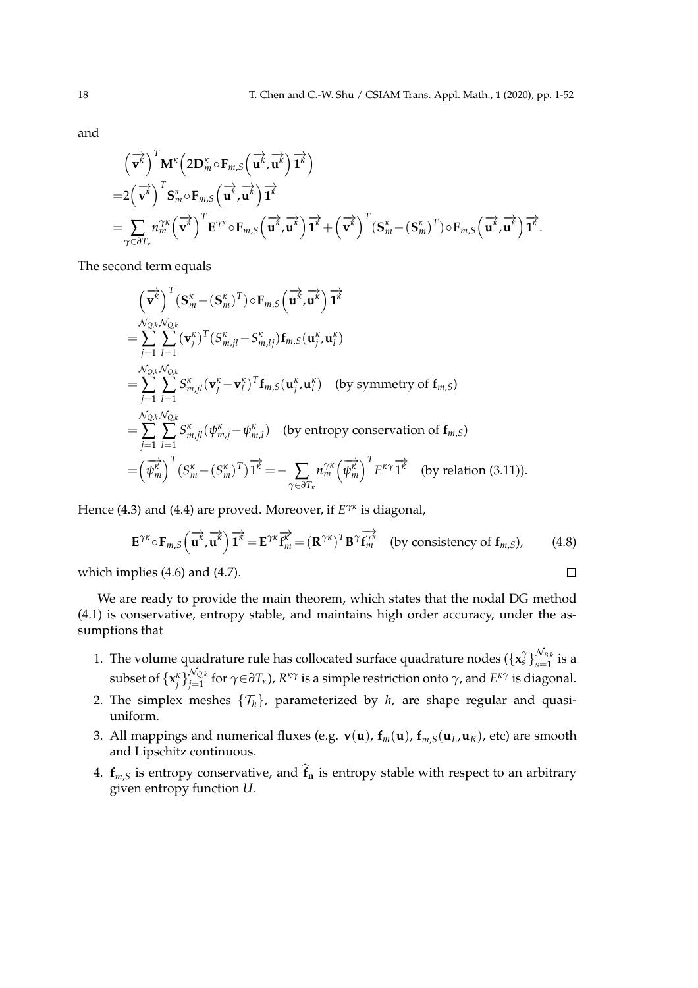and

$$
\begin{split}\n&\left(\overrightarrow{\mathbf{v}^{k}}\right)^{T}\mathbf{M}^{k}\left(2\mathbf{D}_{m}^{k}\circ\mathbf{F}_{m,S}\left(\overrightarrow{\mathbf{u}^{k}},\overrightarrow{\mathbf{u}^{k}}\right)\overrightarrow{\mathbf{1}}^{k}\right) \\
&=2\left(\overrightarrow{\mathbf{v}^{k}}\right)^{T}\mathbf{S}_{m}^{k}\circ\mathbf{F}_{m,S}\left(\overrightarrow{\mathbf{u}^{k}},\overrightarrow{\mathbf{u}^{k}}\right)\overrightarrow{\mathbf{1}}^{k} \\
&=\sum_{\gamma\in\partial T_{\kappa}}n_{m}^{\gamma\kappa}\left(\overrightarrow{\mathbf{v}^{k}}\right)^{T}\mathbf{E}^{\gamma\kappa}\circ\mathbf{F}_{m,S}\left(\overrightarrow{\mathbf{u}^{k}},\overrightarrow{\mathbf{u}^{k}}\right)\overrightarrow{\mathbf{1}}^{k}+\left(\overrightarrow{\mathbf{v}^{k}}\right)^{T}\left(\mathbf{S}_{m}^{\kappa}-\left(\mathbf{S}_{m}^{\kappa}\right)^{T}\right)\circ\mathbf{F}_{m,S}\left(\overrightarrow{\mathbf{u}^{k}},\overrightarrow{\mathbf{u}^{k}}\right)\overrightarrow{\mathbf{1}}^{k}.\n\end{split}
$$

The second term equals

$$
\begin{split}\n&\left(\overrightarrow{\mathbf{v}^{k}}\right)^{T}(\mathbf{S}_{m}^{\kappa}-(\mathbf{S}_{m}^{\kappa})^{T})\circ\mathbf{F}_{m,S}\left(\overrightarrow{\mathbf{u}^{k}},\overrightarrow{\mathbf{u}^{k}}\right)\overrightarrow{1^{k}} \\
&=\sum_{j=1}^{N_{Q,k}N_{Q,k}}\sum_{l=1}^{N_{Q,k}N_{Q,k}}(\mathbf{v}_{j}^{\kappa})^{T}(S_{m,jl}^{\kappa}-S_{m,lj}^{\kappa})\mathbf{f}_{m,S}(\mathbf{u}_{j}^{\kappa},\mathbf{u}_{l}^{\kappa}) \\
&=\sum_{j=1}^{N_{Q,k}N_{Q,k}}\sum_{l=1}^{N_{Q,k}N_{Q,k}}S_{m,jl}^{\kappa}(\mathbf{v}_{j}^{\kappa}-\mathbf{v}_{l}^{\kappa})^{T}\mathbf{f}_{m,S}(\mathbf{u}_{j}^{\kappa},\mathbf{u}_{l}^{\kappa}) \quad \text{(by symmetry of } \mathbf{f}_{m,S}) \\
&=\sum_{j=1}^{N_{Q,k}N_{Q,k}}\sum_{l=1}^{N_{R}}S_{m,jl}^{\kappa}(\psi_{m,j}^{\kappa}-\psi_{m,l}^{\kappa}) \quad \text{(by entropy conservation of } \mathbf{f}_{m,S}) \\
&=\left(\overrightarrow{\psi_{m}}\right)^{T}\left(S_{m}^{\kappa}-\left(S_{m}^{\kappa}\right)^{T}\right)\overrightarrow{1^{k}}=-\sum_{\gamma\in\partial T_{\kappa}}n_{m}^{\gamma\kappa}\left(\overrightarrow{\psi_{m}^{\kappa}}\right)^{T}E^{\kappa\gamma}\overrightarrow{1^{k}} \quad \text{(by relation (3.11))}.\n\end{split}
$$

Hence (4.3) and (4.4) are proved. Moreover, if *E γκ* is diagonal,

$$
\mathbf{E}^{\gamma\kappa} \circ \mathbf{F}_{m,S} \left( \overrightarrow{\mathbf{u}^k}, \overrightarrow{\mathbf{u}^k} \right) \overrightarrow{\mathbf{1}^k} = \mathbf{E}^{\gamma\kappa} \overrightarrow{\mathbf{f}^{\gamma}}_{m} = \left( \mathbf{R}^{\gamma\kappa} \right)^T \mathbf{B}^{\gamma} \overrightarrow{\mathbf{f}^{\gamma k}_{m}} \text{ (by consistency of } \mathbf{f}_{m,S} \text{)}, \qquad (4.8)
$$

 $\Box$ 

which implies (4.6) and (4.7).

We are ready to provide the main theorem, which states that the nodal DG method (4.1) is conservative, entropy stable, and maintains high order accuracy, under the assumptions that

- 1. The volume quadrature rule has collocated surface quadrature nodes  $(\{\pmb{\mathsf{x}}_s^\gamma\}_{s=1}^{N_{B,k}})$  $\sum_{s=1}^{\text{v}}$  is a subset of  $\{\mathbf x_i^{\mathcal K}\}_{j=1}^{{\mathcal N}_{\mathbb Q,k}}$ *j*=1 for *γ*∈*∂Tκ*), *R κγ* is a simple restriction onto *γ*, and *E κγ* is diagonal.
- 2. The simplex meshes  $\{\mathcal{T}_h\}$ , parameterized by *h*, are shape regular and quasiuniform.
- 3. All mappings and numerical fluxes (e.g.  $\mathbf{v}(\mathbf{u})$ ,  $\mathbf{f}_m(\mathbf{u})$ ,  $\mathbf{f}_{m,S}(\mathbf{u}_L,\mathbf{u}_R)$ , etc) are smooth and Lipschitz continuous.
- 4.  $f_{m,S}$  is entropy conservative, and  $\hat{f}_n$  is entropy stable with respect to an arbitrary given entropy function *U*.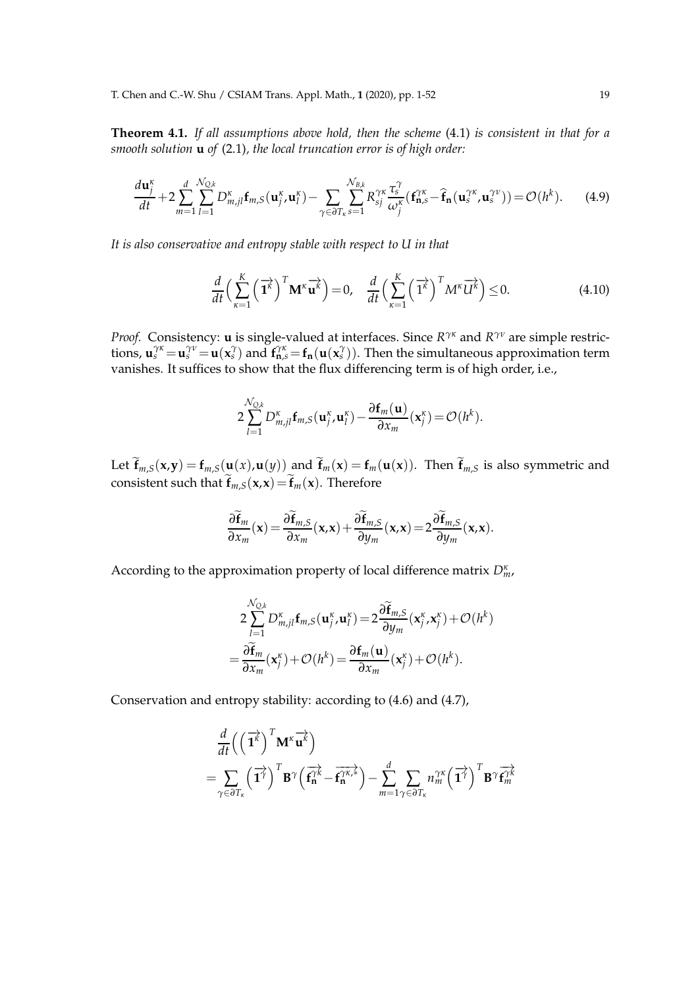**Theorem 4.1.** *If all assumptions above hold, then the scheme* (4.1) *is consistent in that for a smooth solution* **u** *of* (2.1)*, the local truncation error is of high order:*

$$
\frac{d\mathbf{u}_j^{\kappa}}{dt} + 2\sum_{m=1}^d \sum_{l=1}^{N_{Q,k}} D_{m,jl}^{\kappa} \mathbf{f}_{m,S}(\mathbf{u}_j^{\kappa}, \mathbf{u}_l^{\kappa}) - \sum_{\gamma \in \partial T_k} \sum_{s=1}^{N_{B,k}} R_{sj}^{\gamma \kappa} \frac{\tau_s^{\gamma}}{\omega_j^{\kappa}} (\mathbf{f}_{\mathbf{n},s}^{\gamma \kappa} - \mathbf{\hat{f}}_{\mathbf{n}}(\mathbf{u}_s^{\gamma \kappa}, \mathbf{u}_s^{\gamma \nu})) = \mathcal{O}(h^k). \tag{4.9}
$$

*It is also conservative and entropy stable with respect to U in that*

$$
\frac{d}{dt}\left(\sum_{\kappa=1}^{K}\left(\overrightarrow{\mathbf{1}^{k}}\right)^{T}\mathbf{M}^{\kappa}\overrightarrow{\mathbf{u}^{k}}\right)=0, \quad \frac{d}{dt}\left(\sum_{\kappa=1}^{K}\left(\overrightarrow{\mathbf{1}^{k}}\right)^{T}M^{\kappa}\overrightarrow{U^{k}}\right)\leq 0.
$$
\n(4.10)

*Proof.* Consistency: **u** is single-valued at interfaces. Since  $R^{\gamma\kappa}$  and  $R^{\gamma\nu}$  are simple restrictions,  $\mathbf{u}_{s}^{\gamma\kappa} = \mathbf{u}_{s}^{\gamma\nu} = \mathbf{u}(\mathbf{x}_{s}^{\gamma})$  and  $\mathbf{f}_{\mathbf{n},s}^{\gamma\kappa} = \mathbf{f}_{\mathbf{n}}(\mathbf{u}(\mathbf{x}_{s}^{\gamma}))$ . Then the simultaneous approximation term vanishes. It suffices to show that the flux differencing term is of high order, i.e.,

$$
2\sum_{l=1}^{\mathcal{N}_{Q,k}}D_{m,jl}^{\kappa}\mathbf{f}_{m,S}(\mathbf{u}_{j}^{\kappa},\mathbf{u}_{l}^{\kappa})-\frac{\partial\mathbf{f}_{m}(\mathbf{u})}{\partial x_{m}}(\mathbf{x}_{j}^{\kappa})=\mathcal{O}(h^{k}).
$$

Let  $\widetilde{\mathbf{f}}_{m,S}(\mathbf{x},\mathbf{y}) = \mathbf{f}_{m,S}(\mathbf{u}(x),\mathbf{u}(y))$  and  $\widetilde{\mathbf{f}}_m(\mathbf{x}) = \mathbf{f}_m(\mathbf{u}(\mathbf{x}))$ . Then  $\widetilde{\mathbf{f}}_{m,S}$  is also symmetric and consistent such that  $\widetilde{\mathbf{f}}_{m,S}(\mathbf{x},\mathbf{x})=\widetilde{\mathbf{f}}_{m}(\mathbf{x})$ . Therefore

$$
\frac{\partial \widetilde{\mathbf{f}}_m}{\partial x_m}(\mathbf{x}) = \frac{\partial \widetilde{\mathbf{f}}_{m,S}}{\partial x_m}(\mathbf{x}, \mathbf{x}) + \frac{\partial \widetilde{\mathbf{f}}_{m,S}}{\partial y_m}(\mathbf{x}, \mathbf{x}) = 2 \frac{\partial \widetilde{\mathbf{f}}_{m,S}}{\partial y_m}(\mathbf{x}, \mathbf{x}).
$$

According to the approximation property of local difference matrix *D<sup>κ</sup> m*,

$$
2\sum_{l=1}^{\mathcal{N}_{Q,k}} D_{m,jl}^{\kappa} \mathbf{f}_{m,S}(\mathbf{u}_j^{\kappa}, \mathbf{u}_l^{\kappa}) = 2\frac{\partial \widetilde{\mathbf{f}}_{m,S}}{\partial y_m}(\mathbf{x}_j^{\kappa}, \mathbf{x}_j^{\kappa}) + \mathcal{O}(h^k)
$$

$$
= \frac{\partial \widetilde{\mathbf{f}}_m}{\partial x_m}(\mathbf{x}_j^{\kappa}) + \mathcal{O}(h^k) = \frac{\partial \mathbf{f}_m(\mathbf{u})}{\partial x_m}(\mathbf{x}_j^{\kappa}) + \mathcal{O}(h^k).
$$

Conservation and entropy stability: according to (4.6) and (4.7),

$$
\frac{d}{dt}\left(\left(\overrightarrow{\mathbf{1}^{k}}\right)^{T}\mathbf{M}^{k}\overrightarrow{\mathbf{u}^{k}}\right) \n= \sum_{\gamma \in \partial T_{k}}\left(\overrightarrow{\mathbf{1}^{T}}\right)^{T}\mathbf{B}^{\gamma}\left(\overrightarrow{\mathbf{f}_{n}^{\gamma k}} - \overrightarrow{\mathbf{f}_{n}^{\gamma k,k}}\right) - \sum_{m=1}^{d} \sum_{\gamma \in \partial T_{k}} n_{m}^{\gamma k}\left(\overrightarrow{\mathbf{1}^{T}}\right)^{T}\mathbf{B}^{\gamma}\overrightarrow{\mathbf{f}_{m}^{\gamma k}}
$$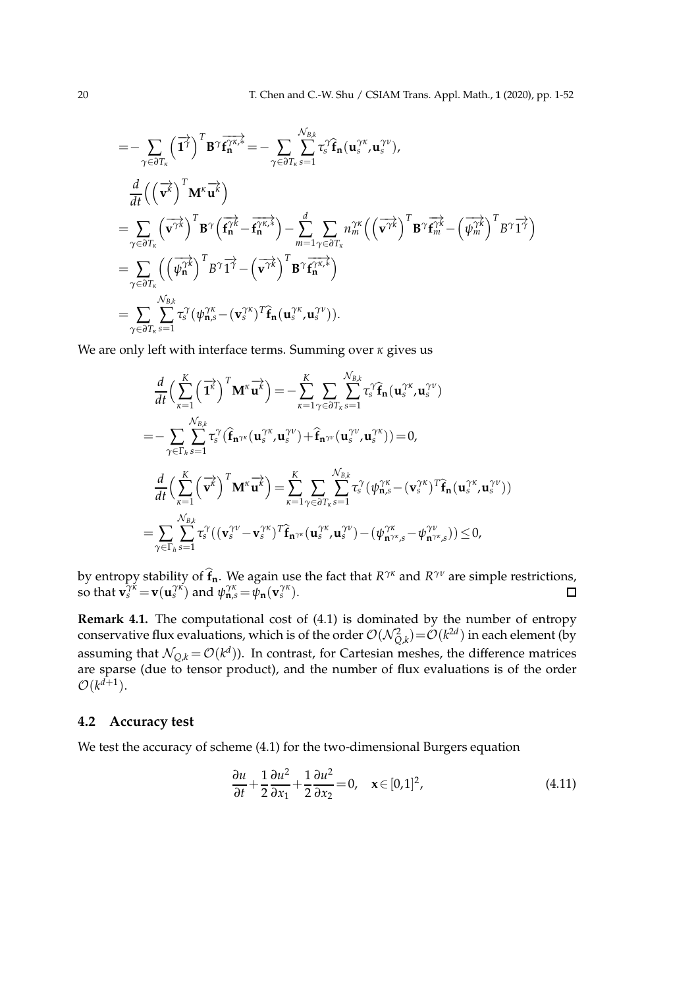$$
= - \sum_{\gamma \in \partial T_{\kappa}} (\vec{T})^{T} B^{\gamma} \vec{f}_{n}^{\gamma \kappa,*} = - \sum_{\gamma \in \partial T_{\kappa}} \sum_{s=1}^{N_{B,k}} \tau_{s}^{\gamma} \hat{f}_{n} (\mathbf{u}_{s}^{\gamma \kappa}, \mathbf{u}_{s}^{\gamma \nu}),
$$
  
\n
$$
\frac{d}{dt} ((\vec{v}^{\kappa})^{T} \mathbf{M}^{\kappa} \vec{u}^{\kappa})
$$
\n
$$
= \sum_{\gamma \in \partial T_{\kappa}} (\vec{v}^{\gamma \kappa})^{T} B^{\gamma} (\vec{f}_{n}^{\gamma \kappa} - \vec{f}_{n}^{\gamma \kappa,*}) - \sum_{m=1}^{d} \sum_{\gamma \in \partial T_{\kappa}} n_{m}^{\gamma \kappa} ((\vec{v}^{\gamma \kappa})^{T} B^{\gamma} \vec{f}_{m}^{\gamma \kappa} - (\vec{\psi}_{m}^{\gamma \kappa})^{T} B^{\gamma} \vec{f}^{\gamma})
$$
\n
$$
= \sum_{\gamma \in \partial T_{\kappa}} ((\vec{\psi}_{n}^{\gamma \kappa})^{T} B^{\gamma} \vec{f}^{\gamma} - (\vec{v}^{\gamma \kappa})^{T} B^{\gamma} \vec{f}_{n}^{\gamma \kappa,*})
$$
\n
$$
= \sum_{\gamma \in \partial T_{\kappa}} \sum_{s=1}^{N_{B,k}} \tau_{s}^{\gamma} (\psi_{n,s}^{\gamma \kappa} - (\mathbf{v}_{s}^{\gamma \kappa})^{T} \hat{\mathbf{f}}_{n} (\mathbf{u}_{s}^{\gamma \kappa}, \mathbf{u}_{s}^{\gamma \nu})).
$$

We are only left with interface terms. Summing over *κ* gives us

$$
\frac{d}{dt} \Big(\sum_{\kappa=1}^{K} \left(\overrightarrow{\mathbf{1}}^{\kappa}\right)^{T} \mathbf{M}^{\kappa} \overrightarrow{\mathbf{u}^{\kappa}}\Big) = -\sum_{\kappa=1}^{K} \sum_{\gamma \in \partial T_{\kappa}} \sum_{s=1}^{N_{B,k}} \tau_{s}^{\gamma} \widehat{\mathbf{f}}_{n}(\mathbf{u}_{s}^{\gamma \kappa}, \mathbf{u}_{s}^{\gamma \nu})
$$
\n
$$
= -\sum_{\gamma \in \Gamma_{h}} \sum_{s=1}^{N_{B,k}} \tau_{s}^{\gamma} (\widehat{\mathbf{f}}_{n^{\gamma \kappa}}(\mathbf{u}_{s}^{\gamma \kappa}, \mathbf{u}_{s}^{\gamma \nu}) + \widehat{\mathbf{f}}_{n^{\gamma \nu}}(\mathbf{u}_{s}^{\gamma \nu}, \mathbf{u}_{s}^{\gamma \kappa})) = 0,
$$
\n
$$
\frac{d}{dt} \Big(\sum_{\kappa=1}^{K} \left(\overrightarrow{\mathbf{v}^{\kappa}}\right)^{T} \mathbf{M}^{\kappa} \overrightarrow{\mathbf{u}^{\kappa}}\Big) = \sum_{\kappa=1}^{K} \sum_{\gamma \in \partial T_{\kappa}} \sum_{s=1}^{N_{B,k}} \tau_{s}^{\gamma} (\psi_{n,s}^{\gamma \kappa} - (\mathbf{v}_{s}^{\gamma \kappa})^{T} \widehat{\mathbf{f}}_{n}(\mathbf{u}_{s}^{\gamma \kappa}, \mathbf{u}_{s}^{\gamma \nu}))
$$
\n
$$
= \sum_{\gamma \in \Gamma_{h}} \sum_{s=1}^{N_{B,k}} \tau_{s}^{\gamma} ((\mathbf{v}_{s}^{\gamma \nu} - \mathbf{v}_{s}^{\gamma \kappa})^{T} \widehat{\mathbf{f}}_{n^{\gamma \kappa}}(\mathbf{u}_{s}^{\gamma \kappa}, \mathbf{u}_{s}^{\gamma \nu}) - (\psi_{n^{\gamma \kappa},s}^{\gamma \kappa} - \psi_{n^{\gamma \kappa},s}^{\gamma \nu})) \leq 0,
$$

by entropy stability of  $\hat{\mathbf{f}}_n$ . We again use the fact that  $R^{\gamma\kappa}$  and  $R^{\gamma\nu}$  are simple restrictions, so that  $\mathbf{v}_s^{\gamma \kappa} = \mathbf{v}(\mathbf{u}_s^{\gamma \kappa})$  and  $\psi_{\mathbf{n},s}^{\gamma \kappa} = \psi_{\mathbf{n}}(\mathbf{v}_s^{\gamma \kappa})$ .  $\Box$ 

**Remark 4.1.** The computational cost of (4.1) is dominated by the number of entropy conservative flux evaluations, which is of the order  $\mathcal{O}(\mathcal{N}_{Q,k}^2)\!=\!\mathcal{O}(k^{2d})$  in each element (by assuming that  $\mathcal{N}_{Q,k} = \mathcal{O}(k^d)$ ). In contrast, for Cartesian meshes, the difference matrices are sparse (due to tensor product), and the number of flux evaluations is of the order  $\mathcal{O}(k^{d+1})$ .

#### **4.2 Accuracy test**

We test the accuracy of scheme (4.1) for the two-dimensional Burgers equation

$$
\frac{\partial u}{\partial t} + \frac{1}{2} \frac{\partial u^2}{\partial x_1} + \frac{1}{2} \frac{\partial u^2}{\partial x_2} = 0, \quad \mathbf{x} \in [0, 1]^2,
$$
\n(4.11)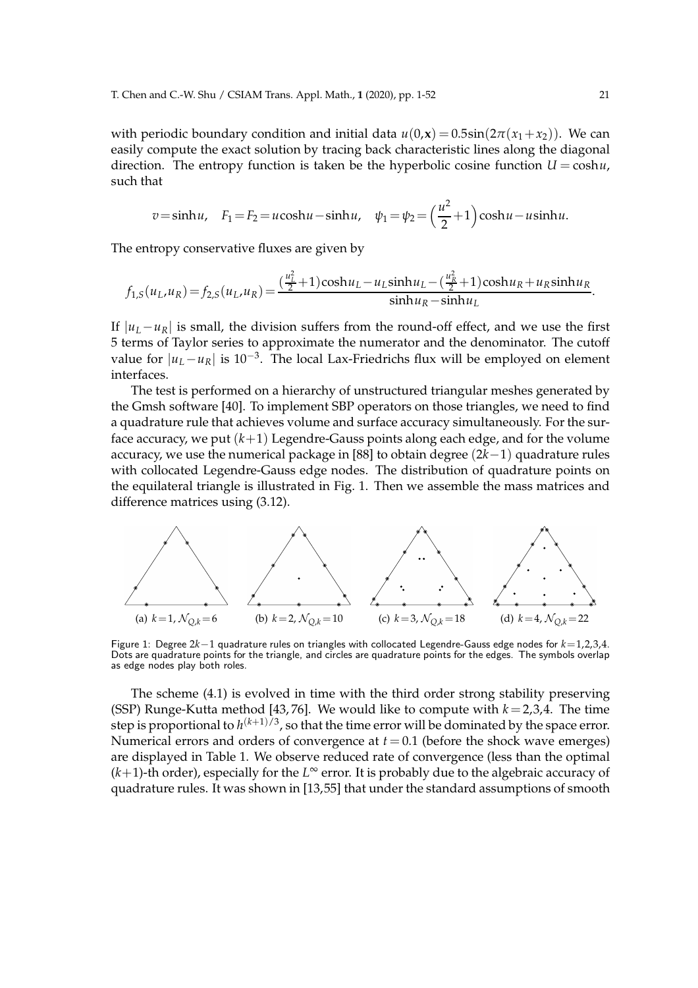with periodic boundary condition and initial data  $u(0,\mathbf{x}) = 0.5\sin(2\pi(x_1+x_2))$ . We can easily compute the exact solution by tracing back characteristic lines along the diagonal direction. The entropy function is taken be the hyperbolic cosine function  $U = \cosh u$ , such that

$$
v = \sinh u, \quad F_1 = F_2 = u \cosh u - \sinh u, \quad \psi_1 = \psi_2 = \left(\frac{u^2}{2} + 1\right) \cosh u - u \sinh u.
$$

The entropy conservative fluxes are given by

$$
f_{1,S}(u_L, u_R) = f_{2,S}(u_L, u_R) = \frac{\left(\frac{u_L^2}{2} + 1\right) \cosh u_L - u_L \sinh u_L - \left(\frac{u_R^2}{2} + 1\right) \cosh u_R + u_R \sinh u_R}{\sinh u_R - \sinh u_L}.
$$

If  $|u_L - u_R|$  is small, the division suffers from the round-off effect, and we use the first 5 terms of Taylor series to approximate the numerator and the denominator. The cutoff value for |*uL*−*uR*| is 10−<sup>3</sup> . The local Lax-Friedrichs flux will be employed on element interfaces.

The test is performed on a hierarchy of unstructured triangular meshes generated by the Gmsh software [40]. To implement SBP operators on those triangles, we need to find a quadrature rule that achieves volume and surface accuracy simultaneously. For the surface accuracy, we put  $(k+1)$  Legendre-Gauss points along each edge, and for the volume accuracy, we use the numerical package in [88] to obtain degree (2*k*−1) quadrature rules with collocated Legendre-Gauss edge nodes. The distribution of quadrature points on the equilateral triangle is illustrated in Fig. 1. Then we assemble the mass matrices and difference matrices using (3.12).



Figure 1: Degree 2*k*−1 quadrature rules on triangles with collocated Legendre-Gauss edge nodes for *k*=1,2,3,4. Dots are quadrature points for the triangle, and circles are quadrature points for the edges. The symbols overlap as edge nodes play both roles.

The scheme (4.1) is evolved in time with the third order strong stability preserving (SSP) Runge-Kutta method [43, 76]. We would like to compute with  $k = 2,3,4$ . The time step is proportional to  $h^{(k+1)/3}$ , so that the time error will be dominated by the space error. Numerical errors and orders of convergence at  $t = 0.1$  (before the shock wave emerges) are displayed in Table 1. We observe reduced rate of convergence (less than the optimal  $(k+1)$ -th order), especially for the  $L^{\infty}$  error. It is probably due to the algebraic accuracy of quadrature rules. It was shown in [13,55] that under the standard assumptions of smooth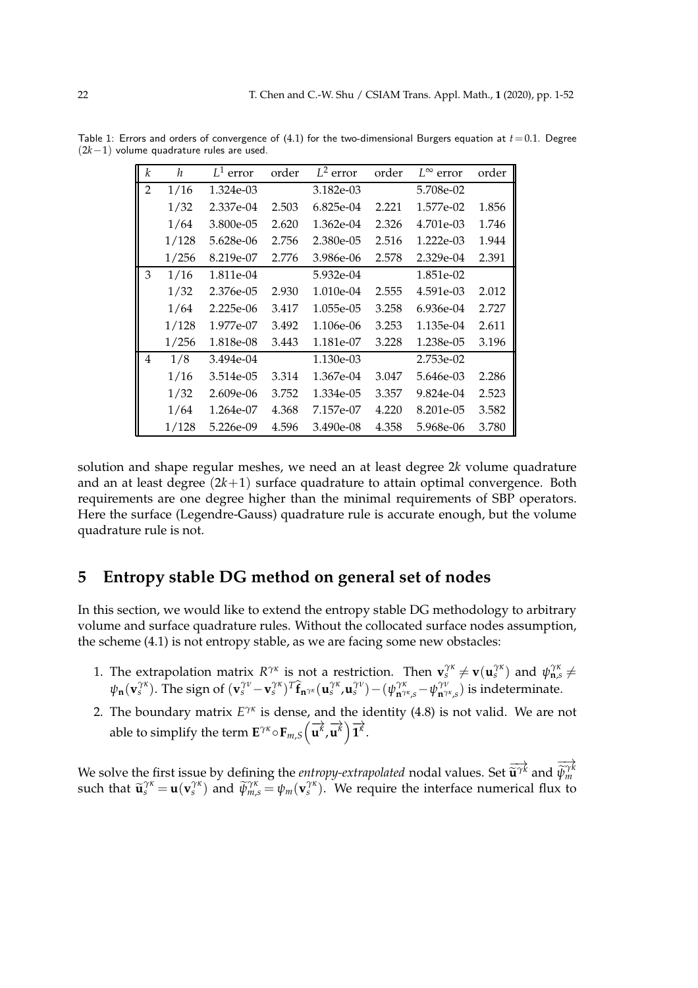| k              | h     | $L^1$ error | order | $L^2$ error | order | $L^{\infty}$ error | order |
|----------------|-------|-------------|-------|-------------|-------|--------------------|-------|
| $\overline{2}$ | 1/16  | 1.324e-03   |       | 3.182e-03   |       | 5.708e-02          |       |
|                | 1/32  | 2.337e-04   | 2.503 | 6.825e-04   | 2.221 | 1.577e-02          | 1.856 |
|                | 1/64  | 3.800e-05   | 2.620 | 1.362e-04   | 2.326 | 4.701e-03          | 1.746 |
|                | 1/128 | 5.628e-06   | 2.756 | 2.380e-05   | 2.516 | 1.222e-03          | 1.944 |
|                | 1/256 | 8.219e-07   | 2.776 | 3.986e-06   | 2.578 | 2.329e-04          | 2.391 |
| 3              | 1/16  | 1.811e-04   |       | 5.932e-04   |       | 1.851e-02          |       |
|                | 1/32  | 2.376e-05   | 2.930 | 1.010e-04   | 2.555 | 4.591e-03          | 2.012 |
|                | 1/64  | 2.225e-06   | 3.417 | 1.055e-05   | 3.258 | 6.936e-04          | 2.727 |
|                | 1/128 | 1.977e-07   | 3.492 | 1.106e-06   | 3.253 | 1.135e-04          | 2.611 |
|                | 1/256 | 1.818e-08   | 3.443 | 1.181e-07   | 3.228 | 1.238e-05          | 3.196 |
| 4              | 1/8   | 3.494e-04   |       | 1.130e-03   |       | 2.753e-02          |       |
|                | 1/16  | 3.514e-05   | 3.314 | 1.367e-04   | 3.047 | 5.646e-03          | 2.286 |
|                | 1/32  | 2.609e-06   | 3.752 | 1.334e-05   | 3.357 | 9.824e-04          | 2.523 |
|                | 1/64  | 1.264e-07   | 4.368 | 7.157e-07   | 4.220 | 8.201e-05          | 3.582 |
|                | 1/128 | 5.226e-09   | 4.596 | 3.490e-08   | 4.358 | 5.968e-06          | 3.780 |

Table 1: Errors and orders of convergence of  $(4.1)$  for the two-dimensional Burgers equation at  $t=0.1$ . Degree (2*k*−1) volume quadrature rules are used.

solution and shape regular meshes, we need an at least degree 2*k* volume quadrature and an at least degree  $(2k+1)$  surface quadrature to attain optimal convergence. Both requirements are one degree higher than the minimal requirements of SBP operators. Here the surface (Legendre-Gauss) quadrature rule is accurate enough, but the volume quadrature rule is not.

# **5 Entropy stable DG method on general set of nodes**

In this section, we would like to extend the entropy stable DG methodology to arbitrary volume and surface quadrature rules. Without the collocated surface nodes assumption, the scheme (4.1) is not entropy stable, as we are facing some new obstacles:

- 1. The extrapolation matrix  $R^{\gamma\kappa}$  is not a restriction. Then  $\mathbf{v}_s^{\gamma\kappa} \neq \mathbf{v}(\mathbf{u}_s^{\gamma\kappa})$  and  $\psi_{\mathbf{n},s}^{\gamma\kappa} \neq$  $\psi_{\mathbf{n}}(\mathbf{v}_{s}^{\gamma\kappa})$ . The sign of  $(\mathbf{v}_{s}^{\gamma\nu}-\mathbf{v}_{s}^{\gamma\kappa})^{T}\hat{\mathbf{f}}_{\mathbf{n}^{\gamma\kappa}}(\mathbf{u}_{s}^{\gamma\kappa},\mathbf{u}_{s}^{\gamma\nu})-(\psi_{\mathbf{n}^{\gamma\kappa},s}^{\gamma\kappa}-\psi_{\mathbf{n}^{\gamma\kappa},s}^{\gamma\nu})$  is indeterminate.
- 2. The boundary matrix  $E^{\gamma \kappa}$  is dense, and the identity (4.8) is not valid. We are not able to simplify the term  $\mathbf{E}^{\gamma \kappa} \circ \mathbf{F}_{m,S}(\overrightarrow{\mathbf{u}^{\kappa}},$  $\overrightarrow{\mathbf{u}^k}$ )  $\overrightarrow{\mathbf{1}^k}$ .

We solve the first issue by defining the *entropy-extrapolated* nodal values. Set  $\Rightarrow$ **u**<sup>γƙ</sup> and  $\Rightarrow$  $\widetilde{\psi}_{m}^{\gamma k}$ such that  $\tilde{\mathbf{u}}_s^{\gamma \kappa} = \mathbf{u}(\mathbf{v}_s^{\gamma \kappa})$  and  $\tilde{\psi}_{m,s}^{\gamma \kappa} = \psi_m(\mathbf{v}_s^{\gamma \kappa})$ . We require the interface numerical flux to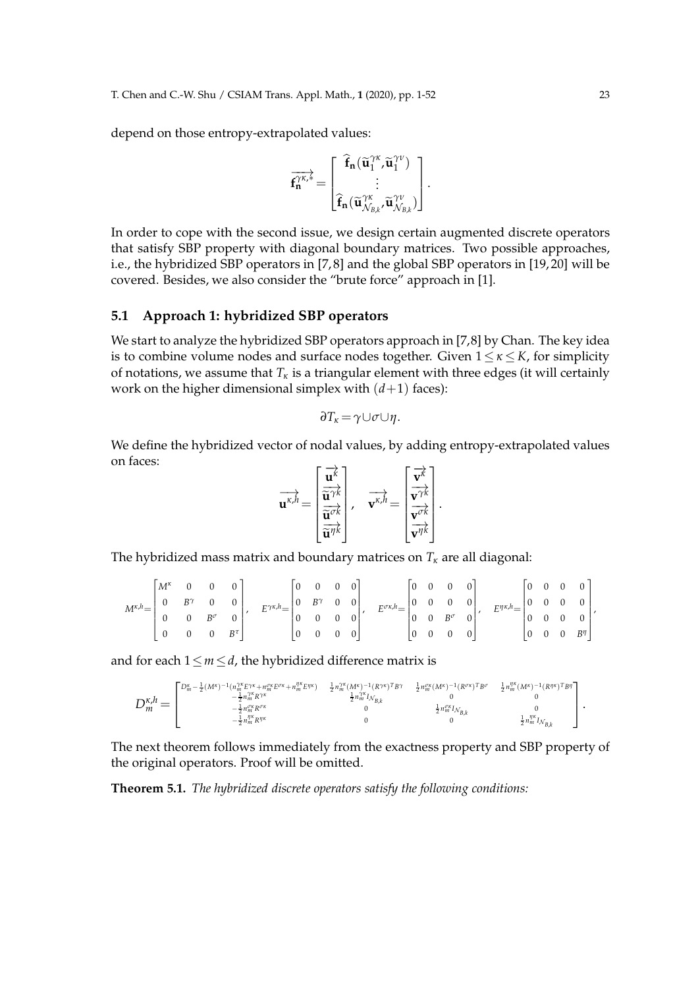depend on those entropy-extrapolated values:

$$
\overrightarrow{f_n^{\gamma\kappa,*}}=\begin{bmatrix} \widehat{f}_n(\widetilde{u}_1^{\gamma\kappa},\widetilde{u}_1^{\gamma\nu}) \\ \vdots \\ \widehat{f}_n(\widetilde{u}_{\mathcal{N}_{\mathcal{B},k}^{\gamma\kappa}},\widetilde{u}_{\mathcal{N}_{\mathcal{B},k}}^{\gamma\nu}) \end{bmatrix}.
$$

In order to cope with the second issue, we design certain augmented discrete operators that satisfy SBP property with diagonal boundary matrices. Two possible approaches, i.e., the hybridized SBP operators in [7, 8] and the global SBP operators in [19, 20] will be covered. Besides, we also consider the "brute force" approach in [1].

### **5.1 Approach 1: hybridized SBP operators**

We start to analyze the hybridized SBP operators approach in [7,8] by Chan. The key idea is to combine volume nodes and surface nodes together. Given  $1 \leq \kappa \leq K$ , for simplicity of notations, we assume that  $T_k$  is a triangular element with three edges (it will certainly work on the higher dimensional simplex with  $(d+1)$  faces):

$$
\partial T_{\kappa} = \gamma \cup \sigma \cup \eta.
$$

We define the hybridized vector of nodal values, by adding entropy-extrapolated values on faces:

$$
\overrightarrow{\mathbf{u}^{\kappa,h}} = \begin{bmatrix} \overrightarrow{\mathbf{u}^{\kappa}} \\ \overrightarrow{\mathbf{u}^{\gamma\kappa}} \\ \overrightarrow{\mathbf{u}^{\sigma\kappa}} \\ \overrightarrow{\mathbf{u}^{\eta\kappa}} \end{bmatrix}, \quad \overrightarrow{\mathbf{v}^{\kappa,h}} = \begin{bmatrix} \overrightarrow{\mathbf{v}^{\kappa}} \\ \overrightarrow{\mathbf{v}^{\gamma\kappa}} \\ \overrightarrow{\mathbf{v}^{\sigma\kappa}} \\ \overrightarrow{\mathbf{v}^{\eta\kappa}} \end{bmatrix}
$$

.

The hybridized mass matrix and boundary matrices on  $T_k$  are all diagonal:

|  |  |  |  |  |  |  |  | $M^{\kappa,h} \!\!=\!\! \left[\begin{matrix} M^\kappa & 0 & 0 & 0 \\ 0 & B^\gamma & 0 & 0 \\ 0 & 0 & B^\sigma & 0 \\ 0 & 0 & 0 & B^\tau \end{matrix}\right], \quad E^{\gamma\kappa,h} \!\!=\!\! \left[\begin{matrix} 0 & 0 & 0 & 0 \\ 0 & B^\gamma & 0 & 0 \\ 0 & 0 & 0 & 0 \\ 0 & 0 & 0 & 0 \end{matrix}\right], \quad E^{\sigma\kappa,h} \!\!=\!\! \left[\begin{matrix} 0 & 0 & 0 & 0 \\ 0 & 0 & 0 & 0 \\ 0 & 0 & B^\sigma & 0 \\ $ |  |  |  |  |
|--|--|--|--|--|--|--|--|---------------------------------------------------------------------------------------------------------------------------------------------------------------------------------------------------------------------------------------------------------------------------------------------------------------------------------------------------------------------------------------------------------------------------------------|--|--|--|--|
|  |  |  |  |  |  |  |  |                                                                                                                                                                                                                                                                                                                                                                                                                                       |  |  |  |  |
|  |  |  |  |  |  |  |  |                                                                                                                                                                                                                                                                                                                                                                                                                                       |  |  |  |  |

and for each  $1 \le m \le d$ , the hybridized difference matrix is

$$
D_m^{\kappa,h}=\begin{bmatrix} D_m^{\kappa} -\frac{1}{2} (M^{\kappa})^{-1} (n_m^{\gamma\kappa} E^{\gamma\kappa}+n_m^{\gamma\kappa} E^{\sigma\kappa}+n_m^{\gamma\kappa} E^{\eta\kappa}) & \frac{1}{2} n_m^{\gamma\kappa} (M^{\kappa})^{-1} (R^{\gamma\kappa})^T B^{\gamma} & \frac{1}{2} n_m^{\alpha\kappa} (M^{\kappa})^{-1} (R^{\sigma\kappa})^T B^{\sigma} & \frac{1}{2} n_m^{\gamma\kappa} (M^{\kappa})^{-1} (R^{\gamma\kappa})^T B^{\sigma} \\ -\frac{1}{2} n_m^{\gamma\kappa} R^{\sigma\kappa} & 0 & 0 & 0 \\ -\frac{1}{2} n_m^{\alpha\kappa} R^{\sigma\kappa} & 0 & \frac{1}{2} n_m^{\alpha\kappa} I_{\mathcal{N}_{B,k}} & 0 \\ -\frac{1}{2} n_m^{\beta\kappa} R^{\eta\kappa} & 0 & 0 & \frac{1}{2} n_m^{\beta\kappa} I_{\mathcal{N}_{B,k}} & 0 \\ -\frac{1}{2} n_m^{\beta\kappa} R^{\eta\kappa} & 0 & 0 & \frac{1}{2} n_m^{\beta\kappa} I_{\mathcal{N}_{B,k}} & 0 \\ 0 & 0 & 0 & 0 & \frac{1}{2} n_m^{\beta\kappa} I_{\mathcal{N}_{B,k}} \end{bmatrix}.
$$

The next theorem follows immediately from the exactness property and SBP property of the original operators. Proof will be omitted.

**Theorem 5.1.** *The hybridized discrete operators satisfy the following conditions:*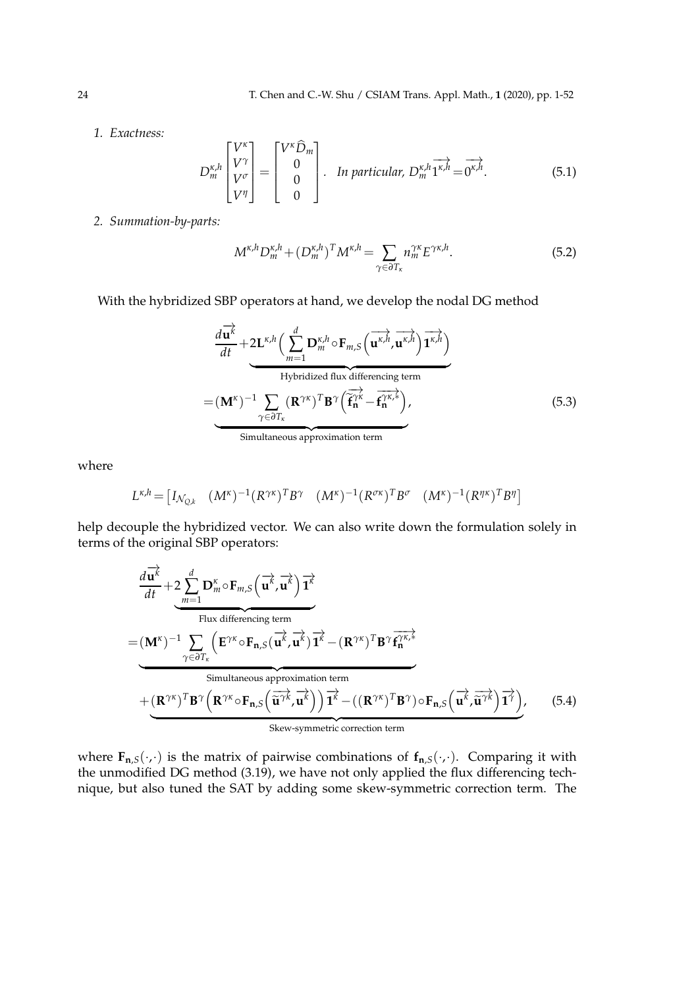*1. Exactness:*

$$
D_m^{\kappa,h}\begin{bmatrix} V^{\kappa} \\ V^{\gamma} \\ V^{\sigma} \\ V^{\eta} \end{bmatrix} = \begin{bmatrix} V^{\kappa} \widehat{D}_m \\ 0 \\ 0 \\ 0 \end{bmatrix}.
$$
 In particular,  $D_m^{\kappa,h} \overrightarrow{1^{\kappa,h}} = \overrightarrow{0^{\kappa,h}}.$  (5.1)

*2. Summation-by-parts:*

$$
M^{\kappa,h}D_m^{\kappa,h} + (D_m^{\kappa,h})^T M^{\kappa,h} = \sum_{\gamma \in \partial T_{\kappa}} n_m^{\gamma\kappa} E^{\gamma\kappa,h}.
$$
 (5.2)

With the hybridized SBP operators at hand, we develop the nodal DG method

$$
\frac{d\overrightarrow{u^k}}{dt} + 2L^{\kappa,h} \left( \sum_{m=1}^{d} D_m^{\kappa,h} \circ F_{m,S} \left( \overrightarrow{u^{\kappa,h}}, \overrightarrow{u^{\kappa,h}} \right) \overrightarrow{1^{\kappa,h}} \right)
$$
  
Hybridized flux differencing term  

$$
= (\mathbf{M}^{\kappa})^{-1} \sum_{\gamma \in \partial T_{\kappa}} (\mathbf{R}^{\gamma\kappa})^T \mathbf{B}^{\gamma} \left( \overrightarrow{f_n^{\gamma\kappa}} - \overrightarrow{f_n^{\gamma\kappa,*}} \right),
$$
(5.3)  
Simultaneous approximation term

where

$$
L^{\kappa,h} = \begin{bmatrix} I_{\mathcal{N}_{Q,k}} & (M^{\kappa})^{-1} (R^{\gamma\kappa})^T B^{\gamma} & (M^{\kappa})^{-1} (R^{\sigma\kappa})^T B^{\sigma} & (M^{\kappa})^{-1} (R^{\eta\kappa})^T B^{\eta} \end{bmatrix}
$$

help decouple the hybridized vector. We can also write down the formulation solely in terms of the original SBP operators:

$$
\frac{d\overrightarrow{u}}{dt} + 2 \sum_{m=1}^{d} D_m^{\kappa} \circ F_{m,S}(\overrightarrow{u^k}, \overrightarrow{u^k}) \overrightarrow{1^k}
$$
\nFlux differencing term\n
$$
= (\mathbf{M}^{\kappa})^{-1} \sum_{\gamma \in \partial T_{\kappa}} (\mathbf{E}^{\gamma \kappa} \circ F_{n,S}(\overrightarrow{u^k}, \overrightarrow{u^k}) \overrightarrow{1^k} - (\mathbf{R}^{\gamma \kappa})^T \mathbf{B}^{\gamma} \overrightarrow{f_n^{\gamma \kappa,*}}
$$
\nSimultaneous approximation term

\n
$$
+ (\mathbf{R}^{\gamma \kappa})^T \mathbf{B}^{\gamma} (\mathbf{R}^{\gamma \kappa} \circ F_{n,S}(\overrightarrow{\tilde{u}^{\gamma \kappa}}, \overrightarrow{\tilde{u}^k})) \overrightarrow{1^k} - ((\mathbf{R}^{\gamma \kappa})^T \mathbf{B}^{\gamma}) \circ F_{n,S}(\overrightarrow{u^k}, \overrightarrow{\tilde{u}^{\gamma \kappa}}) \overrightarrow{1^{\gamma}}), \qquad (5.4)
$$
\nSkew-symmetric correction term

where  $\mathbf{F}_{\mathbf{n},S}(\cdot,\cdot)$  is the matrix of pairwise combinations of  $\mathbf{f}_{\mathbf{n},S}(\cdot,\cdot)$ . Comparing it with the unmodified DG method (3.19), we have not only applied the flux differencing technique, but also tuned the SAT by adding some skew-symmetric correction term. The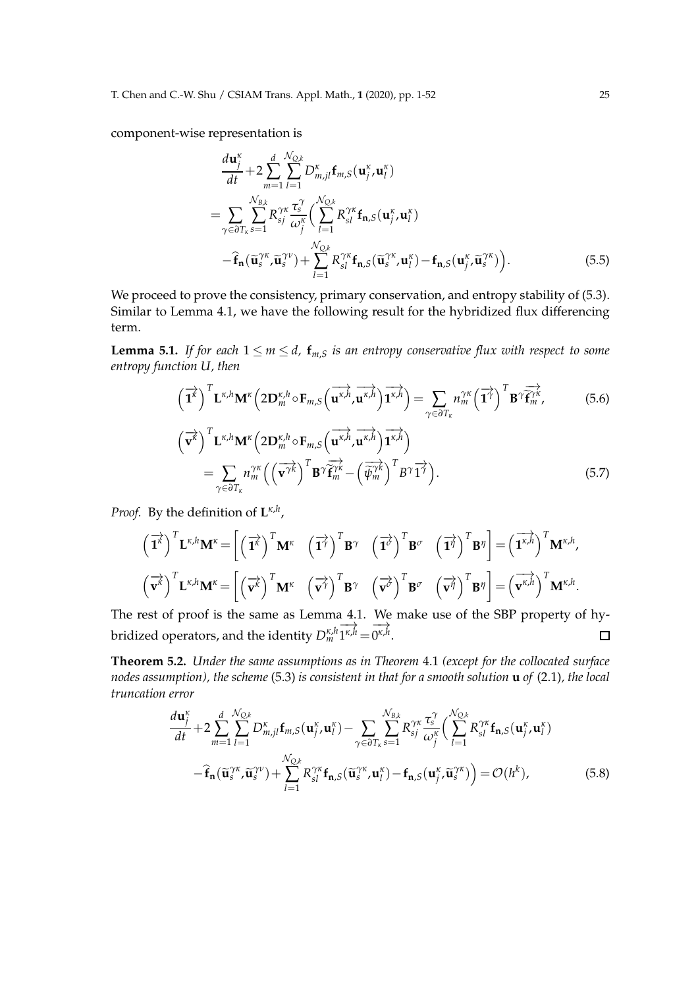component-wise representation is

$$
\frac{d\mathbf{u}_{j}^{\kappa}}{dt} + 2 \sum_{m=1}^{d} \sum_{l=1}^{N_{Q,k}} D_{m,jl}^{\kappa} \mathbf{f}_{m,S}(\mathbf{u}_{j}^{\kappa}, \mathbf{u}_{l}^{\kappa})
$$
\n
$$
= \sum_{\gamma \in \partial T_{\kappa}} \sum_{s=1}^{N_{B,k}} R_{sj}^{\gamma\kappa} \frac{\tau_{s}^{\gamma}}{\omega_{j}^{\kappa}} \Big( \sum_{l=1}^{N_{Q,k}} R_{sl}^{\gamma\kappa} \mathbf{f}_{\mathbf{n},S}(\mathbf{u}_{j}^{\kappa}, \mathbf{u}_{l}^{\kappa})
$$
\n
$$
- \hat{\mathbf{f}}_{\mathbf{n}}(\widetilde{\mathbf{u}}_{s}^{\gamma\kappa}, \widetilde{\mathbf{u}}_{s}^{\gamma\nu}) + \sum_{l=1}^{N_{Q,k}} R_{sl}^{\gamma\kappa} \mathbf{f}_{\mathbf{n},S}(\widetilde{\mathbf{u}}_{s}^{\gamma\kappa}, \mathbf{u}_{l}^{\kappa}) - \mathbf{f}_{\mathbf{n},S}(\mathbf{u}_{j}^{\kappa}, \widetilde{\mathbf{u}}_{s}^{\gamma\kappa}) \Big).
$$
\n(5.5)

We proceed to prove the consistency, primary conservation, and entropy stability of (5.3). Similar to Lemma 4.1, we have the following result for the hybridized flux differencing term.

**Lemma 5.1.** *If for each*  $1 \le m \le d$ ,  $f_{m,S}$  *is an entropy conservative flux with respect to some entropy function U, then*

$$
\left(\overrightarrow{\mathbf{1}^{k}}\right)^{T} \mathbf{L}^{\kappa,h} \mathbf{M}^{\kappa} \left(2\mathbf{D}_{m}^{\kappa,h} \circ \mathbf{F}_{m,S}\left(\overrightarrow{\mathbf{u}^{\kappa,h}},\overrightarrow{\mathbf{u}^{\kappa,h}}\right) \overrightarrow{\mathbf{1}^{\kappa,h}}\right) = \sum_{\gamma \in \partial T_{\kappa}} n_{m}^{\gamma\kappa} \left(\overrightarrow{\mathbf{1}^{\gamma}}\right)^{T} \mathbf{B}^{\gamma} \overrightarrow{\mathbf{f}^{\gamma\kappa}}_{m},
$$
\n
$$
\left(\overrightarrow{\mathbf{v}^{\kappa}}\right)^{T} \mathbf{L}^{\kappa,h} \mathbf{M}^{\kappa} \left(2\mathbf{D}_{m}^{\kappa,h} \circ \mathbf{F}_{m,S}\left(\overrightarrow{\mathbf{u}^{\kappa,h}},\overrightarrow{\mathbf{u}^{\kappa,h}}\right) \overrightarrow{\mathbf{1}^{\kappa,h}}\right)
$$
\n
$$
= \sum_{\gamma \in \partial T_{\kappa}} n_{m}^{\gamma\kappa} \left(\left(\overrightarrow{\mathbf{v}^{\gamma k}}\right)^{T} \mathbf{B}^{\gamma} \overrightarrow{\mathbf{f}^{\gamma\kappa}} - \left(\overrightarrow{\hat{\psi}^{\gamma\kappa}}\right)^{T} \overrightarrow{\mathbf{B}^{\gamma}} \overrightarrow{\mathbf{1}^{\gamma}}\right).
$$
\n(5.7)

*Proof.* By the definition of **L** *κ*,*h* ,

$$
\left(\overrightarrow{\mathbf{1}}^{k}\right)^{T}\mathbf{L}^{\kappa,h}\mathbf{M}^{\kappa} = \left[\left(\overrightarrow{\mathbf{1}}^{k}\right)^{T}\mathbf{M}^{\kappa} \quad \left(\overrightarrow{\mathbf{1}}^{j}\right)^{T}\mathbf{B}^{\gamma} \quad \left(\overrightarrow{\mathbf{1}}^{j}\right)^{T}\mathbf{B}^{\sigma} \quad \left(\overrightarrow{\mathbf{1}}^{j}\right)^{T}\mathbf{B}^{\eta}\right] = \left(\overrightarrow{\mathbf{1}}^{k,h}\right)^{T}\mathbf{M}^{\kappa,h},
$$
\n
$$
\left(\overrightarrow{\mathbf{v}^{k}}\right)^{T}\mathbf{L}^{\kappa,h}\mathbf{M}^{\kappa} = \left[\left(\overrightarrow{\mathbf{v}^{k}}\right)^{T}\mathbf{M}^{\kappa} \quad \left(\overrightarrow{\mathbf{v}^{j}}\right)^{T}\mathbf{B}^{\gamma} \quad \left(\overrightarrow{\mathbf{v}^{j}}\right)^{T}\mathbf{B}^{\sigma} \quad \left(\overrightarrow{\mathbf{v}^{j}}\right)^{T}\mathbf{B}^{\eta}\right] = \left(\overrightarrow{\mathbf{v}^{k,h}}\right)^{T}\mathbf{M}^{\kappa,h}.
$$

The rest of proof is the same as Lemma 4.1. We make use of the SBP property of hy-−→ −→ bridized operators, and the identity *D κ*,*h m*  $1^{\kappa,h}$  =  $0^{\kappa,h}$ .  $\Box$ 

**Theorem 5.2.** *Under the same assumptions as in Theorem* 4.1 *(except for the collocated surface nodes assumption), the scheme* (5.3) *is consistent in that for a smooth solution* **u** *of* (2.1)*, the local truncation error*

$$
\frac{d\mathbf{u}_{j}^{\kappa}}{dt} + 2\sum_{m=1}^{d} \sum_{l=1}^{N_{Q,k}} D_{m,jl}^{\kappa} \mathbf{f}_{m,S}(\mathbf{u}_{j}^{\kappa}, \mathbf{u}_{l}^{\kappa}) - \sum_{\gamma \in \partial T_{\kappa}} \sum_{s=1}^{N_{B,k}} R_{sj}^{\gamma \kappa} \frac{\tau_{s}^{\gamma}}{\omega_{j}^{\kappa}} \left( \sum_{l=1}^{N_{Q,k}} R_{sl}^{\gamma \kappa} \mathbf{f}_{\mathbf{n},S}(\mathbf{u}_{j}^{\kappa}, \mathbf{u}_{l}^{\kappa}) - \widehat{\mathbf{f}}_{\mathbf{n}}(\widetilde{\mathbf{u}}_{s}^{\gamma \kappa}, \widetilde{\mathbf{u}}_{s}^{\gamma \nu}) + \sum_{l=1}^{N_{Q,k}} R_{sl}^{\gamma \kappa} \mathbf{f}_{\mathbf{n},S}(\widetilde{\mathbf{u}}_{s}^{\gamma \kappa}, \mathbf{u}_{l}^{\kappa}) - \mathbf{f}_{\mathbf{n},S}(\mathbf{u}_{j}^{\kappa}, \widetilde{\mathbf{u}}_{s}^{\gamma \kappa}) \right) = \mathcal{O}(h^{k}), \tag{5.8}
$$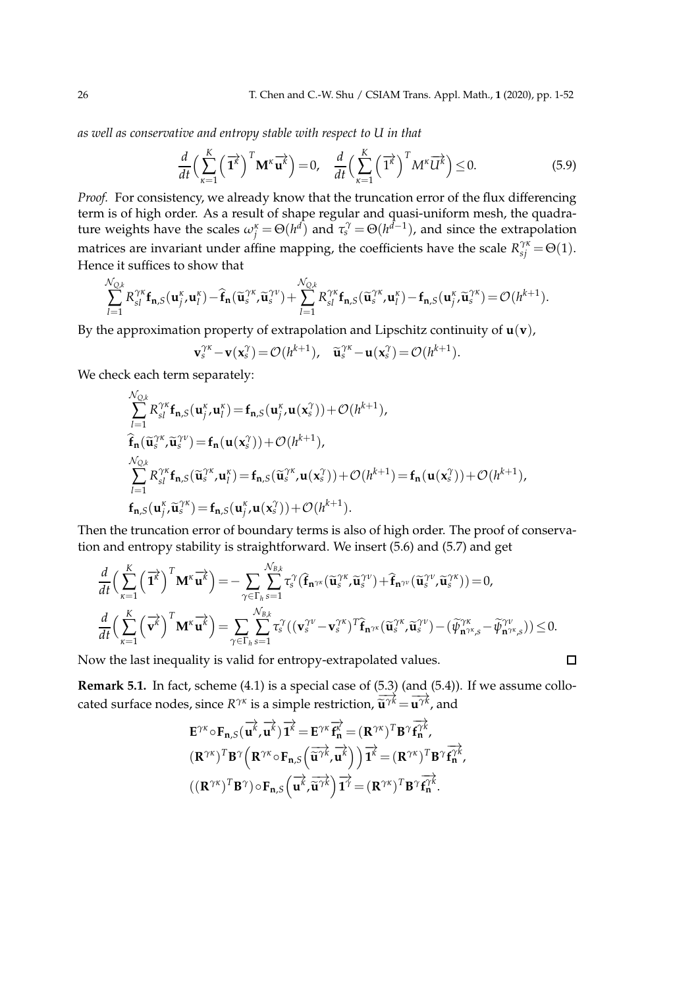*as well as conservative and entropy stable with respect to U in that*

$$
\frac{d}{dt}\left(\sum_{\kappa=1}^{K}\left(\overrightarrow{\mathbf{1}^{k}}\right)^{T}\mathbf{M}^{\kappa}\overrightarrow{\mathbf{u}^{k}}\right)=0, \quad \frac{d}{dt}\left(\sum_{\kappa=1}^{K}\left(\overrightarrow{\mathbf{1}^{k}}\right)^{T}M^{\kappa}\overrightarrow{U^{k}}\right)\leq 0. \tag{5.9}
$$

*Proof.* For consistency, we already know that the truncation error of the flux differencing term is of high order. As a result of shape regular and quasi-uniform mesh, the quadrature weights have the scales  $\omega_j^k = \Theta(h^{d})$  and  $\tau_s^{\gamma} = \Theta(h^{d-1})$ , and since the extrapolation matrices are invariant under affine mapping, the coefficients have the scale  $R_{sj}^{\gamma\kappa} = \Theta(1)$ . Hence it suffices to show that

$$
\sum_{l=1}^{\mathcal{N}_{Q,k}} R_{sl}^{\gamma\kappa} \mathbf{f}_{\mathbf{n},S}(\mathbf{u}_j^{\kappa},\mathbf{u}_l^{\kappa}) - \widehat{\mathbf{f}}_{\mathbf{n}}(\widetilde{\mathbf{u}}_s^{\gamma\kappa},\widetilde{\mathbf{u}}_s^{\gamma\nu}) + \sum_{l=1}^{\mathcal{N}_{Q,k}} R_{sl}^{\gamma\kappa} \mathbf{f}_{\mathbf{n},S}(\widetilde{\mathbf{u}}_s^{\gamma\kappa},\mathbf{u}_l^{\kappa}) - \mathbf{f}_{\mathbf{n},S}(\mathbf{u}_j^{\kappa},\widetilde{\mathbf{u}}_s^{\gamma\kappa}) = \mathcal{O}(h^{k+1}).
$$

By the approximation property of extrapolation and Lipschitz continuity of  $\mathbf{u}(\mathbf{v})$ ,

$$
\mathbf{v}_s^{\gamma\kappa} - \mathbf{v}(\mathbf{x}_s^{\gamma}) = \mathcal{O}(h^{k+1}), \quad \widetilde{\mathbf{u}}_s^{\gamma\kappa} - \mathbf{u}(\mathbf{x}_s^{\gamma}) = \mathcal{O}(h^{k+1}).
$$

We check each term separately:

$$
\sum_{l=1}^{\mathcal{N}_{Q,k}} R_{sl}^{\gamma\kappa} \mathbf{f}_{\mathbf{n},S}(\mathbf{u}_{j}^{\kappa},\mathbf{u}_{l}^{\kappa}) = \mathbf{f}_{\mathbf{n},S}(\mathbf{u}_{j}^{\kappa},\mathbf{u}(\mathbf{x}_{s}^{\gamma}))+\mathcal{O}(h^{k+1}),
$$
  
\n
$$
\hat{\mathbf{f}}_{\mathbf{n}}(\tilde{\mathbf{u}}_{s}^{\gamma\kappa},\tilde{\mathbf{u}}_{s}^{\gamma\nu}) = \mathbf{f}_{\mathbf{n}}(\mathbf{u}(\mathbf{x}_{s}^{\gamma}))+\mathcal{O}(h^{k+1}),
$$
  
\n
$$
\sum_{l=1}^{\mathcal{N}_{Q,k}} R_{sl}^{\gamma\kappa} \mathbf{f}_{\mathbf{n},S}(\tilde{\mathbf{u}}_{s}^{\gamma\kappa},\mathbf{u}_{l}^{\kappa}) = \mathbf{f}_{\mathbf{n},S}(\tilde{\mathbf{u}}_{s}^{\gamma\kappa},\mathbf{u}(\mathbf{x}_{s}^{\gamma}))+\mathcal{O}(h^{k+1}) = \mathbf{f}_{\mathbf{n}}(\mathbf{u}(\mathbf{x}_{s}^{\gamma}))+\mathcal{O}(h^{k+1}),
$$
  
\n
$$
\mathbf{f}_{\mathbf{n},S}(\mathbf{u}_{j}^{\kappa},\tilde{\mathbf{u}}_{s}^{\gamma\kappa}) = \mathbf{f}_{\mathbf{n},S}(\mathbf{u}_{j}^{\kappa},\mathbf{u}(\mathbf{x}_{s}^{\gamma}))+\mathcal{O}(h^{k+1}).
$$

Then the truncation error of boundary terms is also of high order. The proof of conservation and entropy stability is straightforward. We insert (5.6) and (5.7) and get

$$
\frac{d}{dt}\Big(\sum_{\kappa=1}^K \Big(\overrightarrow{\mathbf{1}}^{\kappa}\Big)^T \mathbf{M}^{\kappa} \overrightarrow{\mathbf{u}}^{\kappa}\Big) = -\sum_{\gamma \in \Gamma_h} \sum_{s=1}^{\mathcal{N}_{B,k}} \tau_s^{\gamma} \big(\widehat{\mathbf{f}}_{\mathbf{n}^{\gamma \kappa}}(\widetilde{\mathbf{u}}_s^{\gamma \kappa}, \widetilde{\mathbf{u}}_s^{\gamma \nu}) + \widehat{\mathbf{f}}_{\mathbf{n}^{\gamma \nu}}(\widetilde{\mathbf{u}}_s^{\gamma \kappa}, \widetilde{\mathbf{u}}_s^{\gamma \kappa})\big) = 0,
$$
\n
$$
\frac{d}{dt}\Big(\sum_{\kappa=1}^K \Big(\overrightarrow{\mathbf{v}^{\kappa}}\Big)^T \mathbf{M}^{\kappa} \overrightarrow{\mathbf{u}^{\kappa}}\Big) = \sum_{\gamma \in \Gamma_h} \sum_{s=1}^{\mathcal{N}_{B,k}} \tau_s^{\gamma} \big((\mathbf{v}_s^{\gamma \nu} - \mathbf{v}_s^{\gamma \kappa})^T \widehat{\mathbf{f}}_{\mathbf{n}^{\gamma \kappa}}(\widetilde{\mathbf{u}}_s^{\gamma \kappa}, \widetilde{\mathbf{u}}_s^{\gamma \nu}) - (\widetilde{\psi}_{\mathbf{n}^{\gamma \kappa},s}^{\gamma \kappa} - \widetilde{\psi}_{\mathbf{n}^{\gamma \kappa},s}^{\gamma \nu})\big) \leq 0.
$$

Now the last inequality is valid for entropy-extrapolated values.

**Remark 5.1.** In fact, scheme (4.1) is a special case of (5.3) (and (5.4)). If we assume collocated surface nodes, since  $R^{\gamma\kappa}$  is a simple restriction,  $\widetilde{\mathbf{u}}^{\gamma\kappa} = \mathbf{u}^{\gamma\kappa}$ , and

$$
\begin{aligned} &\mathbf{E}^{\gamma\kappa}\circ\mathbf{F}_{\mathbf{n},S}(\overrightarrow{\mathbf{u}^{\kappa}},\overrightarrow{\mathbf{u}^{\kappa}})\overrightarrow{\mathbf{1}^{\kappa}}=\mathbf{E}^{\gamma\kappa}\overrightarrow{\mathbf{f}^{\kappa}_{\mathbf{n}}}=(\mathbf{R}^{\gamma\kappa})^{T}\mathbf{B}^{\gamma}\overrightarrow{\mathbf{f}^{\gamma\kappa}_{\mathbf{n}}},\\ &(\mathbf{R}^{\gamma\kappa})^{T}\mathbf{B}^{\gamma}\Big(\mathbf{R}^{\gamma\kappa}\circ\mathbf{F}_{\mathbf{n},S}\Big(\overrightarrow{\mathbf{u}^{\gamma\kappa}},\overrightarrow{\mathbf{u}^{\kappa}}\Big)\Big)\overrightarrow{\mathbf{1}^{\kappa}}=(\mathbf{R}^{\gamma\kappa})^{T}\mathbf{B}^{\gamma}\overrightarrow{\mathbf{f}^{\gamma\kappa}_{\mathbf{n}}},\\ &((\mathbf{R}^{\gamma\kappa})^{T}\mathbf{B}^{\gamma})\circ\mathbf{F}_{\mathbf{n},S}\Big(\overrightarrow{\mathbf{u}^{\kappa}},\overrightarrow{\mathbf{\widetilde{u}^{\gamma\kappa}}}\Big)\overrightarrow{\mathbf{1}^{\gamma}}=(\mathbf{R}^{\gamma\kappa})^{T}\mathbf{B}^{\gamma}\overrightarrow{\mathbf{f}^{\gamma\kappa}_{\mathbf{n}}}.\end{aligned}
$$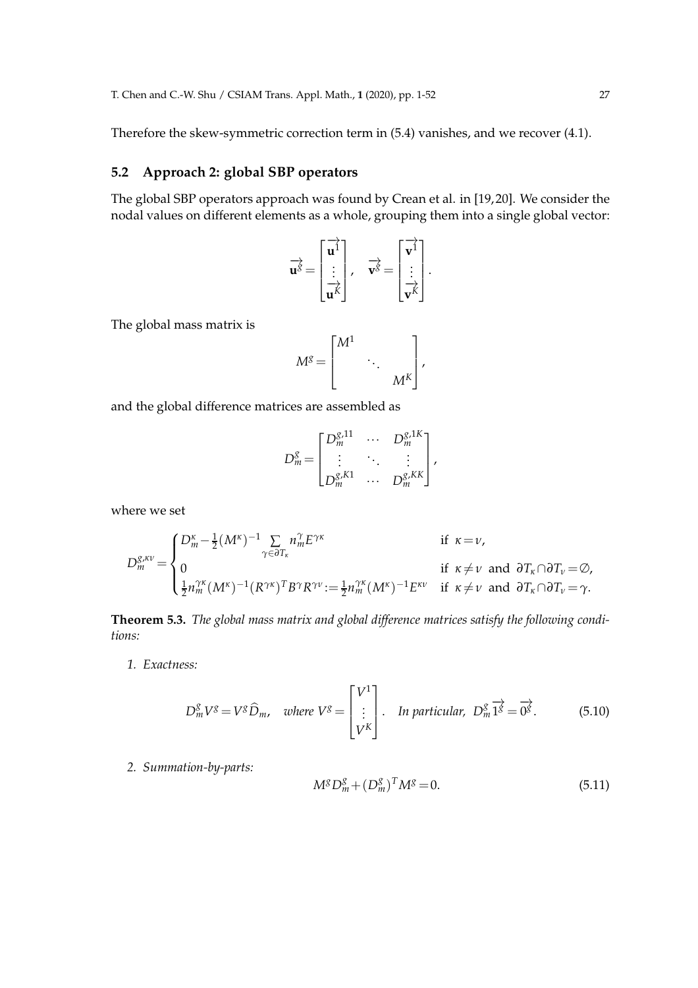Therefore the skew-symmetric correction term in (5.4) vanishes, and we recover (4.1).

# **5.2 Approach 2: global SBP operators**

The global SBP operators approach was found by Crean et al. in [19, 20]. We consider the nodal values on different elements as a whole, grouping them into a single global vector:

$$
\overrightarrow{\mathbf{u}^g} = \begin{bmatrix} \overrightarrow{\mathbf{u}^1} \\ \vdots \\ \overrightarrow{\mathbf{u}^k} \end{bmatrix}, \quad \overrightarrow{\mathbf{v}^g} = \begin{bmatrix} \overrightarrow{\mathbf{v}^1} \\ \vdots \\ \overrightarrow{\mathbf{v}^k} \end{bmatrix}.
$$

The global mass matrix is

$$
M^g = \begin{bmatrix} M^1 & & \\ & \ddots & \\ & & M^K \end{bmatrix},
$$

and the global difference matrices are assembled as

$$
D_m^g = \begin{bmatrix} D_m^{g,11} & \cdots & D_m^{g,1K} \\ \vdots & \ddots & \vdots \\ D_m^{g,K1} & \cdots & D_m^{g,KK} \end{bmatrix},
$$

where we set

$$
D_m^{g,\kappa\nu} = \begin{cases} D_m^{\kappa} - \frac{1}{2} (M^{\kappa})^{-1} \sum_{\gamma \in \partial T_{\kappa}} n_m^{\gamma} E^{\gamma\kappa} & \text{if } \kappa = \nu, \\ 0 & \text{if } \kappa \neq \nu \text{ and } \partial T_{\kappa} \cap \partial T_{\nu} = \emptyset, \\ \frac{1}{2} n_m^{\gamma\kappa} (M^{\kappa})^{-1} (R^{\gamma\kappa})^T B^{\gamma} R^{\gamma\nu} := \frac{1}{2} n_m^{\gamma\kappa} (M^{\kappa})^{-1} E^{\kappa\nu} & \text{if } \kappa \neq \nu \text{ and } \partial T_{\kappa} \cap \partial T_{\nu} = \gamma. \end{cases}
$$

**Theorem 5.3.** *The global mass matrix and global difference matrices satisfy the following conditions:*

*1. Exactness:*

$$
D_m^g V^g = V^g \widehat{D}_m, \quad where \ V^g = \begin{bmatrix} V^1 \\ \vdots \\ V^K \end{bmatrix}. \quad In particular, \ D_m^g \overrightarrow{1^g} = \overrightarrow{0^g}. \tag{5.10}
$$

*2. Summation-by-parts:*

$$
M^g D_m^g + (D_m^g)^T M^g = 0.
$$
\n(5.11)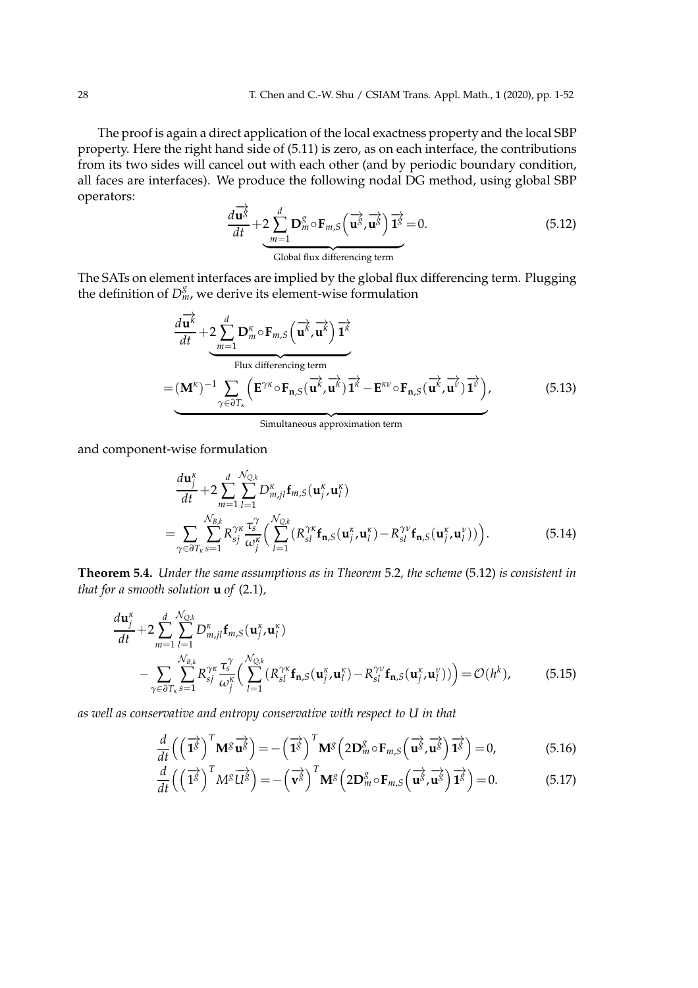The proof is again a direct application of the local exactness property and the local SBP property. Here the right hand side of (5.11) is zero, as on each interface, the contributions from its two sides will cancel out with each other (and by periodic boundary condition, all faces are interfaces). We produce the following nodal DG method, using global SBP operators:

$$
\frac{d\overrightarrow{\mathbf{u}^g}}{dt} + 2 \sum_{m=1}^{d} \mathbf{D}_m^g \circ \mathbf{F}_{m,S} \left( \overrightarrow{\mathbf{u}^g}, \overrightarrow{\mathbf{u}^g} \right) \overrightarrow{\mathbf{1}^g} = 0.
$$
 (5.12)  
Global flux differencing term

The SATs on element interfaces are implied by the global flux differencing term. Plugging the definition of  $D_m^g$ , we derive its element-wise formulation

$$
\frac{d\overrightarrow{u^k}}{dt} + 2 \sum_{m=1}^{d} \mathbf{D}_m^{\kappa} \circ \mathbf{F}_{m,S} \left( \overrightarrow{u^k}, \overrightarrow{u^k} \right) \overrightarrow{1^k}
$$
\nFlux differencing term\n
$$
= (\mathbf{M}^{\kappa})^{-1} \sum_{\gamma \in \partial T_{\kappa}} \left( \mathbf{E}^{\gamma \kappa} \circ \mathbf{F}_{n,S} \left( \overrightarrow{u^k}, \overrightarrow{u^k} \right) \overrightarrow{1^k} - \mathbf{E}^{\kappa \nu} \circ \mathbf{F}_{n,S} \left( \overrightarrow{u^k}, \overrightarrow{u^l} \right) \overrightarrow{1^{\nu}} \right),
$$
\n(5.13)

and component-wise formulation

$$
\frac{d\mathbf{u}_{j}^{\kappa}}{dt} + 2 \sum_{m=1}^{d} \sum_{l=1}^{N_{Q,k}} D_{m,jl}^{\kappa} \mathbf{f}_{m,S}(\mathbf{u}_{j}^{\kappa}, \mathbf{u}_{l}^{\kappa})
$$
\n
$$
= \sum_{\gamma \in \partial T_{\kappa}} \sum_{s=1}^{N_{B,k}} R_{sj}^{\gamma\kappa} \frac{\tau_{s}^{\gamma}}{\omega_{j}^{\kappa}} \Big( \sum_{l=1}^{N_{Q,k}} (R_{sl}^{\gamma\kappa} \mathbf{f}_{\mathbf{n},S}(\mathbf{u}_{j}^{\kappa}, \mathbf{u}_{l}^{\kappa}) - R_{sl}^{\gamma\nu} \mathbf{f}_{\mathbf{n},S}(\mathbf{u}_{j}^{\kappa}, \mathbf{u}_{l}^{\nu})) \Big).
$$
\n(5.14)

**Theorem 5.4.** *Under the same assumptions as in Theorem* 5.2*, the scheme* (5.12) *is consistent in that for a smooth solution* **u** *of* (2.1)*,*

$$
\frac{d\mathbf{u}_{j}^{k}}{dt} + 2\sum_{m=1}^{d} \sum_{l=1}^{N_{Q,k}} D_{m,jl}^{k} \mathbf{f}_{m,S}(\mathbf{u}_{j}^{k}, \mathbf{u}_{l}^{k})
$$
\n
$$
- \sum_{\gamma \in \partial T_{\kappa}} \sum_{s=1}^{N_{B,k}} R_{sj}^{\gamma\kappa} \frac{\tau_{s}^{\gamma}}{\omega_{j}^{\kappa}} \Big( \sum_{l=1}^{N_{Q,k}} (R_{sl}^{\gamma\kappa} \mathbf{f}_{\mathbf{n},S}(\mathbf{u}_{j}^{\kappa}, \mathbf{u}_{l}^{\kappa}) - R_{sl}^{\gamma\nu} \mathbf{f}_{\mathbf{n},S}(\mathbf{u}_{j}^{\kappa}, \mathbf{u}_{l}^{\nu})) \Big) = \mathcal{O}(h^{k}), \tag{5.15}
$$

*as well as conservative and entropy conservative with respect to U in that*

$$
\frac{d}{dt}\left(\left(\overrightarrow{\mathbf{1}^{g}}\right)^{T}\mathbf{M}^{g}\overrightarrow{\mathbf{u}^{g}}\right) = -\left(\overrightarrow{\mathbf{1}^{g}}\right)^{T}\mathbf{M}^{g}\left(2\mathbf{D}_{m}^{g}\circ\mathbf{F}_{m,S}\left(\overrightarrow{\mathbf{u}^{g}},\overrightarrow{\mathbf{u}^{g}}\right)\overrightarrow{\mathbf{1}^{g}}\right) = 0, \tag{5.16}
$$

$$
\frac{d}{dt}\left(\left(\overrightarrow{1^g}\right)^T M^g \overrightarrow{U^g}\right) = -\left(\overrightarrow{v^g}\right)^T \mathbf{M}^g \left(2\mathbf{D}_m^g \circ \mathbf{F}_{m,S}\left(\overrightarrow{u^g}, \overrightarrow{u^g}\right) \overrightarrow{1^g}\right) = 0. \tag{5.17}
$$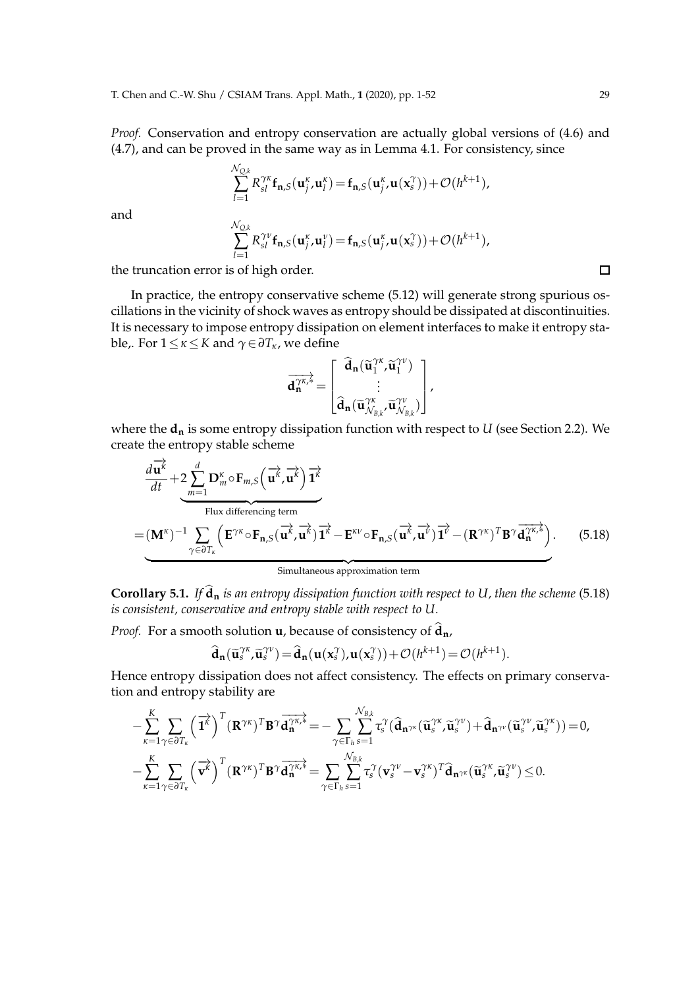*Proof.* Conservation and entropy conservation are actually global versions of (4.6) and (4.7), and can be proved in the same way as in Lemma 4.1. For consistency, since

$$
\sum_{l=1}^{\mathcal{N}_{Q,k}} R_{sl}^{\gamma\kappa} \mathbf{f}_{\mathbf{n},S}(\mathbf{u}_j^{\kappa}, \mathbf{u}_l^{\kappa}) = \mathbf{f}_{\mathbf{n},S}(\mathbf{u}_j^{\kappa}, \mathbf{u}(\mathbf{x}_s^{\gamma})) + \mathcal{O}(h^{k+1}),
$$

and

$$
\sum_{l=1}^{\mathcal{N}_{Q,k}} R_{sl}^{\gamma\nu} \mathbf{f}_{\mathbf{n},S}(\mathbf{u}_j^{\kappa},\mathbf{u}_l^{\nu}) = \mathbf{f}_{\mathbf{n},S}(\mathbf{u}_j^{\kappa},\mathbf{u}(\mathbf{x}_s^{\gamma})) + \mathcal{O}(h^{k+1}),
$$

the truncation error is of high order.

In practice, the entropy conservative scheme (5.12) will generate strong spurious oscillations in the vicinity of shock waves as entropy should be dissipated at discontinuities. It is necessary to impose entropy dissipation on element interfaces to make it entropy stable,. For 1≤*κ*≤*K* and *γ*∈*∂Tκ*, we define

$$
\overrightarrow{d_n^{\gamma\kappa,*}}=\begin{bmatrix} \widehat{d}_n(\widetilde{u}_1^{\gamma\kappa},\widetilde{u}_1^{\gamma\nu}) \\ \vdots \\ \widehat{d}_n(\widetilde{u}_{\mathcal{N}_{B,k}}^{\gamma\kappa},\widetilde{u}_{\mathcal{N}_{B,k}}^{\gamma\nu}) \end{bmatrix},
$$

where the  $d_n$  is some entropy dissipation function with respect to  $U$  (see Section 2.2). We create the entropy stable scheme

$$
\frac{d\overrightarrow{u^k}}{dt} + 2 \sum_{m=1}^{d} \mathbf{D}_m^{\kappa} \circ \mathbf{F}_{m,S} \left( \overrightarrow{u^k}, \overrightarrow{u^k} \right) \overrightarrow{1^k}
$$
\nFlux differencing term\n
$$
= (\mathbf{M}^{\kappa})^{-1} \sum_{\gamma \in \partial T_{\kappa}} \left( \mathbf{E}^{\gamma \kappa} \circ \mathbf{F}_{n,S} (\overrightarrow{u^k}, \overrightarrow{u^k}) \overrightarrow{1^k} - \mathbf{E}^{\kappa \nu} \circ \mathbf{F}_{n,S} (\overrightarrow{u^k}, \overrightarrow{u^k}) \overrightarrow{1^{\nu}} - (\mathbf{R}^{\gamma \kappa})^T \mathbf{B}^{\gamma} \overrightarrow{d_n^{\gamma \kappa,*}} \right).
$$
(5.18)

**Corollary 5.1.** *If*  $\hat{d}_n$  *is an entropy dissipation function with respect to U, then the scheme* (5.18) *is consistent, conservative and entropy stable with respect to U.*

*Proof.* For a smooth solution **u**, because of consistency of  $\hat{d}_n$ ,

$$
\widehat{\mathbf{d}}_{\mathbf{n}}(\widetilde{\mathbf{u}}_{s}^{\gamma\kappa},\widetilde{\mathbf{u}}_{s}^{\gamma\nu})=\widehat{\mathbf{d}}_{\mathbf{n}}(\mathbf{u}(\mathbf{x}_{s}^{\gamma}),\mathbf{u}(\mathbf{x}_{s}^{\gamma}))+\mathcal{O}(h^{k+1})=\mathcal{O}(h^{k+1}).
$$

Hence entropy dissipation does not affect consistency. The effects on primary conservation and entropy stability are

$$
-\sum_{\kappa=1}^K\sum_{\gamma\in\partial T_{\kappa}}\left(\overrightarrow{\mathbf{1}}^{\hat{\kappa}}\right)^T\left(\mathbf{R}^{\gamma\kappa}\right)^T\mathbf{B}^{\gamma}\overrightarrow{\mathbf{d}_n^{\gamma\kappa,*}}=-\sum_{\gamma\in\Gamma_h}\sum_{s=1}^{\mathcal{N}_{B,k}}\tau_s^{\gamma}\left(\widehat{\mathbf{d}}_{\mathbf{n}^{\gamma\kappa}}(\widetilde{\mathbf{u}}_s^{\gamma\kappa},\widetilde{\mathbf{u}}_s^{\gamma\nu})+\widehat{\mathbf{d}}_{\mathbf{n}^{\gamma\nu}}(\widetilde{\mathbf{u}}_s^{\gamma\kappa},\widetilde{\mathbf{u}}_s^{\gamma\kappa})\right)=0,\\ -\sum_{\kappa=1}^K\sum_{\gamma\in\partial T_{\kappa}}\left(\overrightarrow{\mathbf{v}^{\kappa}}\right)^T\left(\mathbf{R}^{\gamma\kappa}\right)^T\mathbf{B}^{\gamma}\overrightarrow{\mathbf{d}_n^{\gamma\kappa,*}}=\sum_{\gamma\in\Gamma_h}\sum_{s=1}^{\mathcal{N}_{B,k}}\tau_s^{\gamma}\left(\mathbf{v}_s^{\gamma\nu}-\mathbf{v}_s^{\gamma\kappa}\right)^T\widehat{\mathbf{d}}_{\mathbf{n}^{\gamma\kappa}}(\widetilde{\mathbf{u}}_s^{\gamma\kappa},\widetilde{\mathbf{u}}_s^{\gamma\nu})\leq 0.
$$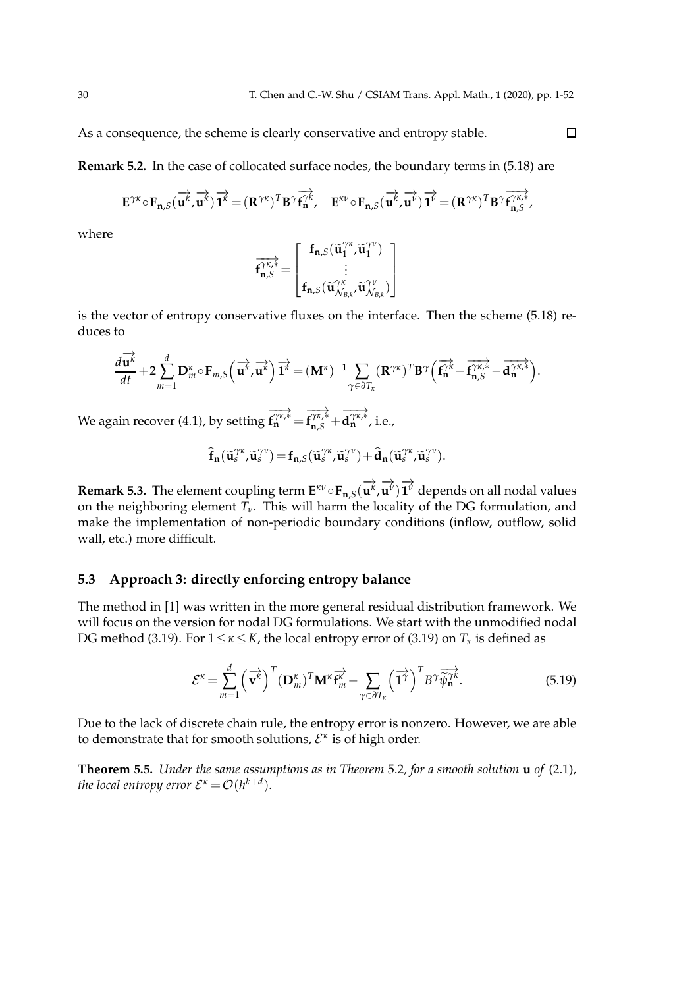As a consequence, the scheme is clearly conservative and entropy stable.

**Remark 5.2.** In the case of collocated surface nodes, the boundary terms in (5.18) are

$$
\mathbf{E}^{\gamma\kappa} \circ \mathbf{F}_{\mathbf{n},S}(\overrightarrow{\mathbf{u}^{\kappa}},\overrightarrow{\mathbf{u}^{\kappa}}) \overrightarrow{\mathbf{1}^{\kappa}} = (\mathbf{R}^{\gamma\kappa})^T \mathbf{B}^{\gamma} \overrightarrow{\mathbf{f}_{\mathbf{n}}^{\gamma\kappa}}, \quad \mathbf{E}^{\kappa\nu} \circ \mathbf{F}_{\mathbf{n},S}(\overrightarrow{\mathbf{u}^{\kappa}},\overrightarrow{\mathbf{u}^{\nu}}) \overrightarrow{\mathbf{1}^{\nu}} = (\mathbf{R}^{\gamma\kappa})^T \mathbf{B}^{\gamma} \overrightarrow{\mathbf{f}_{\mathbf{n},S}^{\gamma\kappa,*}},
$$

where

$$
\overrightarrow{f_{n,\mathcal{S}}^{\gamma\kappa,*}}=\begin{bmatrix}f_{n,\mathcal{S}}(\widetilde{u}_{1}^{\gamma\kappa},\widetilde{u}_{1}^{\gamma\nu})\\\vdots\\f_{n,\mathcal{S}}(\widetilde{u}_{\mathcal{N}_{\mathcal{B},\boldsymbol{\ell}}}^{\gamma\kappa},\widetilde{u}_{\mathcal{N}_{\mathcal{B},\boldsymbol{\ell}}}^{\gamma\nu})\end{bmatrix}
$$

is the vector of entropy conservative fluxes on the interface. Then the scheme (5.18) reduces to

$$
\frac{d\overrightarrow{\mathbf{u}^{k}}}{dt}+2\sum_{m=1}^{d}\mathbf{D}_{m}^{\kappa}\circ\mathbf{F}_{m,S}\left(\overrightarrow{\mathbf{u}^{k}},\overrightarrow{\mathbf{u}^{k}}\right)\overrightarrow{1^{k}}=(\mathbf{M}^{\kappa})^{-1}\sum_{\gamma\in\partial T_{\kappa}}(\mathbf{R}^{\gamma\kappa})^{T}\mathbf{B}^{\gamma}\left(\overrightarrow{\mathbf{f}_{n}^{\gamma\kappa}}-\overrightarrow{\mathbf{f}_{n,S}^{\gamma\kappa,*}}-\overrightarrow{\mathbf{d}_{n}^{\gamma\kappa,*}}\right).
$$

We again recover (4.1), by setting  $\rightarrow \rightarrow \rightarrow \rightarrow$  $f_n^{\gamma\kappa,*} =$  $\rightarrow \rightarrow \rightarrow \rightarrow$  ${\bf f}^{\gamma\kappa,*}_{\mathbf{n},S}$ +  $\rightarrow$ **d**<sup>γκ,<sup>≰</sup>, i.e.,</sup>

$$
\widehat{\mathbf{f}}_{n}(\widetilde{\mathbf{u}}_{s}^{\gamma\kappa},\widetilde{\mathbf{u}}_{s}^{\gamma\nu}) = \mathbf{f}_{n,S}(\widetilde{\mathbf{u}}_{s}^{\gamma\kappa},\widetilde{\mathbf{u}}_{s}^{\gamma\nu}) + \widehat{\mathbf{d}}_{n}(\widetilde{\mathbf{u}}_{s}^{\gamma\kappa},\widetilde{\mathbf{u}}_{s}^{\gamma\nu}).
$$

**Remark 5.3.** The element coupling term  $\mathbf{E}^{\kappa \nu} \circ \mathbf{F}_{\mathbf{n},S}(\overrightarrow{\mathbf{u}^k},$  $\overrightarrow{\mathbf{u}^{\nu}}$   $\overrightarrow{\mathbf{1}^{\nu}}$  depends on all nodal values on the neighboring element  $T_\nu$ . This will harm the locality of the DG formulation, and make the implementation of non-periodic boundary conditions (inflow, outflow, solid wall, etc.) more difficult.

### **5.3 Approach 3: directly enforcing entropy balance**

The method in [1] was written in the more general residual distribution framework. We will focus on the version for nodal DG formulations. We start with the unmodified nodal DG method (3.19). For  $1 \leq \kappa \leq K$ , the local entropy error of (3.19) on  $T_{\kappa}$  is defined as

$$
\mathcal{E}^{\kappa} = \sum_{m=1}^{d} \left( \overrightarrow{\mathbf{v}^{k}} \right)^{T} (\mathbf{D}_{m}^{\kappa})^{T} \mathbf{M}^{\kappa} \overrightarrow{\mathbf{f}^{k}} - \sum_{\gamma \in \partial T_{\kappa}} \left( \overrightarrow{1^{\gamma}} \right)^{T} B^{\gamma} \overrightarrow{\tilde{\psi}_{n}^{\gamma \kappa}}.
$$
 (5.19)

Due to the lack of discrete chain rule, the entropy error is nonzero. However, we are able to demonstrate that for smooth solutions, E *κ* is of high order.

**Theorem 5.5.** *Under the same assumptions as in Theorem* 5.2*, for a smooth solution* **u** *of* (2.1)*, the local entropy error*  $\mathcal{E}^{\kappa} = \mathcal{O}(h^{k+d}).$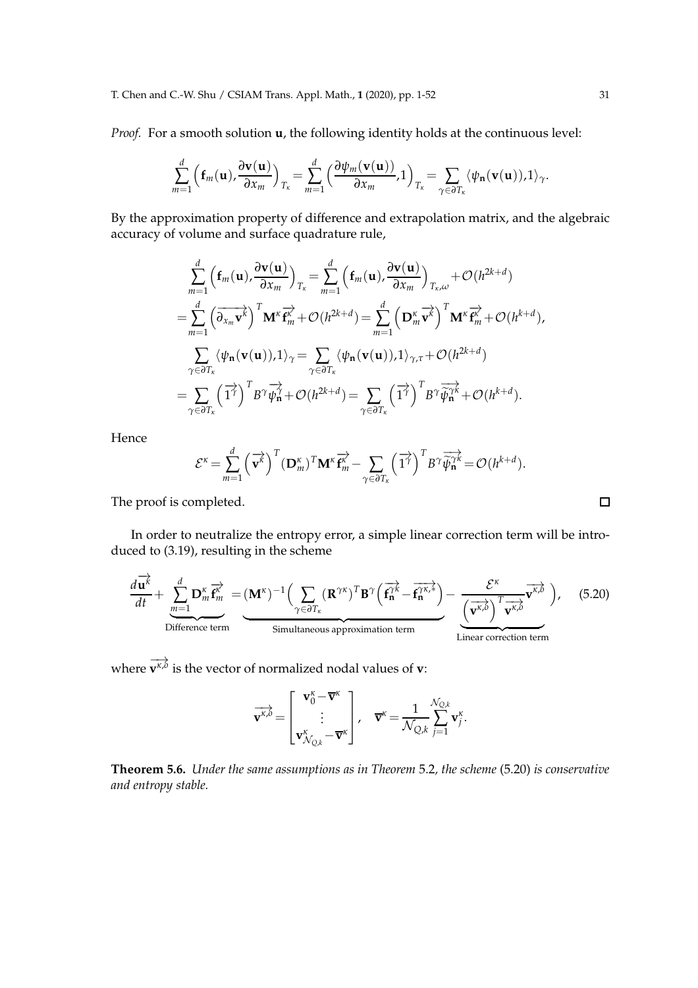#### T. Chen and C.-W. Shu / CSIAM Trans. Appl. Math., **1** (2020), pp. 1-52 31

*Proof.* For a smooth solution **u**, the following identity holds at the continuous level:

$$
\sum_{m=1}^d \left( f_m(\mathbf{u}), \frac{\partial \mathbf{v}(\mathbf{u})}{\partial x_m} \right)_{T_{\kappa}} = \sum_{m=1}^d \left( \frac{\partial \psi_m(\mathbf{v}(\mathbf{u}))}{\partial x_m}, 1 \right)_{T_{\kappa}} = \sum_{\gamma \in \partial T_{\kappa}} \langle \psi_n(\mathbf{v}(\mathbf{u})), 1 \rangle_{\gamma}.
$$

By the approximation property of difference and extrapolation matrix, and the algebraic accuracy of volume and surface quadrature rule,

$$
\sum_{m=1}^{d} \left( \mathbf{f}_{m}(\mathbf{u}), \frac{\partial \mathbf{v}(\mathbf{u})}{\partial x_{m}} \right)_{T_{\kappa}} = \sum_{m=1}^{d} \left( \mathbf{f}_{m}(\mathbf{u}), \frac{\partial \mathbf{v}(\mathbf{u})}{\partial x_{m}} \right)_{T_{\kappa}, \omega} + \mathcal{O}(h^{2k+d})
$$
\n
$$
= \sum_{m=1}^{d} \left( \overrightarrow{\partial_{x_{m}} \mathbf{v}^{k}} \right)^{T} \mathbf{M}^{\kappa} \overrightarrow{\mathbf{f}^{k}} + \mathcal{O}(h^{2k+d}) = \sum_{m=1}^{d} \left( \mathbf{D}^{\kappa}_{m} \overrightarrow{\mathbf{v}^{k}} \right)^{T} \mathbf{M}^{\kappa} \overrightarrow{\mathbf{f}^{k}} + \mathcal{O}(h^{k+d}),
$$
\n
$$
\sum_{\gamma \in \partial T_{\kappa}} \langle \psi_{n}(\mathbf{v}(\mathbf{u})), 1 \rangle_{\gamma} = \sum_{\gamma \in \partial T_{\kappa}} \langle \psi_{n}(\mathbf{v}(\mathbf{u})), 1 \rangle_{\gamma, \tau} + \mathcal{O}(h^{2k+d})
$$
\n
$$
= \sum_{\gamma \in \partial T_{\kappa}} \left( \overrightarrow{1}^{\gamma} \right)^{T} B^{\gamma} \overrightarrow{\psi_{n}} + \mathcal{O}(h^{2k+d}) = \sum_{\gamma \in \partial T_{\kappa}} \left( \overrightarrow{1}^{\gamma} \right)^{T} B^{\gamma} \overrightarrow{\psi_{n}}^{k} + \mathcal{O}(h^{k+d}).
$$

Hence

$$
\mathcal{E}^{\kappa} = \sum_{m=1}^{d} (\overrightarrow{\mathbf{v}^{k}})^{T} (\mathbf{D}_{m}^{\kappa})^{T} \mathbf{M}^{\kappa} \overrightarrow{\mathbf{f}_{m}^{\kappa}} - \sum_{\gamma \in \partial T_{\kappa}} (\overrightarrow{1^{\gamma}})^{T} B^{\gamma} \overrightarrow{\hat{\psi}_{n}^{\gamma \kappa}} = \mathcal{O}(h^{k+d}).
$$

The proof is completed.

In order to neutralize the entropy error, a simple linear correction term will be introduced to (3.19), resulting in the scheme

$$
\frac{d\overrightarrow{\mathbf{u}^{k}}}{dt} + \underbrace{\sum_{m=1}^{d} \mathbf{D}_{m}^{\kappa} \overrightarrow{\mathbf{f}^{k}_{m}}} = (\mathbf{M}^{\kappa})^{-1} \Big( \sum_{\gamma \in \partial T_{\kappa}} (\mathbf{R}^{\gamma \kappa})^{T} \mathbf{B}^{\gamma} \Big( \overrightarrow{\mathbf{f}^{\gamma \kappa}}_{n} - \overrightarrow{\mathbf{f}^{\gamma \kappa, k}} \Big) - \underbrace{\frac{\mathcal{E}^{\kappa}}{(\mathbf{v}^{\kappa, \delta})} \overrightarrow{\mathbf{v}^{\kappa, \delta}}_{\mathbf{v}^{\kappa, \delta}} \Big), \quad (5.20)
$$
\nSimultaneous approximation term  
\nLinear correction term

**where**  $\overrightarrow{v}^{\kappa,\delta}$  is the vector of normalized nodal values of **v**:

$$
\overrightarrow{\mathbf{v}^{\kappa,b}} = \begin{bmatrix} \mathbf{v}_0^{\kappa} - \overline{\mathbf{v}}^{\kappa} \\ \vdots \\ \mathbf{v}_{\mathcal{N}_{Q,k}}^{\kappa} - \overline{\mathbf{v}}^{\kappa} \end{bmatrix}, \quad \overline{\mathbf{v}}^{\kappa} = \frac{1}{\mathcal{N}_{Q,k}} \sum_{j=1}^{\mathcal{N}_{Q,k}} \mathbf{v}_j^{\kappa}.
$$

**Theorem 5.6.** *Under the same assumptions as in Theorem* 5.2*, the scheme* (5.20) *is conservative and entropy stable.*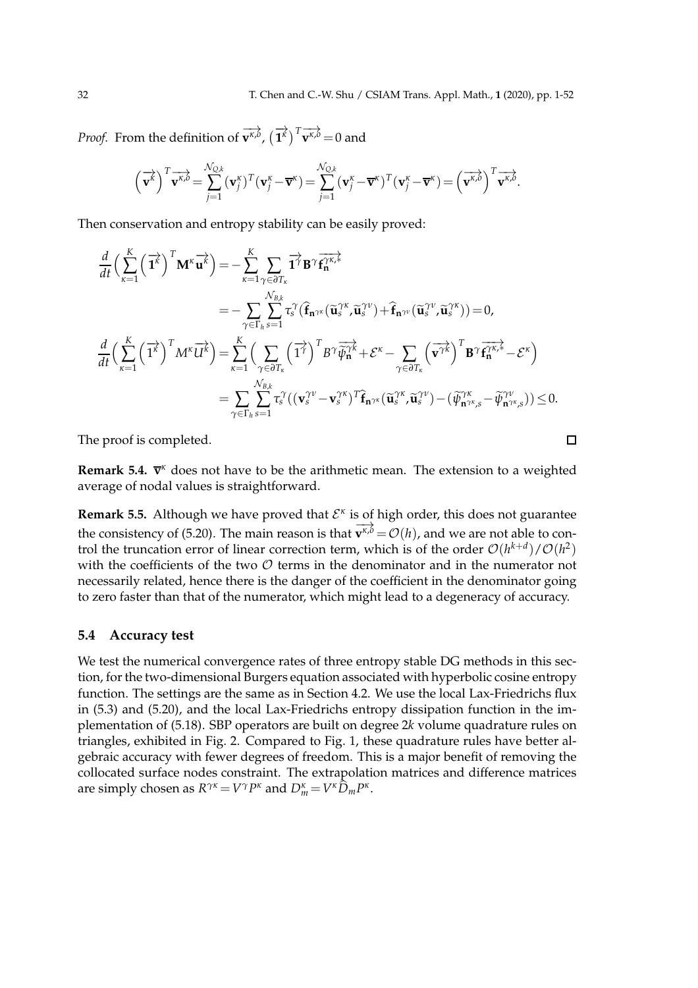$\Box$ 

*Proof.* From the definition of  $\overrightarrow{\mathbf{v}^{\kappa,b}}$ ,  $(\overrightarrow{\mathbf{1}}^{\kappa})^T \overrightarrow{\mathbf{v}^{\kappa,b}} = 0$  and

$$
\left(\overrightarrow{\mathbf{v}^{k}}\right)^{T} \overrightarrow{\mathbf{v}^{k,\theta}} = \sum_{j=1}^{N_{Q,k}} (\mathbf{v}^{k}_{j})^{T} (\mathbf{v}^{k}_{j} - \overline{\mathbf{v}}^{k}) = \sum_{j=1}^{N_{Q,k}} (\mathbf{v}^{k}_{j} - \overline{\mathbf{v}}^{k})^{T} (\mathbf{v}^{k}_{j} - \overline{\mathbf{v}}^{k}) = \left(\overrightarrow{\mathbf{v}^{k,\theta}}\right)^{T} \overrightarrow{\mathbf{v}^{k,\theta}}.
$$

Then conservation and entropy stability can be easily proved:

$$
\frac{d}{dt} \Big(\sum_{\kappa=1}^{K} \left(\overrightarrow{\mathbf{1}}^{\mathbf{k}}\right)^{T} \mathbf{M}^{\kappa} \overrightarrow{\mathbf{u}^{\kappa}}\Big) = -\sum_{\kappa=1}^{K} \sum_{\gamma \in \partial T_{\kappa}} \overrightarrow{\mathbf{1}}^{\gamma} \mathbf{B}^{\gamma} \overrightarrow{\mathbf{f}_{\kappa}}^{\gamma \kappa,*}\n\n= -\sum_{\gamma \in \Gamma_{h}} \sum_{s=1}^{N_{B,k}} \tau_{s}^{\gamma} (\widehat{\mathbf{f}}_{\mathbf{n}^{\gamma \kappa}} (\widetilde{\mathbf{u}}_{s}^{\gamma \kappa}, \widetilde{\mathbf{u}}_{s}^{\gamma \nu}) + \widehat{\mathbf{f}}_{\mathbf{n}^{\gamma \nu}} (\widetilde{\mathbf{u}}_{s}^{\gamma \nu}, \widetilde{\mathbf{u}}_{s}^{\gamma \kappa})) = 0,
$$
\n
$$
\frac{d}{dt} \Big(\sum_{\kappa=1}^{K} \left(\overrightarrow{\mathbf{1}}^{\kappa}\right)^{T} M^{\kappa} \overrightarrow{U^{\kappa}}\Big) = \sum_{\kappa=1}^{K} \Big(\sum_{\gamma \in \partial T_{\kappa}} \left(\overrightarrow{\mathbf{1}}^{\gamma}\right)^{T} B^{\gamma} \overrightarrow{\psi}_{\mathbf{n}}^{\gamma \kappa} + \mathcal{E}^{\kappa} - \sum_{\gamma \in \partial T_{\kappa}} \left(\overrightarrow{\mathbf{v}}^{\gamma \kappa}\right)^{T} \mathbf{B}^{\gamma} \overrightarrow{\mathbf{f}}^{\gamma \kappa,*}_{\mathbf{n}} - \mathcal{E}^{\kappa}\Big)
$$
\n
$$
= \sum_{\gamma \in \Gamma_{h}} \sum_{s=1}^{N_{B,k}} \tau_{s}^{\gamma} ((\mathbf{v}_{s}^{\gamma \nu} - \mathbf{v}_{s}^{\gamma \kappa})^{T} \widehat{\mathbf{f}}_{\mathbf{n}^{\gamma \kappa}} (\widetilde{\mathbf{u}}_{s}^{\gamma \kappa}, \widetilde{\mathbf{u}}_{s}^{\gamma \nu}) - (\widetilde{\psi}_{\mathbf{n}^{\gamma \kappa},s}^{\gamma \kappa} - \widetilde{\psi}_{\mathbf{n}^{\gamma \kappa},s}^{\gamma \nu}) \Big) \leq 0.
$$

The proof is completed.

Remark 5.4.  $\overline{v}^{\kappa}$  does not have to be the arithmetic mean. The extension to a weighted average of nodal values is straightforward.

**Remark 5.5.** Although we have proved that  $\mathcal{E}^k$  is of high order, this does not guarantee the consistency of (5.20). The main reason is that  $\overline{v^{\kappa,\delta}} = \mathcal{O}(h)$ , and we are not able to control the truncation error of linear correction term, which is of the order  $\mathcal{O}(h^{k+d})/\mathcal{O}(h^2)$ with the coefficients of the two  $O$  terms in the denominator and in the numerator not necessarily related, hence there is the danger of the coefficient in the denominator going to zero faster than that of the numerator, which might lead to a degeneracy of accuracy.

### **5.4 Accuracy test**

We test the numerical convergence rates of three entropy stable DG methods in this section, for the two-dimensional Burgers equation associated with hyperbolic cosine entropy function. The settings are the same as in Section 4.2. We use the local Lax-Friedrichs flux in (5.3) and (5.20), and the local Lax-Friedrichs entropy dissipation function in the implementation of (5.18). SBP operators are built on degree 2*k* volume quadrature rules on triangles, exhibited in Fig. 2. Compared to Fig. 1, these quadrature rules have better algebraic accuracy with fewer degrees of freedom. This is a major benefit of removing the collocated surface nodes constraint. The extrapolation matrices and difference matrices are simply chosen as  $R^{\gamma\kappa} = V^{\gamma}P^{\kappa}$  and  $D^{\kappa}_m = V^{\kappa}\widehat{D}_m P^{\kappa}$ .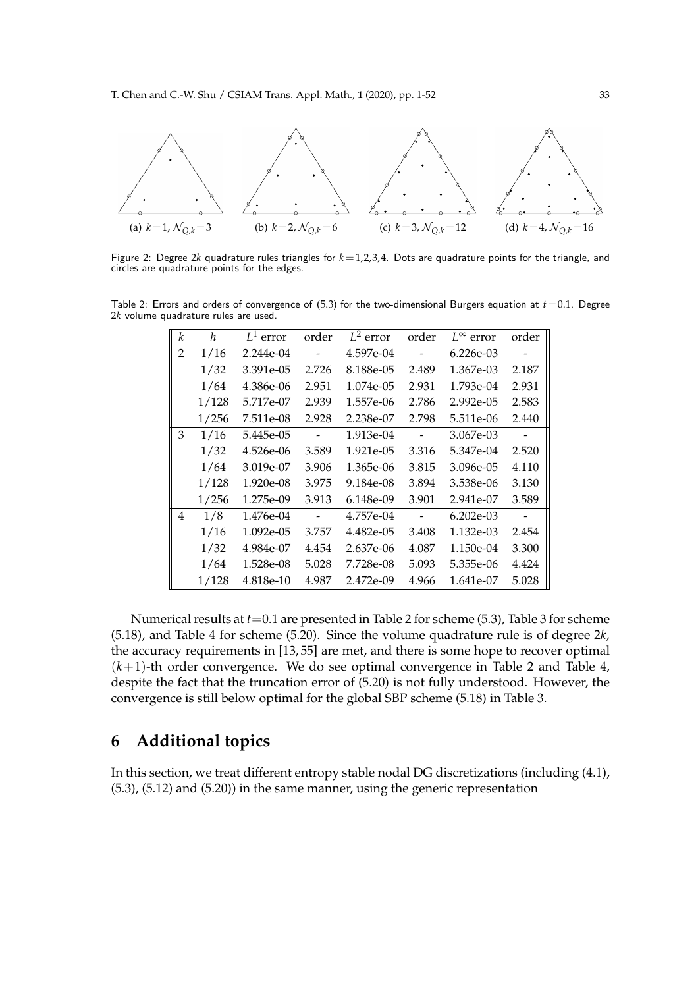

Figure 2: Degree 2*k* quadrature rules triangles for *k*=1,2,3,4. Dots are quadrature points for the triangle, and circles are quadrature points for the edges.

Table 2: Errors and orders of convergence of  $(5.3)$  for the two-dimensional Burgers equation at  $t=0.1$ . Degree 2*k* volume quadrature rules are used.

| k              | h     | $L^1$ error | order  | $L^2$ error | order                    | $L^{\infty}$ error | order |
|----------------|-------|-------------|--------|-------------|--------------------------|--------------------|-------|
| $\overline{2}$ | 1/16  | 2.244e-04   |        | 4.597e-04   |                          | 6.226e-03          |       |
|                | 1/32  | 3.391e-05   | 2.726  | 8.188e-05   | 2.489                    | 1.367e-03          | 2.187 |
|                | 1/64  | 4.386e-06   | 2.951  | 1.074e-05   | 2.931                    | 1.793e-04          | 2.931 |
|                | 1/128 | 5.717e-07   | 2.939  | 1.557e-06   | 2.786                    | $2.992e-0.5$       | 2.583 |
|                | 1/256 | 7.511e-08   | 2.928  | 2.238e-07   | 2.798                    | 5.511e-06          | 2.440 |
| 3              | 1/16  | 5.445e-05   | $\sim$ | 1.913e-04   | $\overline{\phantom{0}}$ | 3.067e-03          |       |
|                | 1/32  | 4.526e-06   | 3.589  | 1.921e-05   | 3.316                    | 5.347e-04          | 2.520 |
|                | 1/64  | 3.019e-07   | 3.906  | 1.365e-06   | 3.815                    | 3.096e-05          | 4.110 |
|                | 1/128 | 1.920e-08   | 3.975  | 9.184e-08   | 3.894                    | 3.538e-06          | 3.130 |
|                | 1/256 | 1.275e-09   | 3.913  | 6.148e-09   | 3.901                    | 2.941e-07          | 3.589 |
| 4              | 1/8   | 1.476e-04   |        | 4.757e-04   | $\overline{\phantom{a}}$ | $6.202e-03$        |       |
|                | 1/16  | 1.092e-05   | 3.757  | 4.482e-05   | 3.408                    | 1.132e-03          | 2.454 |
|                | 1/32  | 4.984e-07   | 4.454  | 2.637e-06   | 4.087                    | 1.150e-04          | 3.300 |
|                | 1/64  | 1.528e-08   | 5.028  | 7.728e-08   | 5.093                    | 5.355e-06          | 4.424 |
|                | 1/128 | 4.818e-10   | 4.987  | 2.472e-09   | 4.966                    | 1.641e-07          | 5.028 |

Numerical results at *t*=0.1 are presented in Table 2 for scheme (5.3), Table 3 for scheme (5.18), and Table 4 for scheme (5.20). Since the volume quadrature rule is of degree 2*k*, the accuracy requirements in [13, 55] are met, and there is some hope to recover optimal  $(k+1)$ -th order convergence. We do see optimal convergence in Table 2 and Table 4, despite the fact that the truncation error of (5.20) is not fully understood. However, the convergence is still below optimal for the global SBP scheme (5.18) in Table 3.

# **6 Additional topics**

In this section, we treat different entropy stable nodal DG discretizations (including (4.1), (5.3), (5.12) and (5.20)) in the same manner, using the generic representation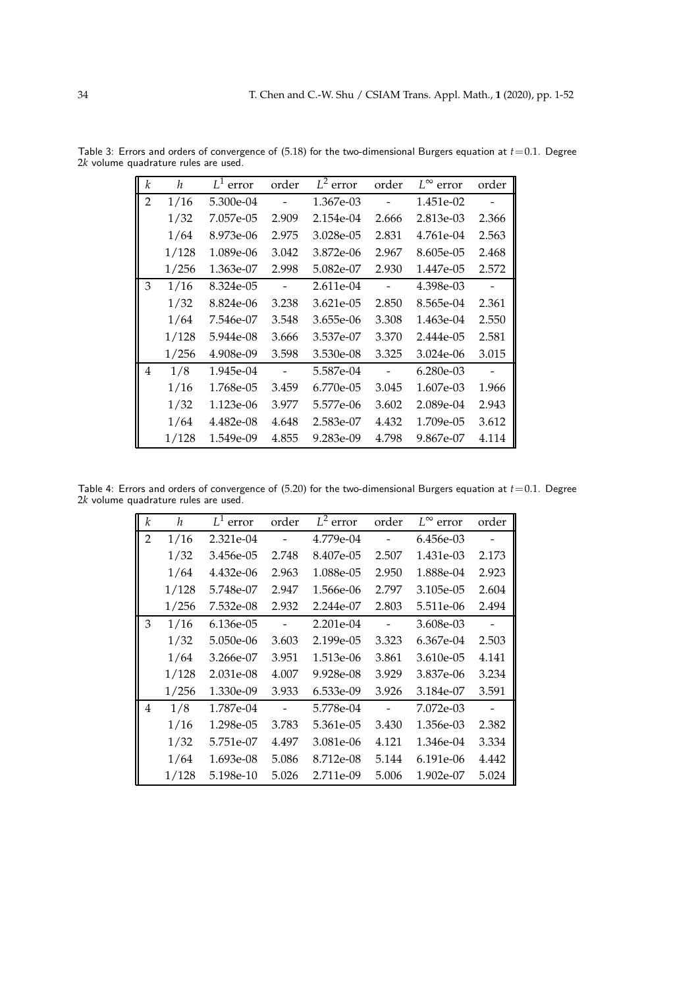| k              | h     | $L^1$ error | order                    | $L^2$ error | order                    | $L^{\infty}$ error | order                    |
|----------------|-------|-------------|--------------------------|-------------|--------------------------|--------------------|--------------------------|
| $\overline{2}$ | 1/16  | 5.300e-04   |                          | 1.367e-03   |                          | 1.451e-02          |                          |
|                | 1/32  | 7.057e-05   | 2.909                    | 2.154e-04   | 2.666                    | 2.813e-03          | 2.366                    |
|                | 1/64  | 8.973e-06   | 2.975                    | 3.028e-05   | 2.831                    | 4.761e-04          | 2.563                    |
|                | 1/128 | 1.089e-06   | 3.042                    | 3.872e-06   | 2.967                    | 8.605e-05          | 2.468                    |
|                | 1/256 | 1.363e-07   | 2.998                    | 5.082e-07   | 2.930                    | 1.447e-05          | 2.572                    |
| 3              | 1/16  | 8.324e-05   | $\overline{\phantom{a}}$ | 2.611e-04   | $\overline{\phantom{a}}$ | 4.398e-03          | $\overline{\phantom{a}}$ |
|                | 1/32  | 8.824e-06   | 3.238                    | 3.621e-05   | 2.850                    | 8.565e-04          | 2.361                    |
|                | 1/64  | 7.546e-07   | 3.548                    | 3.655e-06   | 3.308                    | 1.463e-04          | 2.550                    |
|                | 1/128 | 5.944e-08   | 3.666                    | 3.537e-07   | 3.370                    | 2.444e-05          | 2.581                    |
|                | 1/256 | 4.908e-09   | 3.598                    | 3.530e-08   | 3.325                    | 3.024e-06          | 3.015                    |
| 4              | 1/8   | 1.945e-04   | $\overline{\phantom{a}}$ | 5.587e-04   | $\overline{\phantom{a}}$ | 6.280e-03          |                          |
|                | 1/16  | 1.768e-05   | 3.459                    | 6.770e-05   | 3.045                    | 1.607e-03          | 1.966                    |
|                | 1/32  | 1.123e-06   | 3.977                    | 5.577e-06   | 3.602                    | 2.089e-04          | 2.943                    |
|                | 1/64  | 4.482e-08   | 4.648                    | 2.583e-07   | 4.432                    | 1.709e-05          | 3.612                    |
|                | 1/128 | 1.549e-09   | 4.855                    | 9.283e-09   | 4.798                    | 9.867e-07          | 4.114                    |

Table 3: Errors and orders of convergence of (5.18) for the two-dimensional Burgers equation at *t*=0.1. Degree 2*k* volume quadrature rules are used.

Table 4: Errors and orders of convergence of (5.20) for the two-dimensional Burgers equation at *t*=0.1. Degree 2*k* volume quadrature rules are used.

| k              | h     | $L^1$ error | order                    | $L^2$ error | order                    | $L^{\infty}$<br>error | order |
|----------------|-------|-------------|--------------------------|-------------|--------------------------|-----------------------|-------|
| $\overline{2}$ | 1/16  | 2.321e-04   |                          | 4.779e-04   |                          | 6.456e-03             |       |
|                | 1/32  | 3.456e-05   | 2.748                    | 8.407e-05   | 2.507                    | 1.431e-03             | 2.173 |
|                | 1/64  | 4.432e-06   | 2.963                    | 1.088e-05   | 2.950                    | 1.888e-04             | 2.923 |
|                | 1/128 | 5.748e-07   | 2.947                    | 1.566e-06   | 2.797                    | 3.105e-05             | 2.604 |
|                | 1/256 | 7.532e-08   | 2.932                    | 2.244e-07   | 2.803                    | 5.511e-06             | 2.494 |
| 3              | 1/16  | 6.136e-05   | $\sim$                   | $2.201e-04$ | $\overline{\phantom{a}}$ | 3.608e-03             |       |
|                | 1/32  | 5.050e-06   | 3.603                    | 2.199e-05   | 3.323                    | 6.367e-04             | 2.503 |
|                | 1/64  | 3.266e-07   | 3.951                    | 1.513e-06   | 3.861                    | 3.610e-05             | 4.141 |
|                | 1/128 | 2.031e-08   | 4.007                    | 9.928e-08   | 3.929                    | 3.837e-06             | 3.234 |
|                | 1/256 | 1.330e-09   | 3.933                    | 6.533e-09   | 3.926                    | 3.184e-07             | 3.591 |
| 4              | 1/8   | 1.787e-04   | $\overline{\phantom{a}}$ | 5.778e-04   | $\overline{\phantom{a}}$ | 7.072e-03             |       |
|                | 1/16  | 1.298e-05   | 3.783                    | 5.361e-05   | 3.430                    | 1.356e-03             | 2.382 |
|                | 1/32  | 5.751e-07   | 4.497                    | 3.081e-06   | 4.121                    | 1.346e-04             | 3.334 |
|                | 1/64  | 1.693e-08   | 5.086                    | 8.712e-08   | 5.144                    | 6.191e-06             | 4.442 |
|                | 1/128 | 5.198e-10   | 5.026                    | 2.711e-09   | 5.006                    | 1.902e-07             | 5.024 |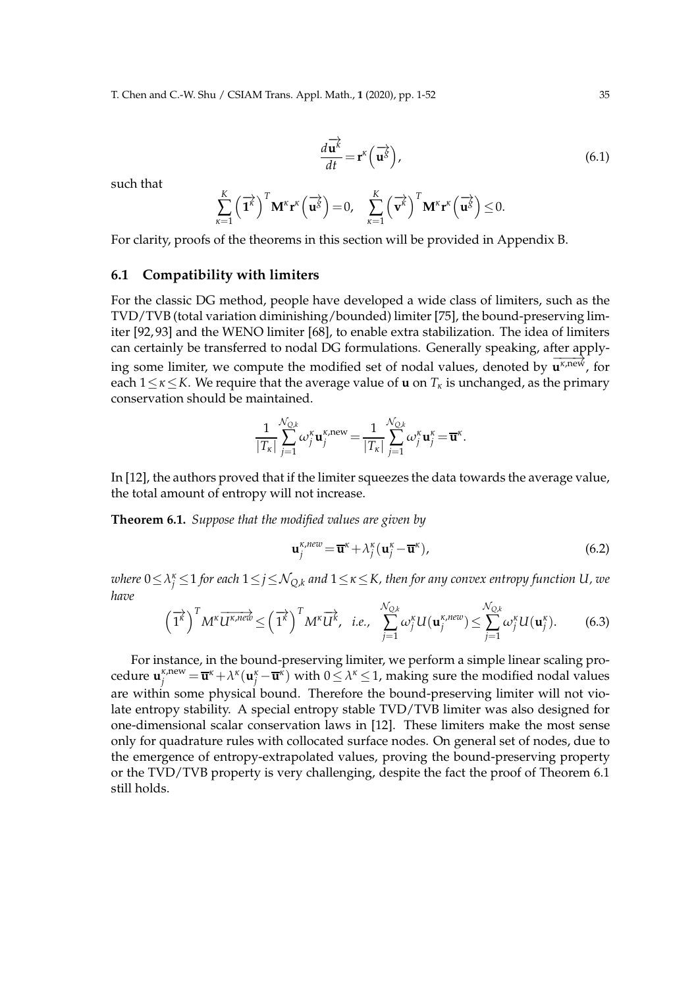$$
\frac{d\overrightarrow{\mathbf{u}^k}}{dt} = \mathbf{r}^k \left( \overrightarrow{\mathbf{u}^s} \right),\tag{6.1}
$$

such that

$$
\sum_{\kappa=1}^K \left(\overrightarrow{\mathbf{1}}^{\mathcal{K}}\right)^T \mathbf{M}^{\kappa} \mathbf{r}^{\kappa} \left(\overrightarrow{\mathbf{u}}^{\mathcal{S}}\right) = 0, \quad \sum_{\kappa=1}^K \left(\overrightarrow{\mathbf{v}}^{\mathcal{K}}\right)^T \mathbf{M}^{\kappa} \mathbf{r}^{\kappa} \left(\overrightarrow{\mathbf{u}}^{\mathcal{S}}\right) \leq 0.
$$

For clarity, proofs of the theorems in this section will be provided in Appendix B.

### **6.1 Compatibility with limiters**

For the classic DG method, people have developed a wide class of limiters, such as the TVD/TVB (total variation diminishing/bounded) limiter [75], the bound-preserving limiter [92, 93] and the WENO limiter [68], to enable extra stabilization. The idea of limiters can certainly be transferred to nodal DG formulations. Generally speaking, after applying some limiter, we compute the modified set of nodal values, denoted by  $\overline{u^{\kappa,new}}$ , for each 1≤*κ*≤*K*. We require that the average value of **u** on *T<sup>κ</sup>* is unchanged, as the primary conservation should be maintained.

$$
\frac{1}{|T_{\kappa}|}\sum_{j=1}^{\mathcal{N}_{Q,k}}\omega_j^{\kappa}\mathbf{u}_j^{\kappa,\text{new}}=\frac{1}{|T_{\kappa}|}\sum_{j=1}^{\mathcal{N}_{Q,k}}\omega_j^{\kappa}\mathbf{u}_j^{\kappa}=\overline{\mathbf{u}}^{\kappa}.
$$

In [12], the authors proved that if the limiter squeezes the data towards the average value, the total amount of entropy will not increase.

**Theorem 6.1.** *Suppose that the modified values are given by*

$$
\mathbf{u}_{j}^{\kappa, new} = \overline{\mathbf{u}}^{\kappa} + \lambda_{j}^{\kappa} (\mathbf{u}_{j}^{\kappa} - \overline{\mathbf{u}}^{\kappa}), \tag{6.2}
$$

 $\omega$ here  $0\!\le\!\lambda^{\kappa}_j\!\le\!1$  for each  $1\!\le\!j\!\le\!\mathcal{N}_{Q,k}$  and  $1\!\le\!\kappa\!\le\!K$ , then for any convex entropy function  $U$ , we *have*

$$
\left(\overrightarrow{1^k}\right)^T M^k \overrightarrow{U^{k,new}} \leq \left(\overrightarrow{1^k}\right)^T M^k \overrightarrow{U^k}, \quad i.e., \quad \sum_{j=1}^{N_{Q,k}} \omega_j^k U(\mathbf{u}_j^{k,new}) \leq \sum_{j=1}^{N_{Q,k}} \omega_j^k U(\mathbf{u}_j^k). \tag{6.3}
$$

For instance, in the bound-preserving limiter, we perform a simple linear scaling procedure  $\mathbf{u}_j^{\kappa,\text{new}} = \overline{\mathbf{u}}^{\kappa} + \lambda^{\kappa}(\mathbf{u}_j^{\kappa} - \overline{\mathbf{u}}^{\kappa})$  with  $0 \leq \lambda^{\kappa} \leq 1$ , making sure the modified nodal values are within some physical bound. Therefore the bound-preserving limiter will not violate entropy stability. A special entropy stable TVD/TVB limiter was also designed for one-dimensional scalar conservation laws in [12]. These limiters make the most sense only for quadrature rules with collocated surface nodes. On general set of nodes, due to the emergence of entropy-extrapolated values, proving the bound-preserving property or the TVD/TVB property is very challenging, despite the fact the proof of Theorem 6.1 still holds.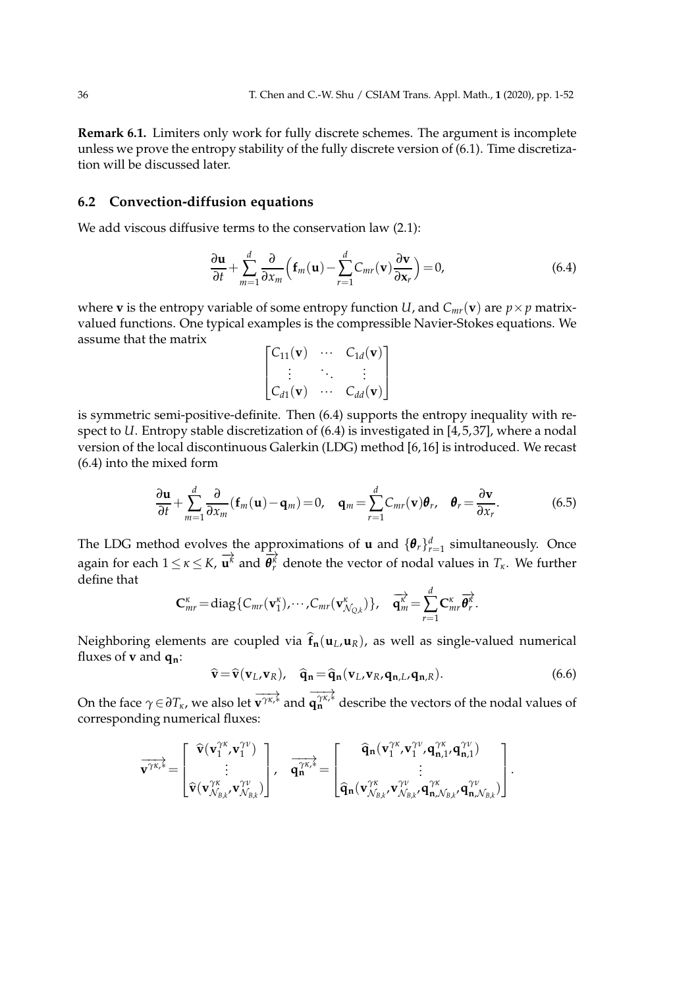**Remark 6.1.** Limiters only work for fully discrete schemes. The argument is incomplete unless we prove the entropy stability of the fully discrete version of (6.1). Time discretization will be discussed later.

### **6.2 Convection-diffusion equations**

We add viscous diffusive terms to the conservation law  $(2.1)$ :

$$
\frac{\partial \mathbf{u}}{\partial t} + \sum_{m=1}^{d} \frac{\partial}{\partial x_m} \left( \mathbf{f}_m(\mathbf{u}) - \sum_{r=1}^{d} C_{mr}(\mathbf{v}) \frac{\partial \mathbf{v}}{\partial \mathbf{x}_r} \right) = 0, \tag{6.4}
$$

where **v** is the entropy variable of some entropy function *U*, and  $C_{mr}(\mathbf{v})$  are  $p \times p$  matrixvalued functions. One typical examples is the compressible Navier-Stokes equations. We assume that the matrix

$$
\begin{bmatrix} C_{11}(\mathbf{v}) & \cdots & C_{1d}(\mathbf{v}) \\ \vdots & \ddots & \vdots \\ C_{d1}(\mathbf{v}) & \cdots & C_{dd}(\mathbf{v}) \end{bmatrix}
$$

is symmetric semi-positive-definite. Then (6.4) supports the entropy inequality with respect to *U*. Entropy stable discretization of (6.4) is investigated in [4,5,37], where a nodal version of the local discontinuous Galerkin (LDG) method [6,16] is introduced. We recast (6.4) into the mixed form

$$
\frac{\partial \mathbf{u}}{\partial t} + \sum_{m=1}^{d} \frac{\partial}{\partial x_m} (\mathbf{f}_m(\mathbf{u}) - \mathbf{q}_m) = 0, \quad \mathbf{q}_m = \sum_{r=1}^{d} C_{mr}(\mathbf{v}) \boldsymbol{\theta}_r, \quad \boldsymbol{\theta}_r = \frac{\partial \mathbf{v}}{\partial x_r}.
$$
 (6.5)

The LDG method evolves the approximations of **u** and  $\{\theta_r\}_{r=1}^d$  simultaneously. Once again for each  $1 \leq \kappa \leq K$ ,  $\overrightarrow{u^k}$  and  $\overrightarrow{\theta^k}$ *θ*<sup>*κ*</sup></sup> denote the vector of nodal values in *T<sub><i>κ*</sub>. We further define that

$$
\mathbf{C}_{mr}^{\kappa} = \text{diag}\{C_{mr}(\mathbf{v}_1^{\kappa}), \cdots, C_{mr}(\mathbf{v}_{N_{Q,k}}^{\kappa})\}, \quad \overrightarrow{\mathbf{q}_m^{\kappa}} = \sum_{r=1}^d \mathbf{C}_{mr}^{\kappa} \overrightarrow{\mathbf{\theta}_r^{\kappa}}.
$$

Neighboring elements are coupled via  $\hat{\mathbf{f}}_n(\mathbf{u}_L,\mathbf{u}_R)$ , as well as single-valued numerical fluxes of **v** and **qn**:

$$
\widehat{\mathbf{v}} = \widehat{\mathbf{v}}(\mathbf{v}_L, \mathbf{v}_R), \quad \widehat{\mathbf{q}}_{\mathbf{n}} = \widehat{\mathbf{q}}_{\mathbf{n}}(\mathbf{v}_L, \mathbf{v}_R, \mathbf{q}_{\mathbf{n},L}, \mathbf{q}_{\mathbf{n},R}). \tag{6.6}
$$

On the face  $\gamma \in \partial T_{\kappa}$ , we also let  $\overrightarrow{v^{\gamma\kappa,*}}$  and  $\overrightarrow{q^{\gamma\kappa,*}_{n}}$ **q**<sup>γκ,≰</sup> describe the vectors of the nodal values of corresponding numerical fluxes:

$$
\overrightarrow{\mathbf{v}^{\gamma\kappa,*}}\!=\!\begin{bmatrix}\widehat{\mathbf{v}}(\mathbf{v}^{\gamma\kappa}_{1},\!\mathbf{v}^{\gamma\nu}_{1})\\\vdots\\\widehat{\mathbf{v}}(\mathbf{v}^{\gamma\kappa}_{N_{B,k}},\!\mathbf{v}^{\gamma\nu}_{N_{B,k}})\end{bmatrix}\!,\quad\overrightarrow{\mathbf{q}^{\gamma\kappa,*}}\!=\!\begin{bmatrix}\widehat{\mathbf{q}}_{\mathbf{n}}(\mathbf{v}^{\gamma\kappa}_{1},\!\mathbf{v}^{\gamma\nu}_{1},\!\mathbf{q}^{\gamma\kappa}_{\mathbf{n},1},\!\mathbf{q}^{\gamma\nu}_{\mathbf{n},1})\\\vdots\\\widehat{\mathbf{q}}_{\mathbf{n}}(\mathbf{v}^{\gamma\kappa}_{N_{B,k}},\!\mathbf{v}^{\gamma\nu}_{N_{B,k}},\!\mathbf{q}^{\gamma\kappa}_{\mathbf{n},\mathcal{N}_{B,k}},\!\mathbf{q}^{\gamma\nu}_{\mathbf{n},\mathcal{N}_{B,k}})\end{bmatrix}.
$$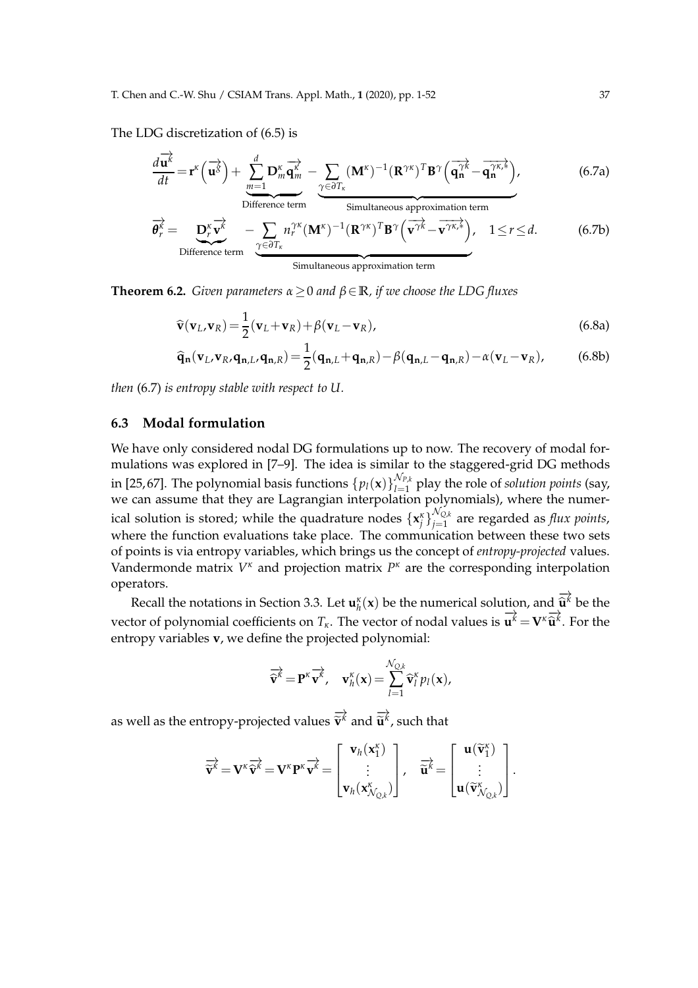The LDG discretization of (6.5) is

$$
\frac{d\overrightarrow{\mathbf{u}^{k}}}{dt} = \mathbf{r}^{k} \left(\overrightarrow{\mathbf{u}^{S}}\right) + \underbrace{\sum_{m=1}^{d} \mathbf{D}_{m}^{k} \overrightarrow{\mathbf{q}_{m}^{k}}}_{\text{Difference term}} - \underbrace{\sum_{\gamma \in \partial T_{k}} (\mathbf{M}^{k})^{-1} (\mathbf{R}^{\gamma k})^{T} \mathbf{B}^{\gamma} \left(\overrightarrow{\mathbf{q}_{n}^{\gamma k}} - \overrightarrow{\mathbf{q}_{n}^{\gamma k,k}}\right)}_{\text{Simultaneous approximation term}}, \tag{6.7a}
$$

$$
\overrightarrow{\theta_r^k} = \underbrace{\mathbf{D}_r^k \overrightarrow{\mathbf{v}^k}}_{\text{Difference term}} - \underbrace{\sum_{\gamma \in \partial T_{\kappa}} n_r^{\gamma \kappa} (\mathbf{M}^{\kappa})^{-1} (\mathbf{R}^{\gamma \kappa})^T \mathbf{B}^{\gamma} (\overrightarrow{\mathbf{v}^{\gamma k}} - \overrightarrow{\mathbf{v}^{\gamma \kappa,*}})}_{\text{Simultaneous approximation term}}, \quad 1 \le r \le d. \tag{6.7b}
$$

**Theorem 6.2.** *Given parameters α*≥0 *and β*∈**R***, if we choose the LDG fluxes*

$$
\widehat{\mathbf{v}}(\mathbf{v}_L, \mathbf{v}_R) = \frac{1}{2}(\mathbf{v}_L + \mathbf{v}_R) + \beta(\mathbf{v}_L - \mathbf{v}_R),
$$
\n(6.8a)

$$
\widehat{\mathbf{q}}_{\mathbf{n}}(\mathbf{v}_L, \mathbf{v}_R, \mathbf{q}_{\mathbf{n},L}, \mathbf{q}_{\mathbf{n},R}) = \frac{1}{2}(\mathbf{q}_{\mathbf{n},L} + \mathbf{q}_{\mathbf{n},R}) - \beta(\mathbf{q}_{\mathbf{n},L} - \mathbf{q}_{\mathbf{n},R}) - \alpha(\mathbf{v}_L - \mathbf{v}_R),
$$
(6.8b)

*then* (6.7) *is entropy stable with respect to U.*

#### **6.3 Modal formulation**

We have only considered nodal DG formulations up to now. The recovery of modal formulations was explored in [7–9]. The idea is similar to the staggered-grid DG methods in [25,67]. The polynomial basis functions  $\{p_l(\mathbf{x})\}_{l=1}^{\mathcal{N}_{P,k}}$  $\sum_{l=1}^{N_{P,k}}$  play the role of *solution points* (say, we can assume that they are Lagrangian interpolation polynomials), where the numerical solution is stored; while the quadrature nodes  $\{x_j^{\kappa}\}_{j=1}^{\mathcal{N}_{Q,k}}$  $\sum_{j=1}^{N_{\rm Q},k}$  are regarded as *flux points*, where the function evaluations take place. The communication between these two sets of points is via entropy variables, which brings us the concept of *entropy-projected* values. Vandermonde matrix  $V^{\kappa}$  and projection matrix  $P^{\kappa}$  are the corresponding interpolation operators.

Recall the notations in Section 3.3. Let  $\mathbf{u}_h^{\kappa}(\mathbf{x})$  be the numerical solution, and  $\overrightarrow{\hat{\mathbf{u}}^{\kappa}}$  $\widehat{\mathbf{u}}^k$  be the vector of polynomial coefficients on  $T_k$ . The vector of nodal values is  $\overrightarrow{u^k} = \mathbf{V}^k \overrightarrow{\hat{u}^k}$ . For the entropy variables **v**, we define the projected polynomial:

$$
\overrightarrow{\mathbf{\widehat{v}}^k} = \mathbf{P}^{\kappa} \overrightarrow{\mathbf{v}^k}, \quad \mathbf{v}_h^{\kappa}(\mathbf{x}) = \sum_{l=1}^{\mathcal{N}_{Q,k}} \widehat{\mathbf{v}}_l^{\kappa} p_l(\mathbf{x}),
$$

as well as the entropy-projected values  $\overrightarrow{\widetilde{\mathbf{v}}^k}$  and  $\overrightarrow{\widetilde{\mathbf{u}}^k}$ , such that

$$
\overrightarrow{\widetilde{\mathbf{v}}^k} = \mathbf{V}^k \overrightarrow{\widetilde{\mathbf{v}}^k} = \mathbf{V}^k \mathbf{P}^k \overrightarrow{\mathbf{v}^k} = \begin{bmatrix} \mathbf{v}_h(\mathbf{x}_1^k) \\ \vdots \\ \mathbf{v}_h(\mathbf{x}_{\mathcal{N}_{Q,k}}^k) \end{bmatrix}, \quad \overrightarrow{\widetilde{\mathbf{u}}^k} = \begin{bmatrix} \mathbf{u}(\widetilde{\mathbf{v}}_1^k) \\ \vdots \\ \mathbf{u}(\widetilde{\mathbf{v}}_{\mathcal{N}_{Q,k}}^k) \end{bmatrix}.
$$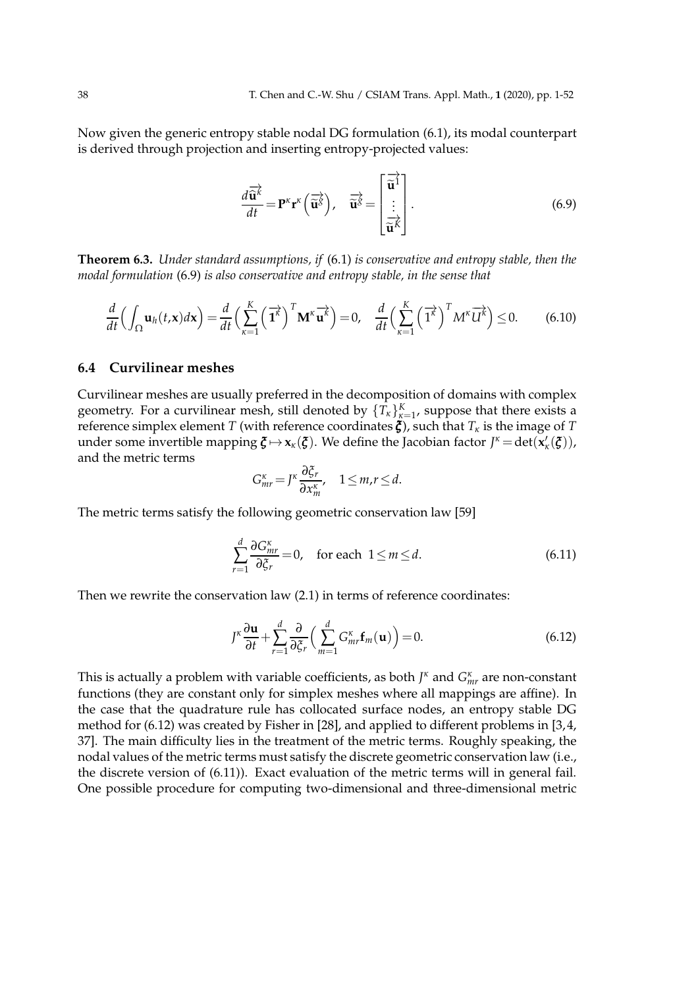Now given the generic entropy stable nodal DG formulation (6.1), its modal counterpart is derived through projection and inserting entropy-projected values:

$$
\frac{d\overrightarrow{\mathbf{\hat{u}}^{k}}}{dt} = \mathbf{P}^{\kappa} \mathbf{r}^{\kappa} \left( \overrightarrow{\mathbf{\hat{u}}^{S}} \right), \quad \overrightarrow{\mathbf{\hat{u}}^{S}} = \begin{bmatrix} \overrightarrow{\mathbf{\hat{u}}^{1}} \\ \vdots \\ \overrightarrow{\mathbf{\hat{u}}^{k}} \end{bmatrix}.
$$
 (6.9)

**Theorem 6.3.** *Under standard assumptions, if* (6.1) *is conservative and entropy stable, then the modal formulation* (6.9) *is also conservative and entropy stable, in the sense that*

$$
\frac{d}{dt}\left(\int_{\Omega} \mathbf{u}_h(t,\mathbf{x})d\mathbf{x}\right) = \frac{d}{dt}\left(\sum_{\kappa=1}^K \left(\overrightarrow{\mathbf{1}^{\kappa}}\right)^T \mathbf{M}^{\kappa} \overrightarrow{\mathbf{u}^{\kappa}}\right) = 0, \quad \frac{d}{dt}\left(\sum_{\kappa=1}^K \left(\overrightarrow{\mathbf{1}^{\kappa}}\right)^T M^{\kappa} \overrightarrow{\mathbf{U}^{\kappa}}\right) \leq 0. \tag{6.10}
$$

### **6.4 Curvilinear meshes**

Curvilinear meshes are usually preferred in the decomposition of domains with complex geometry. For a curvilinear mesh, still denoted by  $\{T_{\kappa}\}_{\kappa=1}^{K}$ , suppose that there exists a reference simplex element *T* (with reference coordinates  $\zeta$ ), such that  $T_k$  is the image of *T* under some invertible mapping  $\zeta \mapsto x_{\kappa}(\zeta)$ . We define the Jacobian factor  $J^{\kappa} = det(x'_{\kappa}(\zeta)),$ and the metric terms

$$
G_{mr}^{\kappa} = J^{\kappa} \frac{\partial \xi_r}{\partial x_m^{\kappa}}, \quad 1 \leq m, r \leq d.
$$

The metric terms satisfy the following geometric conservation law [59]

$$
\sum_{r=1}^{d} \frac{\partial G_{mr}^{\kappa}}{\partial \xi_r} = 0, \quad \text{for each } 1 \le m \le d. \tag{6.11}
$$

Then we rewrite the conservation law (2.1) in terms of reference coordinates:

$$
J^{\kappa} \frac{\partial \mathbf{u}}{\partial t} + \sum_{r=1}^{d} \frac{\partial}{\partial \xi_r} \left( \sum_{m=1}^{d} G_{mr}^{\kappa} \mathbf{f}_m(\mathbf{u}) \right) = 0. \tag{6.12}
$$

This is actually a problem with variable coefficients, as both *J <sup>κ</sup>* and *G κ mr* are non-constant functions (they are constant only for simplex meshes where all mappings are affine). In the case that the quadrature rule has collocated surface nodes, an entropy stable DG method for (6.12) was created by Fisher in [28], and applied to different problems in [3, 4, 37]. The main difficulty lies in the treatment of the metric terms. Roughly speaking, the nodal values of the metric terms must satisfy the discrete geometric conservation law (i.e., the discrete version of (6.11)). Exact evaluation of the metric terms will in general fail. One possible procedure for computing two-dimensional and three-dimensional metric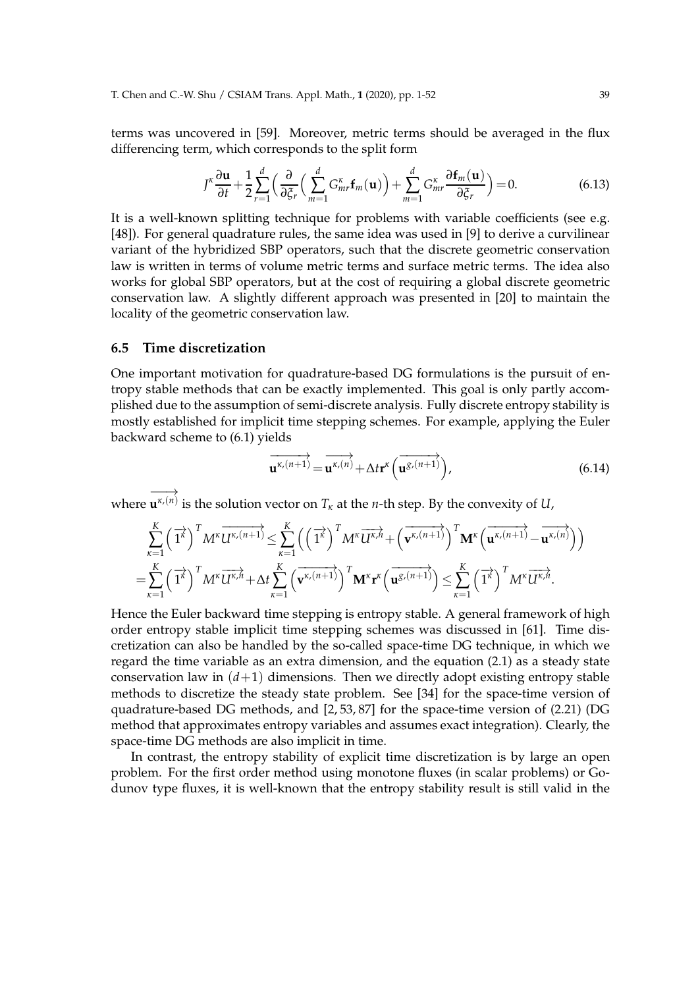terms was uncovered in [59]. Moreover, metric terms should be averaged in the flux differencing term, which corresponds to the split form

$$
J^{\kappa} \frac{\partial \mathbf{u}}{\partial t} + \frac{1}{2} \sum_{r=1}^{d} \left( \frac{\partial}{\partial \xi_r} \left( \sum_{m=1}^{d} G_{mr}^{\kappa} \mathbf{f}_m(\mathbf{u}) \right) + \sum_{m=1}^{d} G_{mr}^{\kappa} \frac{\partial \mathbf{f}_m(\mathbf{u})}{\partial \xi_r} \right) = 0.
$$
 (6.13)

It is a well-known splitting technique for problems with variable coefficients (see e.g. [48]). For general quadrature rules, the same idea was used in [9] to derive a curvilinear variant of the hybridized SBP operators, such that the discrete geometric conservation law is written in terms of volume metric terms and surface metric terms. The idea also works for global SBP operators, but at the cost of requiring a global discrete geometric conservation law. A slightly different approach was presented in [20] to maintain the locality of the geometric conservation law.

### **6.5 Time discretization**

One important motivation for quadrature-based DG formulations is the pursuit of entropy stable methods that can be exactly implemented. This goal is only partly accomplished due to the assumption of semi-discrete analysis. Fully discrete entropy stability is mostly established for implicit time stepping schemes. For example, applying the Euler backward scheme to (6.1) yields

$$
\overrightarrow{\mathbf{u}^{\kappa,(n+1)}} = \overrightarrow{\mathbf{u}^{\kappa,(n)}} + \Delta t \mathbf{r}^{\kappa} \left( \overrightarrow{\mathbf{u}^{\mathcal{S},(n+1)}} \right), \tag{6.14}
$$

where −−→ **u** *κ*,(*n*) is the solution vector on *T<sup>κ</sup>* at the *n*-th step. By the convexity of *U*,

$$
\sum_{\kappa=1}^K \left(\overrightarrow{1^{\kappa}}\right)^T M^{\kappa} \overrightarrow{U^{\kappa,(n+1)}} \leq \sum_{\kappa=1}^K \left(\left(\overrightarrow{1^{\kappa}}\right)^T M^{\kappa} \overrightarrow{U^{\kappa,n}} + \left(\overrightarrow{v^{\kappa,(n+1)}}\right)^T M^{\kappa} \left(\overrightarrow{u^{\kappa,(n+1)}} - \overrightarrow{u^{\kappa,(n)}}\right)\right)
$$
  
= 
$$
\sum_{\kappa=1}^K \left(\overrightarrow{1^{\kappa}}\right)^T M^{\kappa} \overrightarrow{U^{\kappa,n}} + \Delta t \sum_{\kappa=1}^K \left(\overrightarrow{v^{\kappa,(n+1)}}\right)^T M^{\kappa} \mathbf{r}^{\kappa} \left(\overrightarrow{u^{\kappa,(n+1)}}\right) \leq \sum_{\kappa=1}^K \left(\overrightarrow{1^{\kappa}}\right)^T M^{\kappa} \overrightarrow{U^{\kappa,n}}.
$$

Hence the Euler backward time stepping is entropy stable. A general framework of high order entropy stable implicit time stepping schemes was discussed in [61]. Time discretization can also be handled by the so-called space-time DG technique, in which we regard the time variable as an extra dimension, and the equation (2.1) as a steady state conservation law in  $(d+1)$  dimensions. Then we directly adopt existing entropy stable methods to discretize the steady state problem. See [34] for the space-time version of quadrature-based DG methods, and [2, 53, 87] for the space-time version of (2.21) (DG method that approximates entropy variables and assumes exact integration). Clearly, the space-time DG methods are also implicit in time.

In contrast, the entropy stability of explicit time discretization is by large an open problem. For the first order method using monotone fluxes (in scalar problems) or Godunov type fluxes, it is well-known that the entropy stability result is still valid in the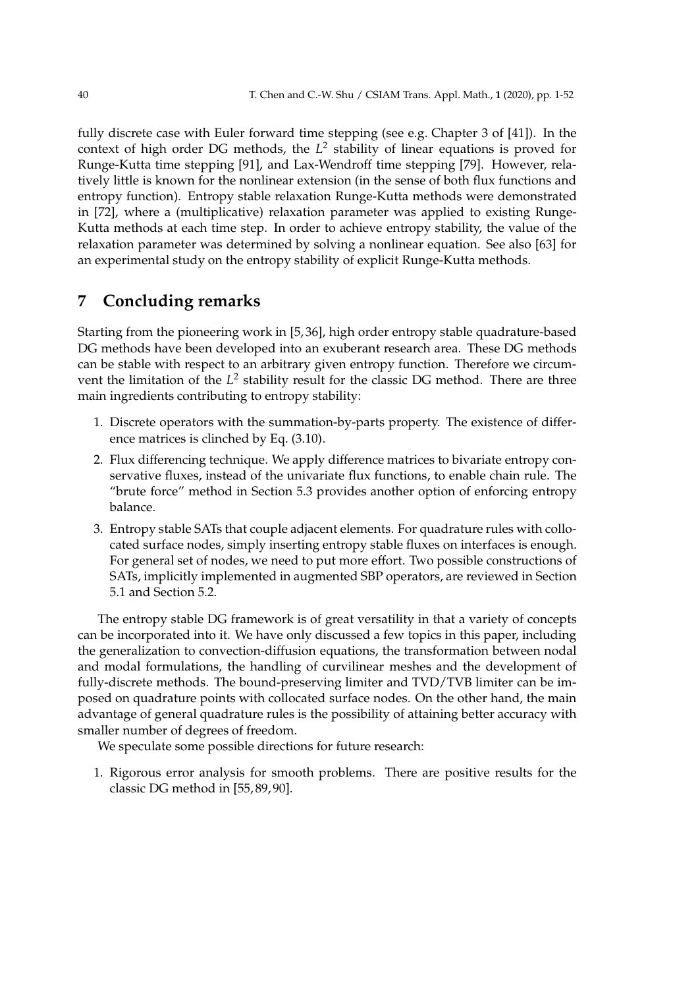fully discrete case with Euler forward time stepping (see e.g. Chapter 3 of [41]). In the context of high order DG methods, the *L* 2 stability of linear equations is proved for Runge-Kutta time stepping [91], and Lax-Wendroff time stepping [79]. However, relatively little is known for the nonlinear extension (in the sense of both flux functions and entropy function). Entropy stable relaxation Runge-Kutta methods were demonstrated in [72], where a (multiplicative) relaxation parameter was applied to existing Runge-Kutta methods at each time step. In order to achieve entropy stability, the value of the relaxation parameter was determined by solving a nonlinear equation. See also [63] for an experimental study on the entropy stability of explicit Runge-Kutta methods.

# **7 Concluding remarks**

Starting from the pioneering work in [5, 36], high order entropy stable quadrature-based DG methods have been developed into an exuberant research area. These DG methods can be stable with respect to an arbitrary given entropy function. Therefore we circumvent the limitation of the L<sup>2</sup> stability result for the classic DG method. There are three main ingredients contributing to entropy stability:

- 1. Discrete operators with the summation-by-parts property. The existence of difference matrices is clinched by Eq. (3.10).
- 2. Flux differencing technique. We apply difference matrices to bivariate entropy conservative fluxes, instead of the univariate flux functions, to enable chain rule. The "brute force" method in Section 5.3 provides another option of enforcing entropy balance.
- 3. Entropy stable SATs that couple adjacent elements. For quadrature rules with collocated surface nodes, simply inserting entropy stable fluxes on interfaces is enough. For general set of nodes, we need to put more effort. Two possible constructions of SATs, implicitly implemented in augmented SBP operators, are reviewed in Section 5.1 and Section 5.2.

The entropy stable DG framework is of great versatility in that a variety of concepts can be incorporated into it. We have only discussed a few topics in this paper, including the generalization to convection-diffusion equations, the transformation between nodal and modal formulations, the handling of curvilinear meshes and the development of fully-discrete methods. The bound-preserving limiter and TVD/TVB limiter can be imposed on quadrature points with collocated surface nodes. On the other hand, the main advantage of general quadrature rules is the possibility of attaining better accuracy with smaller number of degrees of freedom.

We speculate some possible directions for future research:

1. Rigorous error analysis for smooth problems. There are positive results for the classic DG method in [55, 89, 90].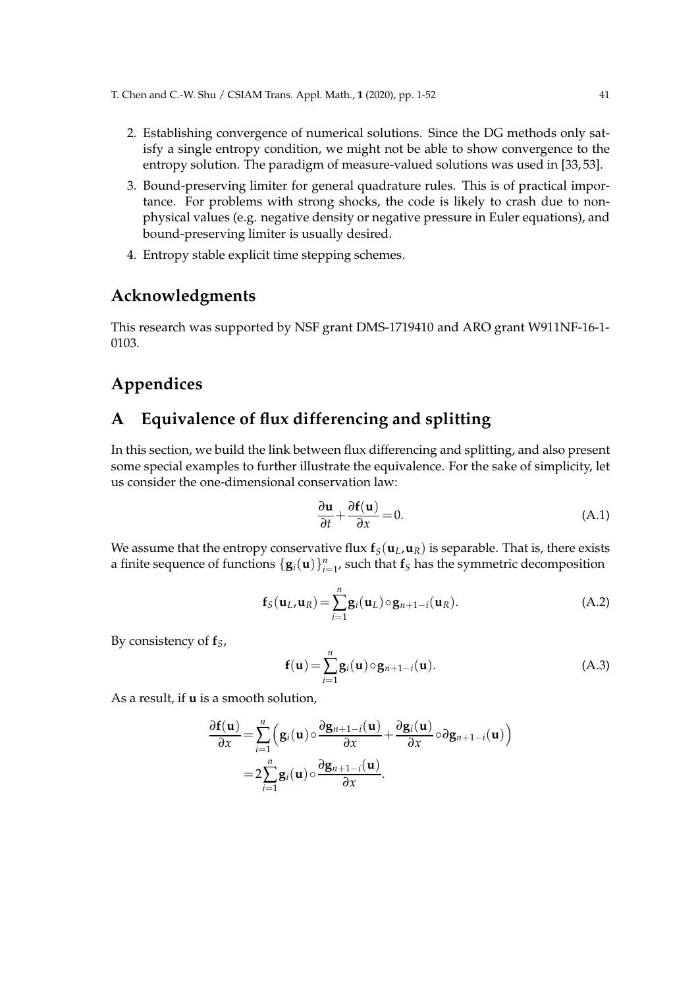- 2. Establishing convergence of numerical solutions. Since the DG methods only satisfy a single entropy condition, we might not be able to show convergence to the entropy solution. The paradigm of measure-valued solutions was used in [33, 53].
- 3. Bound-preserving limiter for general quadrature rules. This is of practical importance. For problems with strong shocks, the code is likely to crash due to nonphysical values (e.g. negative density or negative pressure in Euler equations), and bound-preserving limiter is usually desired.
- 4. Entropy stable explicit time stepping schemes.

# **Acknowledgments**

This research was supported by NSF grant DMS-1719410 and ARO grant W911NF-16-1- 0103.

# **Appendices**

# **A Equivalence of flux differencing and splitting**

In this section, we build the link between flux differencing and splitting, and also present some special examples to further illustrate the equivalence. For the sake of simplicity, let us consider the one-dimensional conservation law:

$$
\frac{\partial \mathbf{u}}{\partial t} + \frac{\partial \mathbf{f}(\mathbf{u})}{\partial x} = 0.
$$
 (A.1)

We assume that the entropy conservative flux  $f_S(u_L, u_R)$  is separable. That is, there exists a finite sequence of functions  $\{ \mathbf{g}_i(\mathbf{u}) \}_{i=1}^n$ , such that  $\mathbf{f}_S$  has the symmetric decomposition

$$
\mathbf{f}_{S}(\mathbf{u}_{L},\mathbf{u}_{R})=\sum_{i=1}^{n}\mathbf{g}_{i}(\mathbf{u}_{L})\circ\mathbf{g}_{n+1-i}(\mathbf{u}_{R}).
$$
\n(A.2)

By consistency of **f***S*,

$$
\mathbf{f}(\mathbf{u}) = \sum_{i=1}^{n} \mathbf{g}_i(\mathbf{u}) \circ \mathbf{g}_{n+1-i}(\mathbf{u}).
$$
 (A.3)

As a result, if **u** is a smooth solution,

$$
\frac{\partial f(\mathbf{u})}{\partial x} = \sum_{i=1}^{n} \left( \mathbf{g}_i(\mathbf{u}) \circ \frac{\partial \mathbf{g}_{n+1-i}(\mathbf{u})}{\partial x} + \frac{\partial \mathbf{g}_i(\mathbf{u})}{\partial x} \circ \partial \mathbf{g}_{n+1-i}(\mathbf{u}) \right)
$$

$$
= 2 \sum_{i=1}^{n} \mathbf{g}_i(\mathbf{u}) \circ \frac{\partial \mathbf{g}_{n+1-i}(\mathbf{u})}{\partial x}.
$$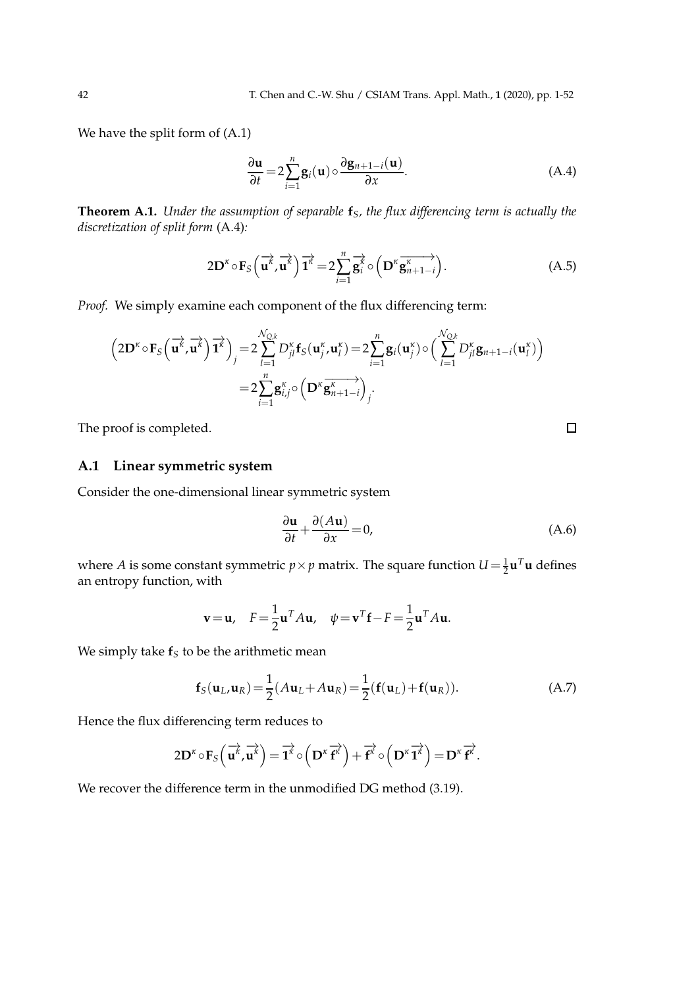We have the split form of (A.1)

$$
\frac{\partial \mathbf{u}}{\partial t} = 2 \sum_{i=1}^{n} \mathbf{g}_i(\mathbf{u}) \circ \frac{\partial \mathbf{g}_{n+1-i}(\mathbf{u})}{\partial x}.
$$
 (A.4)

**Theorem A.1.** *Under the assumption of separable* **f***S, the flux differencing term is actually the discretization of split form* (A.4)*:*

$$
2\mathbf{D}^{\kappa} \circ \mathbf{F}_{S} \left( \overrightarrow{\mathbf{u}^{\kappa}}, \overrightarrow{\mathbf{u}^{\kappa}} \right) \overrightarrow{\mathbf{1}^{\kappa}} = 2 \sum_{i=1}^{n} \overrightarrow{\mathbf{g}^{\kappa}_{i}} \circ \left( \mathbf{D}^{\kappa} \overrightarrow{\mathbf{g}^{\kappa}}_{n+1-i} \right). \tag{A.5}
$$

*Proof.* We simply examine each component of the flux differencing term:

$$
\left(2\mathbf{D}^{\kappa}\circ\mathbf{F}_{S}\left(\overrightarrow{\mathbf{u}^{k}},\overrightarrow{\mathbf{u}^{k}}\right)\overrightarrow{\mathbf{1}}^{k}\right)_{j} = 2\sum_{l=1}^{N_{Q,k}}D_{jl}^{\kappa}\mathbf{f}_{S}(\mathbf{u}_{j}^{\kappa},\mathbf{u}_{l}^{\kappa}) = 2\sum_{i=1}^{n}\mathbf{g}_{i}(\mathbf{u}_{j}^{\kappa})\circ\left(\sum_{l=1}^{N_{Q,k}}D_{jl}^{\kappa}\mathbf{g}_{n+1-i}(\mathbf{u}_{l}^{\kappa})\right) = 2\sum_{i=1}^{n}\mathbf{g}_{i,j}^{\kappa}\circ\left(\mathbf{D}^{\kappa}\overrightarrow{\mathbf{g}_{n+1-i}^{\kappa}}\right)_{j}.
$$

The proof is completed.

### **A.1 Linear symmetric system**

Consider the one-dimensional linear symmetric system

$$
\frac{\partial \mathbf{u}}{\partial t} + \frac{\partial (A\mathbf{u})}{\partial x} = 0,
$$
 (A.6)

 $\Box$ 

where *A* is some constant symmetric  $p \times p$  matrix. The square function  $U = \frac{1}{2} \mathbf{u}^T \mathbf{u}$  defines an entropy function, with

$$
\mathbf{v} = \mathbf{u}, \quad F = \frac{1}{2} \mathbf{u}^T A \mathbf{u}, \quad \psi = \mathbf{v}^T \mathbf{f} - F = \frac{1}{2} \mathbf{u}^T A \mathbf{u}.
$$

We simply take **f***<sup>S</sup>* to be the arithmetic mean

$$
\mathbf{f}_{S}(\mathbf{u}_{L}, \mathbf{u}_{R}) = \frac{1}{2}(A\mathbf{u}_{L} + A\mathbf{u}_{R}) = \frac{1}{2}(\mathbf{f}(\mathbf{u}_{L}) + \mathbf{f}(\mathbf{u}_{R})).
$$
\n(A.7)

Hence the flux differencing term reduces to

$$
2D^{\kappa} \circ F_{S}\left(\overrightarrow{u^{\kappa}}, \overrightarrow{u^{\kappa}}\right) = \overrightarrow{1^{\kappa}} \circ \left(D^{\kappa} \overrightarrow{f^{\kappa}}\right) + \overrightarrow{f^{\kappa}} \circ \left(D^{\kappa} \overrightarrow{1^{\kappa}}\right) = D^{\kappa} \overrightarrow{f^{\kappa}}.
$$

We recover the difference term in the unmodified DG method (3.19).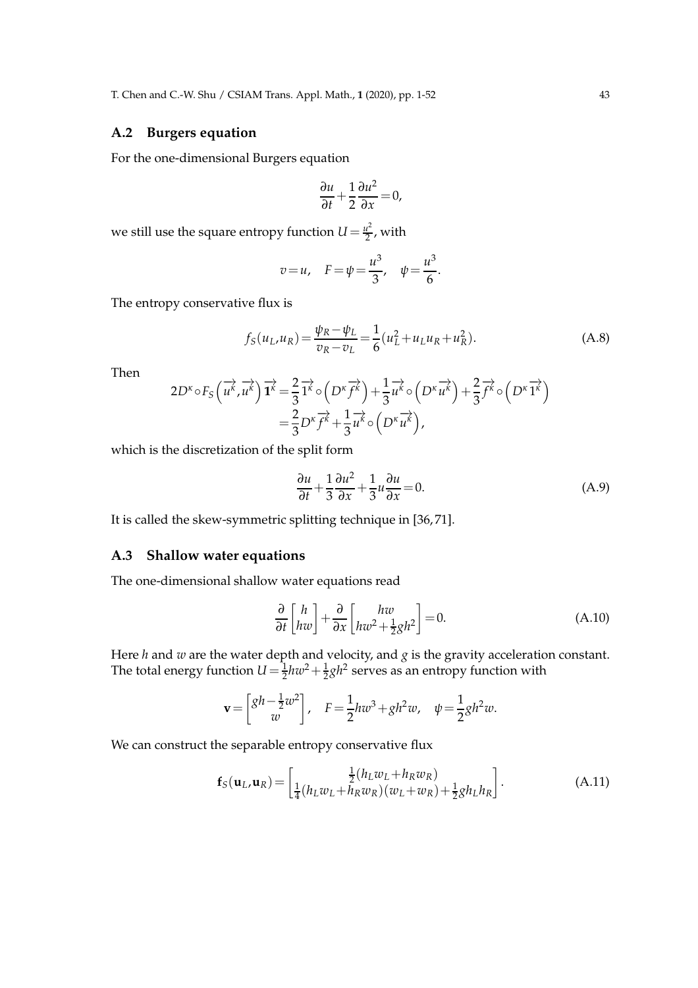### **A.2 Burgers equation**

For the one-dimensional Burgers equation

$$
\frac{\partial u}{\partial t} + \frac{1}{2} \frac{\partial u^2}{\partial x} = 0,
$$

we still use the square entropy function  $U = \frac{u^2}{2}$  $\frac{l^-}{2}$ , with

$$
v = u
$$
,  $F = \psi = \frac{u^3}{3}$ ,  $\psi = \frac{u^3}{6}$ .

The entropy conservative flux is

$$
f_S(u_L, u_R) = \frac{\psi_R - \psi_L}{v_R - v_L} = \frac{1}{6}(u_L^2 + u_L u_R + u_R^2).
$$
 (A.8)

Then

$$
2D^{\kappa} \circ F_S\left(\overrightarrow{u^k}, \overrightarrow{u^k}\right) \overrightarrow{1^k} = \frac{2}{3} \overrightarrow{1^k} \circ \left(D^{\kappa} \overrightarrow{f^k}\right) + \frac{1}{3} \overrightarrow{u^k} \circ \left(D^{\kappa} \overrightarrow{u^k}\right) + \frac{2}{3} \overrightarrow{f^k} \circ \left(D^{\kappa} \overrightarrow{1^k}\right) = \frac{2}{3} D^{\kappa} \overrightarrow{f^k} + \frac{1}{3} \overrightarrow{u^k} \circ \left(D^{\kappa} \overrightarrow{u^k}\right),
$$

which is the discretization of the split form

$$
\frac{\partial u}{\partial t} + \frac{1}{3} \frac{\partial u^2}{\partial x} + \frac{1}{3} u \frac{\partial u}{\partial x} = 0.
$$
 (A.9)

It is called the skew-symmetric splitting technique in [36, 71].

### **A.3 Shallow water equations**

The one-dimensional shallow water equations read

$$
\frac{\partial}{\partial t} \begin{bmatrix} h \\ h w \end{bmatrix} + \frac{\partial}{\partial x} \begin{bmatrix} h w \\ h w^2 + \frac{1}{2} g h^2 \end{bmatrix} = 0.
$$
 (A.10)

Here *h* and *w* are the water depth and velocity, and *g* is the gravity acceleration constant. The total energy function  $U = \frac{1}{2} h w^2 + \frac{1}{2} g h^2$  serves as an entropy function with

$$
\mathbf{v} = \begin{bmatrix} gh - \frac{1}{2}w^2 \\ w \end{bmatrix}, \quad F = \frac{1}{2}hw^3 + gh^2w, \quad \psi = \frac{1}{2}gh^2w.
$$

We can construct the separable entropy conservative flux

$$
\mathbf{f}_{S}(\mathbf{u}_{L}, \mathbf{u}_{R}) = \begin{bmatrix} \frac{1}{2}(h_{L}w_{L} + h_{R}w_{R}) \\ \frac{1}{4}(h_{L}w_{L} + h_{R}w_{R})(w_{L} + w_{R}) + \frac{1}{2}gh_{L}h_{R} \end{bmatrix}.
$$
(A.11)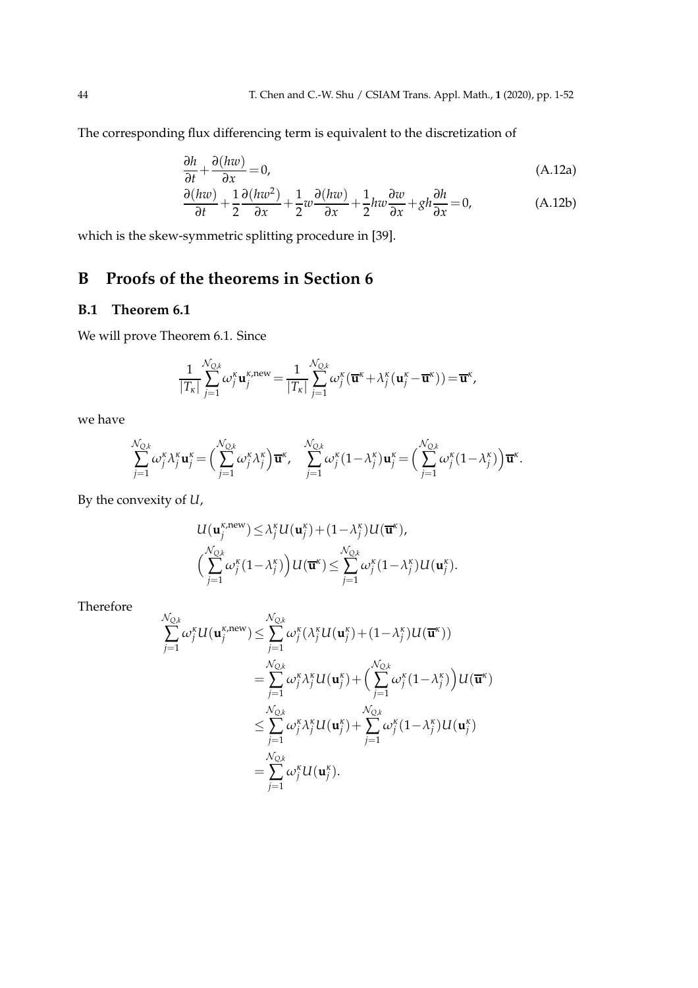The corresponding flux differencing term is equivalent to the discretization of

$$
\frac{\partial h}{\partial t} + \frac{\partial (hw)}{\partial x} = 0,\tag{A.12a}
$$

$$
\frac{\partial (hw)}{\partial t} + \frac{1}{2} \frac{\partial (hw^2)}{\partial x} + \frac{1}{2} w \frac{\partial (hw)}{\partial x} + \frac{1}{2} h w \frac{\partial w}{\partial x} + g h \frac{\partial h}{\partial x} = 0,
$$
 (A.12b)

which is the skew-symmetric splitting procedure in [39].

# **B Proofs of the theorems in Section 6**

## **B.1 Theorem 6.1**

We will prove Theorem 6.1. Since

$$
\frac{1}{|T_{\kappa}|}\sum_{j=1}^{\mathcal{N}_{Q,k}}\omega_j^{\kappa}\mathbf{u}_j^{\kappa,\text{new}}=\frac{1}{|T_{\kappa}|}\sum_{j=1}^{\mathcal{N}_{Q,k}}\omega_j^{\kappa}(\overline{\mathbf{u}}^{\kappa}+\lambda_j^{\kappa}(\mathbf{u}_j^{\kappa}-\overline{\mathbf{u}}^{\kappa}))=\overline{\mathbf{u}}^{\kappa},
$$

we have

$$
\sum_{j=1}^{\mathcal{N}_{\text{Q},k}} \omega_j^{\kappa} \lambda_j^{\kappa} \mathbf{u}_j^{\kappa} = \Big( \sum_{j=1}^{\mathcal{N}_{\text{Q},k}} \omega_j^{\kappa} \lambda_j^{\kappa} \Big) \overline{\mathbf{u}}^{\kappa}, \quad \sum_{j=1}^{\mathcal{N}_{\text{Q},k}} \omega_j^{\kappa} (1-\lambda_j^{\kappa}) \mathbf{u}_j^{\kappa} = \Big( \sum_{j=1}^{\mathcal{N}_{\text{Q},k}} \omega_j^{\kappa} (1-\lambda_j^{\kappa}) \Big) \overline{\mathbf{u}}^{\kappa}.
$$

By the convexity of *U*,

$$
U(\mathbf{u}_{j}^{\kappa,\text{new}}) \leq \lambda_{j}^{\kappa}U(\mathbf{u}_{j}^{\kappa}) + (1-\lambda_{j}^{\kappa})U(\overline{\mathbf{u}}^{\kappa}),
$$
  

$$
\left(\sum_{j=1}^{N_{Q,k}} \omega_{j}^{\kappa}(1-\lambda_{j}^{\kappa})\right)U(\overline{\mathbf{u}}^{\kappa}) \leq \sum_{j=1}^{N_{Q,k}} \omega_{j}^{\kappa}(1-\lambda_{j}^{\kappa})U(\mathbf{u}_{j}^{\kappa}).
$$

Therefore

$$
\sum_{j=1}^{\mathcal{N}_{Q,k}} \omega_j^{\kappa} U(\mathbf{u}_j^{\kappa, \text{new}}) \leq \sum_{j=1}^{\mathcal{N}_{Q,k}} \omega_j^{\kappa} (\lambda_j^{\kappa} U(\mathbf{u}_j^{\kappa}) + (1 - \lambda_j^{\kappa}) U(\overline{\mathbf{u}}^{\kappa}))
$$
  
\n
$$
= \sum_{j=1}^{\mathcal{N}_{Q,k}} \omega_j^{\kappa} \lambda_j^{\kappa} U(\mathbf{u}_j^{\kappa}) + \left( \sum_{j=1}^{\mathcal{N}_{Q,k}} \omega_j^{\kappa} (1 - \lambda_j^{\kappa}) \right) U(\overline{\mathbf{u}}^{\kappa})
$$
  
\n
$$
\leq \sum_{j=1}^{\mathcal{N}_{Q,k}} \omega_j^{\kappa} \lambda_j^{\kappa} U(\mathbf{u}_j^{\kappa}) + \sum_{j=1}^{\mathcal{N}_{Q,k}} \omega_j^{\kappa} (1 - \lambda_j^{\kappa}) U(\mathbf{u}_j^{\kappa})
$$
  
\n
$$
= \sum_{j=1}^{\mathcal{N}_{Q,k}} \omega_j^{\kappa} U(\mathbf{u}_j^{\kappa}).
$$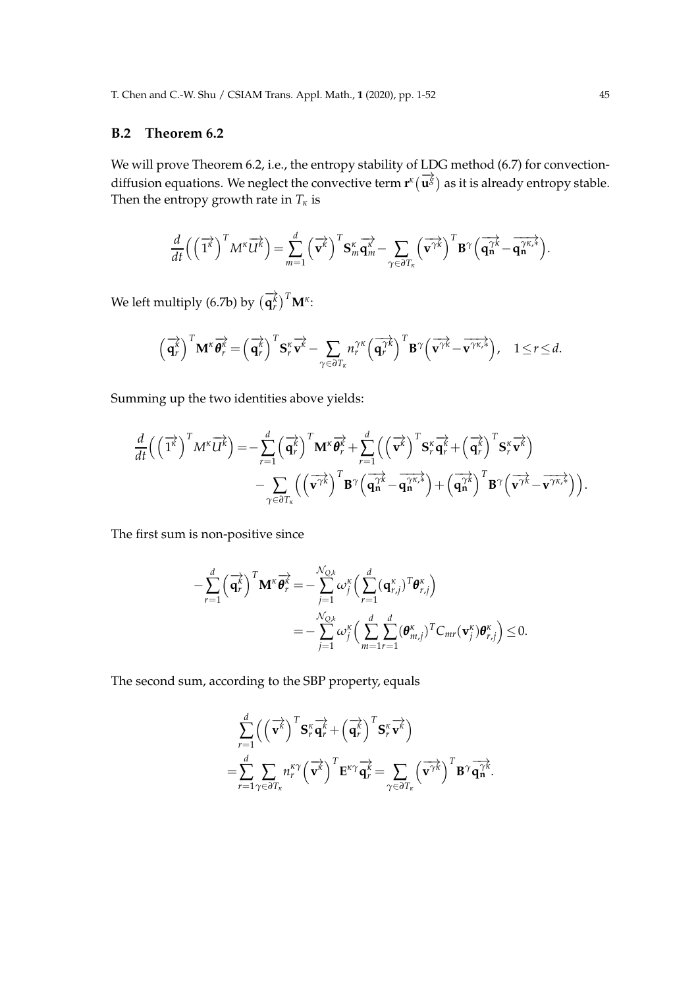### **B.2 Theorem 6.2**

We will prove Theorem 6.2, i.e., the entropy stability of LDG method (6.7) for convectiondiffusion equations. We neglect the convective term  $\mathbf{r}^k(\vec{u}^g)$  as it is already entropy stable. Then the entropy growth rate in  $T_k$  is

$$
\frac{d}{dt}\left(\left(\overrightarrow{1^k}\right)^T M^k \overrightarrow{U^k}\right) = \sum_{m=1}^d \left(\overrightarrow{v^k}\right)^T \mathbf{S}_m^k \overrightarrow{q_m^k} - \sum_{\gamma \in \partial T_k} \left(\overrightarrow{v^{\gamma k}}\right)^T \mathbf{B}^{\gamma} \left(\overrightarrow{q_n^{\gamma k}} - \overrightarrow{q_n^{\gamma k,*}}\right).
$$

We left multiply (6.7b) by  $\left(\overrightarrow{\mathbf{q}}_r^k\right)^T \mathbf{M}^k$ :

$$
\left(\overrightarrow{\mathbf{q}}_r^k\right)^T \mathbf{M}^{\kappa} \overrightarrow{\boldsymbol{\theta}_r^k} = \left(\overrightarrow{\mathbf{q}}_r^k\right)^T \mathbf{S}_r^{\kappa} \overrightarrow{\mathbf{v}^k} - \sum_{\gamma \in \partial T_{\kappa}} n_r^{\gamma \kappa} \left(\overrightarrow{\mathbf{q}}_r^{\gamma k}\right)^T \mathbf{B}^{\gamma} \left(\overrightarrow{\mathbf{v}^{\gamma k}} - \overrightarrow{\mathbf{v}^{\gamma \kappa,*}}\right), \quad 1 \le r \le d.
$$

Summing up the two identities above yields:

$$
\frac{d}{dt}\left(\left(\overrightarrow{1^k}\right)^T M^k \overrightarrow{U^k}\right) = -\sum_{r=1}^d \left(\overrightarrow{q_r^k}\right)^T M^k \overrightarrow{\theta_r^k} + \sum_{r=1}^d \left(\left(\overrightarrow{v^k}\right)^T S_r^k \overrightarrow{q_r^k} + \left(\overrightarrow{q_r^k}\right)^T S_r^k \overrightarrow{v^k}\right) \n- \sum_{\gamma \in \partial T_k} \left(\left(\overrightarrow{v^{\gamma k}}\right)^T B^\gamma \left(\overrightarrow{q_n^{k}} - \overrightarrow{q_n^{k,k}}\right) + \left(\overrightarrow{q_n^{k}}\right)^T B^\gamma \left(\overrightarrow{v^{\gamma k}} - \overrightarrow{v^{\gamma k,k}}\right)\right).
$$

The first sum is non-positive since

$$
-\sum_{r=1}^{d} \left(\overrightarrow{\mathbf{q}_{r}^{k}}\right)^{T} \mathbf{M}^{\kappa} \overrightarrow{\boldsymbol{\theta}_{r}^{k}} = -\sum_{j=1}^{\mathcal{N}_{Q,k}} \omega_{j}^{\kappa} \left(\sum_{r=1}^{d} (\mathbf{q}_{r,j}^{\kappa})^{T} \boldsymbol{\theta}_{r,j}^{\kappa}\right)
$$

$$
= -\sum_{j=1}^{\mathcal{N}_{Q,k}} \omega_{j}^{\kappa} \left(\sum_{m=1}^{d} \sum_{r=1}^{d} (\boldsymbol{\theta}_{m,j}^{\kappa})^{T} C_{mr} (\mathbf{v}_{j}^{\kappa}) \boldsymbol{\theta}_{r,j}^{\kappa}\right) \leq 0.
$$

The second sum, according to the SBP property, equals

$$
\sum_{r=1}^{d} \left( \left( \overrightarrow{\mathbf{v}^{k}} \right)^{T} \mathbf{S}_{r}^{\kappa} \overrightarrow{\mathbf{q}_{r}} + \left( \overrightarrow{\mathbf{q}_{r}} \right)^{T} \mathbf{S}_{r}^{\kappa} \overrightarrow{\mathbf{v}^{k}} \right) \n= \sum_{r=1}^{d} \sum_{\gamma \in \partial T_{\kappa}} n_{r}^{\kappa \gamma} \left( \overrightarrow{\mathbf{v}^{k}} \right)^{T} \mathbf{E}^{\kappa \gamma} \overrightarrow{\mathbf{q}^{k}} = \sum_{\gamma \in \partial T_{\kappa}} \left( \overrightarrow{\mathbf{v}^{\gamma k}} \right)^{T} \mathbf{B}^{\gamma} \overrightarrow{\mathbf{q}^{\gamma k}}.
$$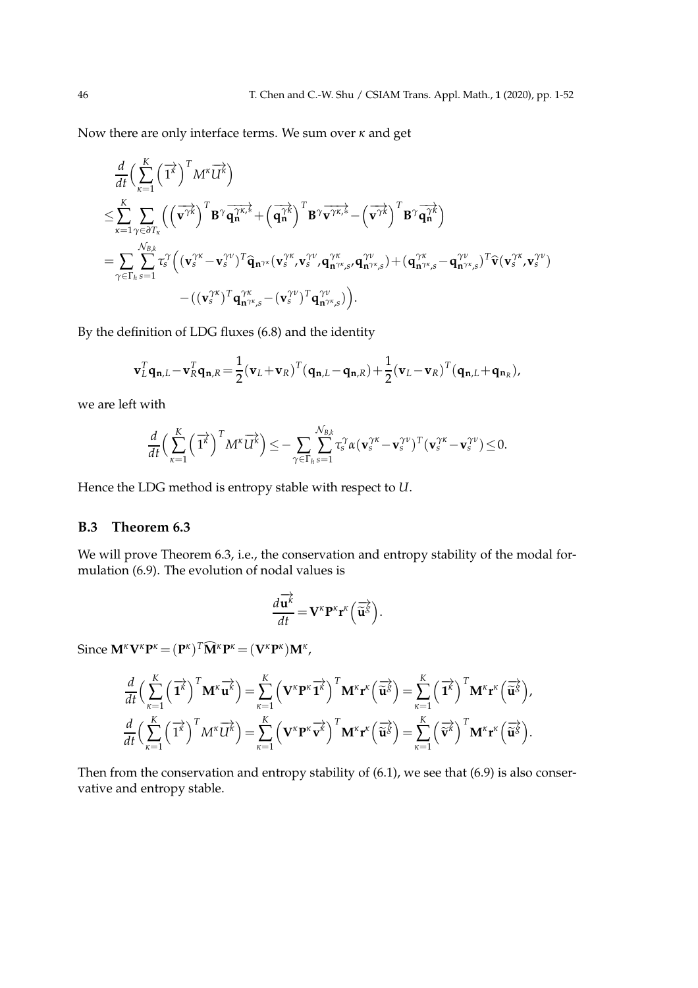Now there are only interface terms. We sum over *κ* and get

$$
\frac{d}{dt} \Big( \sum_{\kappa=1}^{K} \Big( \overrightarrow{1^{\kappa}} \Big)^{T} M^{\kappa} \overrightarrow{U^{\kappa}} \Big) \n\leq \sum_{\kappa=1}^{K} \sum_{\gamma \in \partial T_{\kappa}} \Big( \Big( \overrightarrow{v^{\gamma \kappa}} \Big)^{T} B^{\gamma} \overrightarrow{q_{n}^{\gamma \kappa, \xi}}} + \Big( \overrightarrow{q_{n}^{\gamma \kappa}} \Big)^{T} B^{\gamma} \overrightarrow{v^{\gamma \kappa, \xi}} - \Big( \overrightarrow{v^{\gamma \kappa}} \Big)^{T} B^{\gamma} \overrightarrow{q_{n}^{\gamma \kappa}} \Big) \n= \sum_{\gamma \in \Gamma_{h}} \sum_{s=1}^{N_{B,k}} \tau_{s}^{\gamma} \Big( \big( \mathbf{v}_{s}^{\gamma \kappa} - \mathbf{v}_{s}^{\gamma \nu} \big)^{T} \widehat{\mathbf{q}}_{n^{\gamma \kappa}} (\mathbf{v}_{s}^{\gamma \kappa}, \mathbf{v}_{s}^{\gamma \nu}, \mathbf{q}_{n^{\gamma \kappa}, s}^{\gamma \kappa}, \mathbf{q}_{n^{\gamma \kappa}, s}^{\gamma \nu}) + \big( \mathbf{q}_{n^{\gamma \kappa}, s}^{\gamma \kappa} - \mathbf{q}_{n^{\gamma \kappa}, s}^{\gamma \nu} \big)^{T} \widehat{\mathbf{v}} (\mathbf{v}_{s}^{\gamma \kappa}, \mathbf{v}_{s}^{\gamma \nu}) - \big( (\mathbf{v}_{s}^{\gamma \kappa})^{T} \mathbf{q}_{n^{\gamma \kappa}, s}^{\gamma \kappa} - (\mathbf{v}_{s}^{\gamma \nu})^{T} \mathbf{q}_{n^{\gamma \kappa}, s}^{\gamma \nu} \big) \Big).
$$

By the definition of LDG fluxes (6.8) and the identity

$$
\mathbf{v}_L^T \mathbf{q}_{\mathbf{n},L} - \mathbf{v}_R^T \mathbf{q}_{\mathbf{n},R} = \frac{1}{2} (\mathbf{v}_L + \mathbf{v}_R)^T (\mathbf{q}_{\mathbf{n},L} - \mathbf{q}_{\mathbf{n},R}) + \frac{1}{2} (\mathbf{v}_L - \mathbf{v}_R)^T (\mathbf{q}_{\mathbf{n},L} + \mathbf{q}_{\mathbf{n}_R}),
$$

we are left with

$$
\frac{d}{dt}\Big(\sum_{\kappa=1}^K \Big(\overrightarrow{1^{\kappa}}\Big)^T M^{\kappa} \overrightarrow{U^{\kappa}}\Big) \leq -\sum_{\gamma \in \Gamma_h} \sum_{s=1}^{N_{B,k}} \tau_s^{\gamma} \alpha (\mathbf{v}_s^{\gamma \kappa} - \mathbf{v}_s^{\gamma \nu})^T (\mathbf{v}_s^{\gamma \kappa} - \mathbf{v}_s^{\gamma \nu}) \leq 0.
$$

Hence the LDG method is entropy stable with respect to *U*.

## **B.3 Theorem 6.3**

We will prove Theorem 6.3, i.e., the conservation and entropy stability of the modal formulation (6.9). The evolution of nodal values is

$$
\frac{d\overrightarrow{\mathbf{u}}^k}{dt} = \mathbf{V}^{\kappa} \mathbf{P}^{\kappa} \mathbf{r}^{\kappa} \left( \overrightarrow{\mathbf{u}}^{\delta} \right).
$$

 $\text{Since } \mathbf{M}^{\kappa} \mathbf{V}^{\kappa} \mathbf{P}^{\kappa} = (\mathbf{P}^{\kappa})^T \widehat{\mathbf{M}}^{\kappa} \mathbf{P}^{\kappa} = (\mathbf{V}^{\kappa} \mathbf{P}^{\kappa}) \mathbf{M}^{\kappa}$ ,

$$
\frac{d}{dt}\Big(\sum_{\kappa=1}^K \left(\overrightarrow{\mathbf{1}^{\kappa}}\right)^T \mathbf{M}^{\kappa} \overrightarrow{\mathbf{u}^{\kappa}}\Big) = \sum_{\kappa=1}^K \left(\mathbf{V}^{\kappa} \mathbf{P}^{\kappa} \overrightarrow{\mathbf{1}^{\kappa}}\right)^T \mathbf{M}^{\kappa} \mathbf{r}^{\kappa} \left(\overrightarrow{\mathbf{u}^{\kappa}}\right) = \sum_{\kappa=1}^K \left(\overrightarrow{\mathbf{1}^{\kappa}}\right)^T \mathbf{M}^{\kappa} \mathbf{r}^{\kappa} \left(\overrightarrow{\mathbf{u}^{\kappa}}\right),
$$
\n
$$
\frac{d}{dt}\Big(\sum_{\kappa=1}^K \left(\overrightarrow{\mathbf{1}^{\kappa}}\right)^T \mathbf{M}^{\kappa} \overrightarrow{\mathbf{u}^{\kappa}}\Big) = \sum_{\kappa=1}^K \left(\mathbf{V}^{\kappa} \mathbf{P}^{\kappa} \overrightarrow{\mathbf{v}^{\kappa}}\right)^T \mathbf{M}^{\kappa} \mathbf{r}^{\kappa} \left(\overrightarrow{\mathbf{u}^{\kappa}}\right) = \sum_{\kappa=1}^K \left(\overrightarrow{\mathbf{v}^{\kappa}}\right)^T \mathbf{M}^{\kappa} \mathbf{r}^{\kappa} \left(\overrightarrow{\mathbf{u}^{\kappa}}\right).
$$

Then from the conservation and entropy stability of (6.1), we see that (6.9) is also conservative and entropy stable.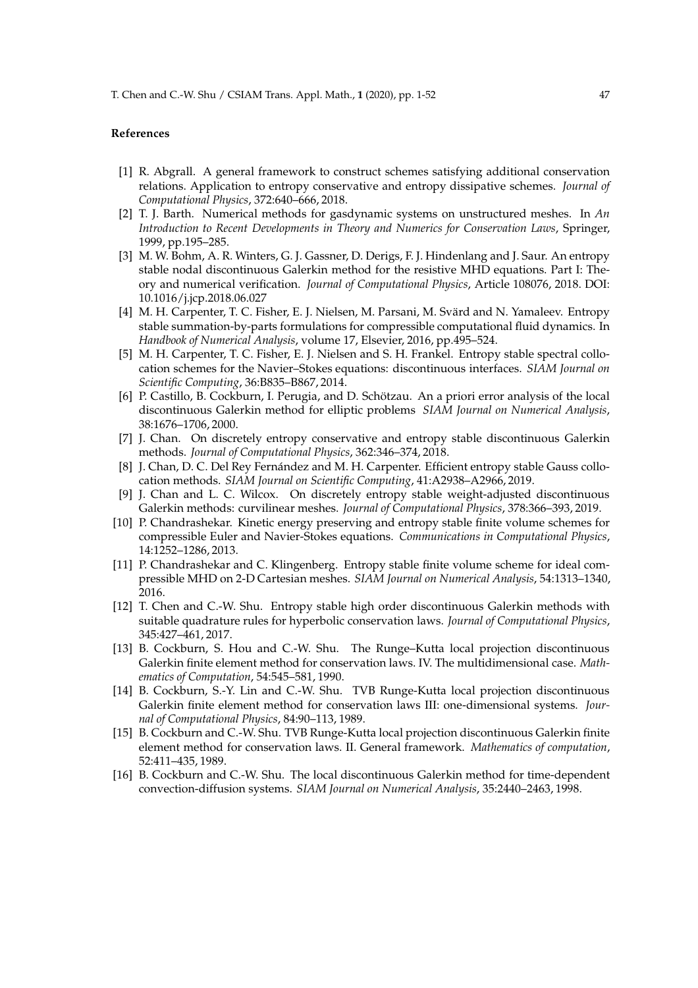#### **References**

- [1] R. Abgrall. A general framework to construct schemes satisfying additional conservation relations. Application to entropy conservative and entropy dissipative schemes. *Journal of Computational Physics*, 372:640–666, 2018.
- [2] T. J. Barth. Numerical methods for gasdynamic systems on unstructured meshes. In *An Introduction to Recent Developments in Theory and Numerics for Conservation Laws*, Springer, 1999, pp.195–285.
- [3] M. W. Bohm, A. R. Winters, G. J. Gassner, D. Derigs, F. J. Hindenlang and J. Saur. An entropy stable nodal discontinuous Galerkin method for the resistive MHD equations. Part I: Theory and numerical verification. *Journal of Computational Physics*, Article 108076, 2018. DOI: 10.1016/j.jcp.2018.06.027
- [4] M. H. Carpenter, T. C. Fisher, E. J. Nielsen, M. Parsani, M. Svärd and N. Yamaleev. Entropy stable summation-by-parts formulations for compressible computational fluid dynamics. In *Handbook of Numerical Analysis*, volume 17, Elsevier, 2016, pp.495–524.
- [5] M. H. Carpenter, T. C. Fisher, E. J. Nielsen and S. H. Frankel. Entropy stable spectral collocation schemes for the Navier–Stokes equations: discontinuous interfaces. *SIAM Journal on Scientific Computing*, 36:B835–B867, 2014.
- [6] P. Castillo, B. Cockburn, I. Perugia, and D. Schötzau. An a priori error analysis of the local discontinuous Galerkin method for elliptic problems *SIAM Journal on Numerical Analysis*, 38:1676–1706, 2000.
- [7] J. Chan. On discretely entropy conservative and entropy stable discontinuous Galerkin methods. *Journal of Computational Physics*, 362:346–374, 2018.
- [8] J. Chan, D. C. Del Rey Fernández and M. H. Carpenter. Efficient entropy stable Gauss collocation methods. *SIAM Journal on Scientific Computing*, 41:A2938–A2966, 2019.
- [9] J. Chan and L. C. Wilcox. On discretely entropy stable weight-adjusted discontinuous Galerkin methods: curvilinear meshes. *Journal of Computational Physics*, 378:366–393, 2019.
- [10] P. Chandrashekar. Kinetic energy preserving and entropy stable finite volume schemes for compressible Euler and Navier-Stokes equations. *Communications in Computational Physics*, 14:1252–1286, 2013.
- [11] P. Chandrashekar and C. Klingenberg. Entropy stable finite volume scheme for ideal compressible MHD on 2-D Cartesian meshes. *SIAM Journal on Numerical Analysis*, 54:1313–1340, 2016.
- [12] T. Chen and C.-W. Shu. Entropy stable high order discontinuous Galerkin methods with suitable quadrature rules for hyperbolic conservation laws. *Journal of Computational Physics*, 345:427–461, 2017.
- [13] B. Cockburn, S. Hou and C.-W. Shu. The Runge–Kutta local projection discontinuous Galerkin finite element method for conservation laws. IV. The multidimensional case. *Mathematics of Computation*, 54:545–581, 1990.
- [14] B. Cockburn, S.-Y. Lin and C.-W. Shu. TVB Runge-Kutta local projection discontinuous Galerkin finite element method for conservation laws III: one-dimensional systems. *Journal of Computational Physics*, 84:90–113, 1989.
- [15] B. Cockburn and C.-W. Shu. TVB Runge-Kutta local projection discontinuous Galerkin finite element method for conservation laws. II. General framework. *Mathematics of computation*, 52:411–435, 1989.
- [16] B. Cockburn and C.-W. Shu. The local discontinuous Galerkin method for time-dependent convection-diffusion systems. *SIAM Journal on Numerical Analysis*, 35:2440–2463, 1998.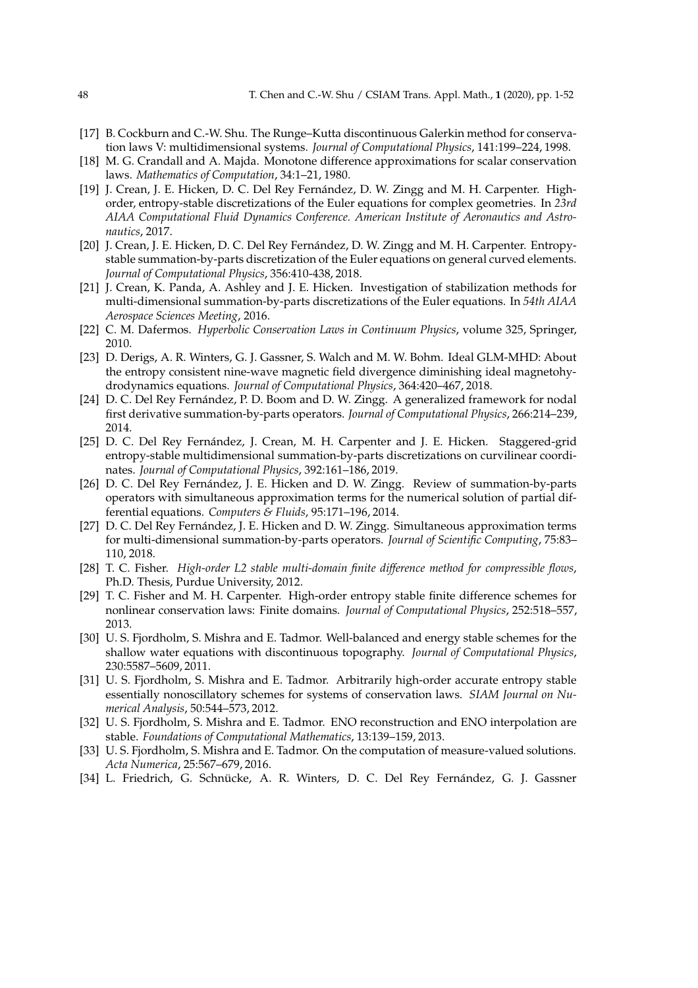- [17] B. Cockburn and C.-W. Shu. The Runge–Kutta discontinuous Galerkin method for conservation laws V: multidimensional systems. *Journal of Computational Physics*, 141:199–224, 1998.
- [18] M. G. Crandall and A. Majda. Monotone difference approximations for scalar conservation laws. *Mathematics of Computation*, 34:1–21, 1980.
- [19] J. Crean, J. E. Hicken, D. C. Del Rey Fernández, D. W. Zingg and M. H. Carpenter. Highorder, entropy-stable discretizations of the Euler equations for complex geometries. In *23rd AIAA Computational Fluid Dynamics Conference. American Institute of Aeronautics and Astronautics*, 2017.
- [20] J. Crean, J. E. Hicken, D. C. Del Rey Fernández, D. W. Zingg and M. H. Carpenter. Entropystable summation-by-parts discretization of the Euler equations on general curved elements. *Journal of Computational Physics*, 356:410-438, 2018.
- [21] J. Crean, K. Panda, A. Ashley and J. E. Hicken. Investigation of stabilization methods for multi-dimensional summation-by-parts discretizations of the Euler equations. In *54th AIAA Aerospace Sciences Meeting*, 2016.
- [22] C. M. Dafermos. *Hyperbolic Conservation Laws in Continuum Physics*, volume 325, Springer, 2010.
- [23] D. Derigs, A. R. Winters, G. J. Gassner, S. Walch and M. W. Bohm. Ideal GLM-MHD: About the entropy consistent nine-wave magnetic field divergence diminishing ideal magnetohydrodynamics equations. *Journal of Computational Physics*, 364:420–467, 2018.
- [24] D. C. Del Rey Fernández, P. D. Boom and D. W. Zingg. A generalized framework for nodal first derivative summation-by-parts operators. *Journal of Computational Physics*, 266:214–239, 2014.
- [25] D. C. Del Rey Fernández, J. Crean, M. H. Carpenter and J. E. Hicken. Staggered-grid entropy-stable multidimensional summation-by-parts discretizations on curvilinear coordinates. *Journal of Computational Physics*, 392:161–186, 2019.
- [26] D. C. Del Rey Fernández, J. E. Hicken and D. W. Zingg. Review of summation-by-parts operators with simultaneous approximation terms for the numerical solution of partial differential equations. *Computers & Fluids*, 95:171–196, 2014.
- [27] D. C. Del Rey Fernández, J. E. Hicken and D. W. Zingg. Simultaneous approximation terms for multi-dimensional summation-by-parts operators. *Journal of Scientific Computing*, 75:83– 110, 2018.
- [28] T. C. Fisher. *High-order L2 stable multi-domain finite difference method for compressible flows*, Ph.D. Thesis, Purdue University, 2012.
- [29] T. C. Fisher and M. H. Carpenter. High-order entropy stable finite difference schemes for nonlinear conservation laws: Finite domains. *Journal of Computational Physics*, 252:518–557, 2013.
- [30] U. S. Fjordholm, S. Mishra and E. Tadmor. Well-balanced and energy stable schemes for the shallow water equations with discontinuous topography. *Journal of Computational Physics*, 230:5587–5609, 2011.
- [31] U. S. Fjordholm, S. Mishra and E. Tadmor. Arbitrarily high-order accurate entropy stable essentially nonoscillatory schemes for systems of conservation laws. *SIAM Journal on Numerical Analysis*, 50:544–573, 2012.
- [32] U. S. Fjordholm, S. Mishra and E. Tadmor. ENO reconstruction and ENO interpolation are stable. *Foundations of Computational Mathematics*, 13:139–159, 2013.
- [33] U. S. Fjordholm, S. Mishra and E. Tadmor. On the computation of measure-valued solutions. *Acta Numerica*, 25:567–679, 2016.
- [34] L. Friedrich, G. Schnücke, A. R. Winters, D. C. Del Rey Fernández, G. J. Gassner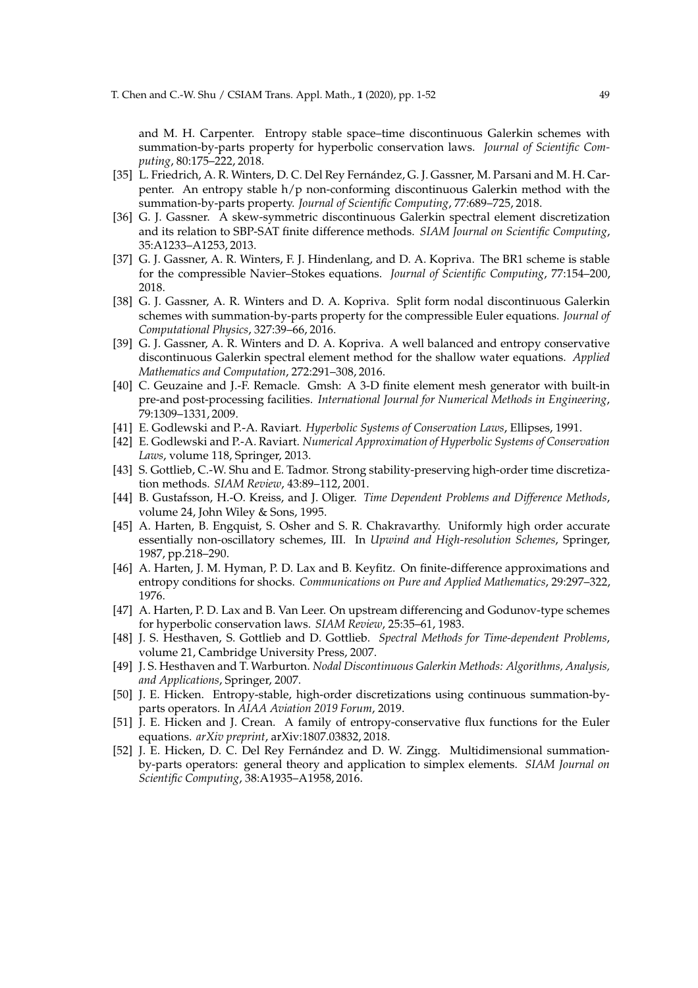and M. H. Carpenter. Entropy stable space–time discontinuous Galerkin schemes with summation-by-parts property for hyperbolic conservation laws. *Journal of Scientific Computing*, 80:175–222, 2018.

- [35] L. Friedrich, A. R. Winters, D. C. Del Rey Fernández, G. J. Gassner, M. Parsani and M. H. Carpenter. An entropy stable h/p non-conforming discontinuous Galerkin method with the summation-by-parts property. *Journal of Scientific Computing*, 77:689–725, 2018.
- [36] G. J. Gassner. A skew-symmetric discontinuous Galerkin spectral element discretization and its relation to SBP-SAT finite difference methods. *SIAM Journal on Scientific Computing*, 35:A1233–A1253, 2013.
- [37] G. J. Gassner, A. R. Winters, F. J. Hindenlang, and D. A. Kopriva. The BR1 scheme is stable for the compressible Navier–Stokes equations. *Journal of Scientific Computing*, 77:154–200, 2018.
- [38] G. J. Gassner, A. R. Winters and D. A. Kopriva. Split form nodal discontinuous Galerkin schemes with summation-by-parts property for the compressible Euler equations. *Journal of Computational Physics*, 327:39–66, 2016.
- [39] G. J. Gassner, A. R. Winters and D. A. Kopriva. A well balanced and entropy conservative discontinuous Galerkin spectral element method for the shallow water equations. *Applied Mathematics and Computation*, 272:291–308, 2016.
- [40] C. Geuzaine and J.-F. Remacle. Gmsh: A 3-D finite element mesh generator with built-in pre-and post-processing facilities. *International Journal for Numerical Methods in Engineering*, 79:1309–1331, 2009.
- [41] E. Godlewski and P.-A. Raviart. *Hyperbolic Systems of Conservation Laws*, Ellipses, 1991.
- [42] E. Godlewski and P.-A. Raviart. *Numerical Approximation of Hyperbolic Systems of Conservation Laws*, volume 118, Springer, 2013.
- [43] S. Gottlieb, C.-W. Shu and E. Tadmor. Strong stability-preserving high-order time discretization methods. *SIAM Review*, 43:89–112, 2001.
- [44] B. Gustafsson, H.-O. Kreiss, and J. Oliger. *Time Dependent Problems and Difference Methods*, volume 24, John Wiley & Sons, 1995.
- [45] A. Harten, B. Engquist, S. Osher and S. R. Chakravarthy. Uniformly high order accurate essentially non-oscillatory schemes, III. In *Upwind and High-resolution Schemes*, Springer, 1987, pp.218–290.
- [46] A. Harten, J. M. Hyman, P. D. Lax and B. Keyfitz. On finite-difference approximations and entropy conditions for shocks. *Communications on Pure and Applied Mathematics*, 29:297–322, 1976.
- [47] A. Harten, P. D. Lax and B. Van Leer. On upstream differencing and Godunov-type schemes for hyperbolic conservation laws. *SIAM Review*, 25:35–61, 1983.
- [48] J. S. Hesthaven, S. Gottlieb and D. Gottlieb. *Spectral Methods for Time-dependent Problems*, volume 21, Cambridge University Press, 2007.
- [49] J. S. Hesthaven and T. Warburton. *Nodal Discontinuous Galerkin Methods: Algorithms, Analysis, and Applications*, Springer, 2007.
- [50] J. E. Hicken. Entropy-stable, high-order discretizations using continuous summation-byparts operators. In *AIAA Aviation 2019 Forum*, 2019.
- [51] J. E. Hicken and J. Crean. A family of entropy-conservative flux functions for the Euler equations. *arXiv preprint*, arXiv:1807.03832, 2018.
- [52] J. E. Hicken, D. C. Del Rey Fernández and D. W. Zingg. Multidimensional summationby-parts operators: general theory and application to simplex elements. *SIAM Journal on Scientific Computing*, 38:A1935–A1958, 2016.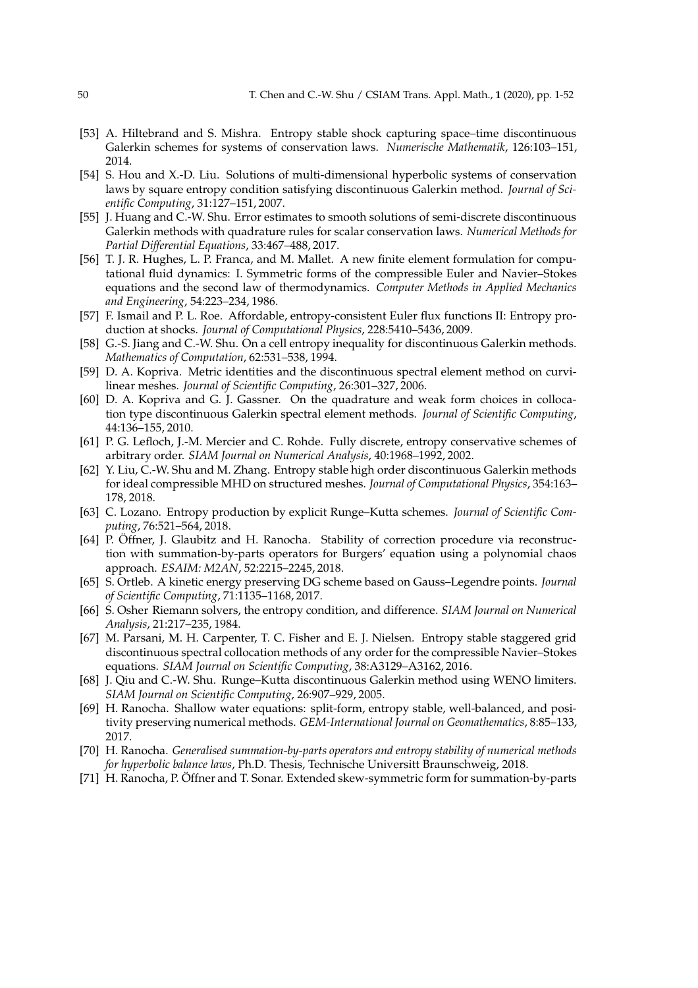- [53] A. Hiltebrand and S. Mishra. Entropy stable shock capturing space–time discontinuous Galerkin schemes for systems of conservation laws. *Numerische Mathematik*, 126:103–151, 2014.
- [54] S. Hou and X.-D. Liu. Solutions of multi-dimensional hyperbolic systems of conservation laws by square entropy condition satisfying discontinuous Galerkin method. *Journal of Scientific Computing*, 31:127–151, 2007.
- [55] J. Huang and C.-W. Shu. Error estimates to smooth solutions of semi-discrete discontinuous Galerkin methods with quadrature rules for scalar conservation laws. *Numerical Methods for Partial Differential Equations*, 33:467–488, 2017.
- [56] T. J. R. Hughes, L. P. Franca, and M. Mallet. A new finite element formulation for computational fluid dynamics: I. Symmetric forms of the compressible Euler and Navier–Stokes equations and the second law of thermodynamics. *Computer Methods in Applied Mechanics and Engineering*, 54:223–234, 1986.
- [57] F. Ismail and P. L. Roe. Affordable, entropy-consistent Euler flux functions II: Entropy production at shocks. *Journal of Computational Physics*, 228:5410–5436, 2009.
- [58] G.-S. Jiang and C.-W. Shu. On a cell entropy inequality for discontinuous Galerkin methods. *Mathematics of Computation*, 62:531–538, 1994.
- [59] D. A. Kopriva. Metric identities and the discontinuous spectral element method on curvilinear meshes. *Journal of Scientific Computing*, 26:301–327, 2006.
- [60] D. A. Kopriva and G. J. Gassner. On the quadrature and weak form choices in collocation type discontinuous Galerkin spectral element methods. *Journal of Scientific Computing*, 44:136–155, 2010.
- [61] P. G. Lefloch, J.-M. Mercier and C. Rohde. Fully discrete, entropy conservative schemes of arbitrary order. *SIAM Journal on Numerical Analysis*, 40:1968–1992, 2002.
- [62] Y. Liu, C.-W. Shu and M. Zhang. Entropy stable high order discontinuous Galerkin methods for ideal compressible MHD on structured meshes. *Journal of Computational Physics*, 354:163– 178, 2018.
- [63] C. Lozano. Entropy production by explicit Runge–Kutta schemes. *Journal of Scientific Computing*, 76:521–564, 2018.
- [64] P. Öffner, J. Glaubitz and H. Ranocha. Stability of correction procedure via reconstruction with summation-by-parts operators for Burgers' equation using a polynomial chaos approach. *ESAIM: M2AN*, 52:2215–2245, 2018.
- [65] S. Ortleb. A kinetic energy preserving DG scheme based on Gauss–Legendre points. *Journal of Scientific Computing*, 71:1135–1168, 2017.
- [66] S. Osher Riemann solvers, the entropy condition, and difference. *SIAM Journal on Numerical Analysis*, 21:217–235, 1984.
- [67] M. Parsani, M. H. Carpenter, T. C. Fisher and E. J. Nielsen. Entropy stable staggered grid discontinuous spectral collocation methods of any order for the compressible Navier–Stokes equations. *SIAM Journal on Scientific Computing*, 38:A3129–A3162, 2016.
- [68] J. Qiu and C.-W. Shu. Runge–Kutta discontinuous Galerkin method using WENO limiters. *SIAM Journal on Scientific Computing*, 26:907–929, 2005.
- [69] H. Ranocha. Shallow water equations: split-form, entropy stable, well-balanced, and positivity preserving numerical methods. *GEM-International Journal on Geomathematics*, 8:85–133, 2017.
- [70] H. Ranocha. *Generalised summation-by-parts operators and entropy stability of numerical methods for hyperbolic balance laws*, Ph.D. Thesis, Technische Universitt Braunschweig, 2018.
- [71] H. Ranocha, P. Öffner and T. Sonar. Extended skew-symmetric form for summation-by-parts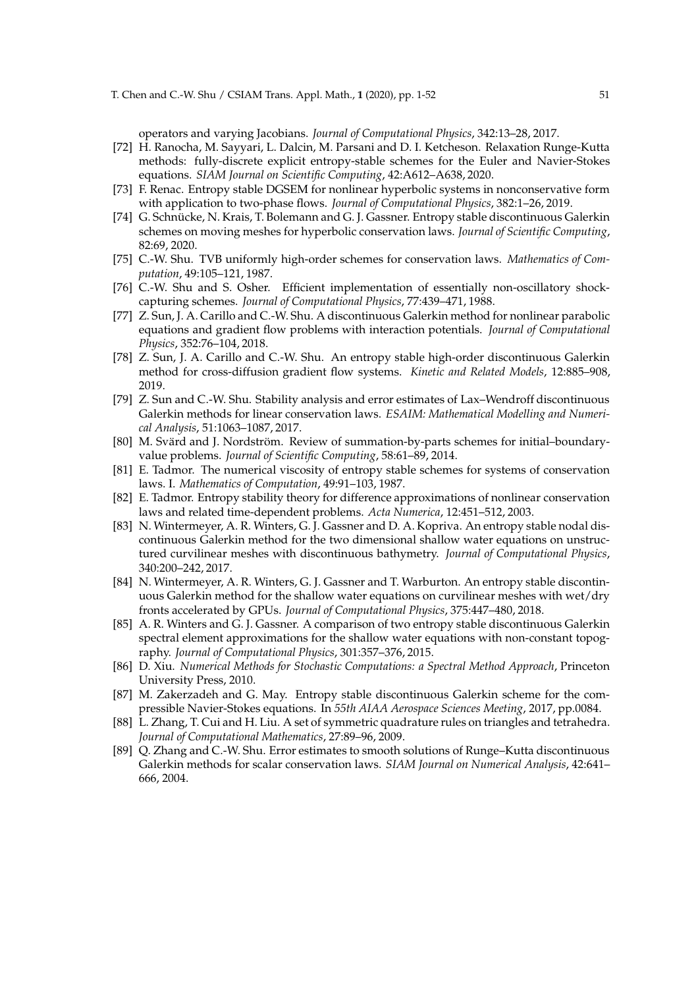operators and varying Jacobians. *Journal of Computational Physics*, 342:13–28, 2017.

- [72] H. Ranocha, M. Sayyari, L. Dalcin, M. Parsani and D. I. Ketcheson. Relaxation Runge-Kutta methods: fully-discrete explicit entropy-stable schemes for the Euler and Navier-Stokes equations. *SIAM Journal on Scientific Computing*, 42:A612–A638, 2020.
- [73] F. Renac. Entropy stable DGSEM for nonlinear hyperbolic systems in nonconservative form with application to two-phase flows. *Journal of Computational Physics*, 382:1–26, 2019.
- [74] G. Schnücke, N. Krais, T. Bolemann and G. J. Gassner. Entropy stable discontinuous Galerkin schemes on moving meshes for hyperbolic conservation laws. *Journal of Scientific Computing*, 82:69, 2020.
- [75] C.-W. Shu. TVB uniformly high-order schemes for conservation laws. *Mathematics of Computation*, 49:105–121, 1987.
- [76] C.-W. Shu and S. Osher. Efficient implementation of essentially non-oscillatory shockcapturing schemes. *Journal of Computational Physics*, 77:439–471, 1988.
- [77] Z. Sun, J. A. Carillo and C.-W. Shu. A discontinuous Galerkin method for nonlinear parabolic equations and gradient flow problems with interaction potentials. *Journal of Computational Physics*, 352:76–104, 2018.
- [78] Z. Sun, J. A. Carillo and C.-W. Shu. An entropy stable high-order discontinuous Galerkin method for cross-diffusion gradient flow systems. *Kinetic and Related Models*, 12:885–908, 2019.
- [79] Z. Sun and C.-W. Shu. Stability analysis and error estimates of Lax–Wendroff discontinuous Galerkin methods for linear conservation laws. *ESAIM: Mathematical Modelling and Numerical Analysis*, 51:1063–1087, 2017.
- [80] M. Svärd and J. Nordström. Review of summation-by-parts schemes for initial-boundaryvalue problems. *Journal of Scientific Computing*, 58:61–89, 2014.
- [81] E. Tadmor. The numerical viscosity of entropy stable schemes for systems of conservation laws. I. *Mathematics of Computation*, 49:91–103, 1987.
- [82] E. Tadmor. Entropy stability theory for difference approximations of nonlinear conservation laws and related time-dependent problems. *Acta Numerica*, 12:451–512, 2003.
- [83] N. Wintermeyer, A. R. Winters, G. J. Gassner and D. A. Kopriva. An entropy stable nodal discontinuous Galerkin method for the two dimensional shallow water equations on unstructured curvilinear meshes with discontinuous bathymetry. *Journal of Computational Physics*, 340:200–242, 2017.
- [84] N. Wintermeyer, A. R. Winters, G. J. Gassner and T. Warburton. An entropy stable discontinuous Galerkin method for the shallow water equations on curvilinear meshes with wet/dry fronts accelerated by GPUs. *Journal of Computational Physics*, 375:447–480, 2018.
- [85] A. R. Winters and G. J. Gassner. A comparison of two entropy stable discontinuous Galerkin spectral element approximations for the shallow water equations with non-constant topography. *Journal of Computational Physics*, 301:357–376, 2015.
- [86] D. Xiu. *Numerical Methods for Stochastic Computations: a Spectral Method Approach*, Princeton University Press, 2010.
- [87] M. Zakerzadeh and G. May. Entropy stable discontinuous Galerkin scheme for the compressible Navier-Stokes equations. In *55th AIAA Aerospace Sciences Meeting*, 2017, pp.0084.
- [88] L. Zhang, T. Cui and H. Liu. A set of symmetric quadrature rules on triangles and tetrahedra. *Journal of Computational Mathematics*, 27:89–96, 2009.
- [89] Q. Zhang and C.-W. Shu. Error estimates to smooth solutions of Runge–Kutta discontinuous Galerkin methods for scalar conservation laws. *SIAM Journal on Numerical Analysis*, 42:641– 666, 2004.